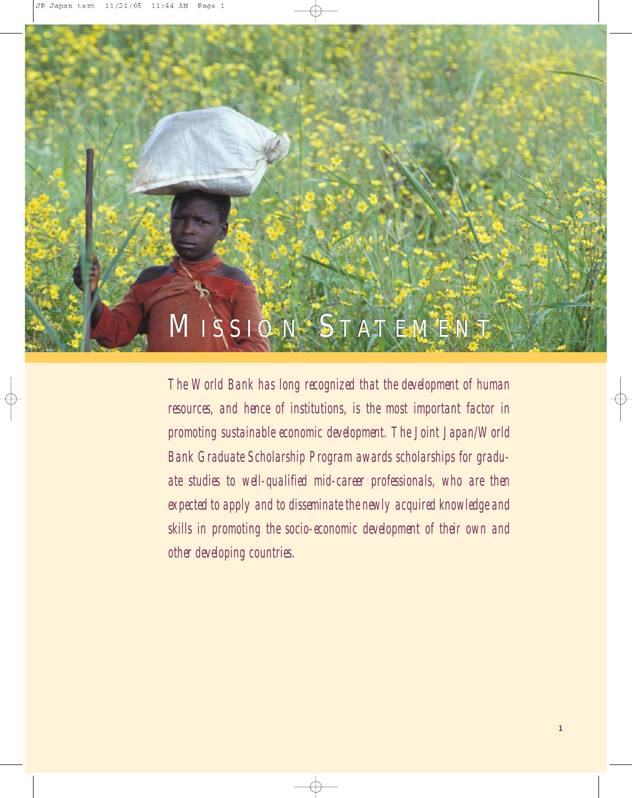## MISSION STATEMENT

*The World Bank has long recognized that the development of human* resources, and hence of institutions, is the most important factor in *promoting sustainable economic development. The Joint Japan/World Bank Graduate Scholarship Program awards scholarships for graduate studies to well-qualified mid-career professionals, who are then expected to apply and to disseminate the newly acquired knowledge and skills in promoting the socio-economic development of their own and other developing countries.*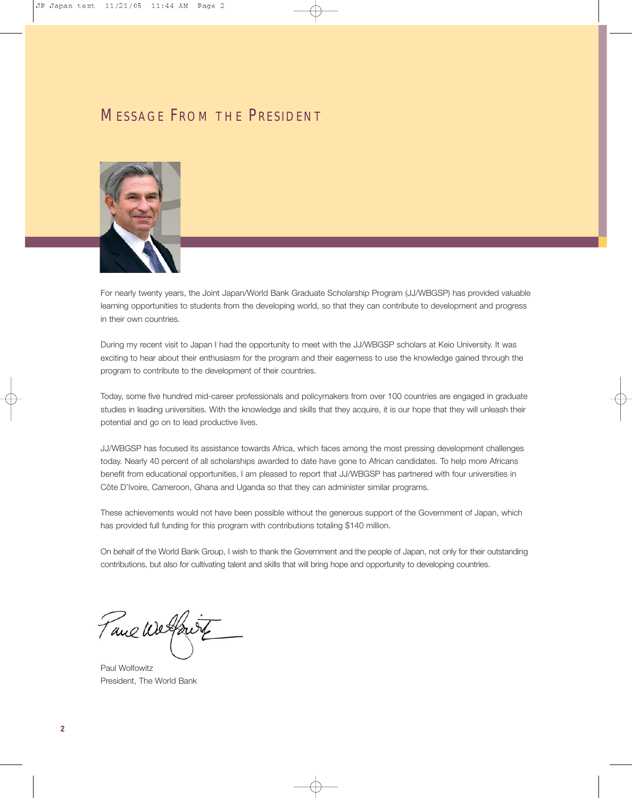#### MESSAGE FROM THE PRESIDENT



For nearly twenty years, the Joint Japan/World Bank Graduate Scholarship Program (JJ/WBGSP) has provided valuable learning opportunities to students from the developing world, so that they can contribute to development and progress in their own countries.

During my recent visit to Japan I had the opportunity to meet with the JJ/WBGSP scholars at Keio University. It was exciting to hear about their enthusiasm for the program and their eagerness to use the knowledge gained through the program to contribute to the development of their countries.

Today, some five hundred mid-career professionals and policymakers from over 100 countries are engaged in graduate studies in leading universities. With the knowledge and skills that they acquire, it is our hope that they will unleash their potential and go on to lead productive lives.

JJ/WBGSP has focused its assistance towards Africa, which faces among the most pressing development challenges today. Nearly 40 percent of all scholarships awarded to date have gone to African candidates. To help more Africans benefit from educational opportunities, I am pleased to report that JJ/WBGSP has partnered with four universities in Côte D'Ivoire, Cameroon, Ghana and Uganda so that they can administer similar programs.

These achievements would not have been possible without the generous support of the Government of Japan, which has provided full funding for this program with contributions totaling \$140 million.

On behalf of the World Bank Group, I wish to thank the Government and the people of Japan, not only for their outstanding contributions, but also for cultivating talent and skills that will bring hope and opportunity to developing countries.

Tane We found

Paul Wolfowitz President, The World Bank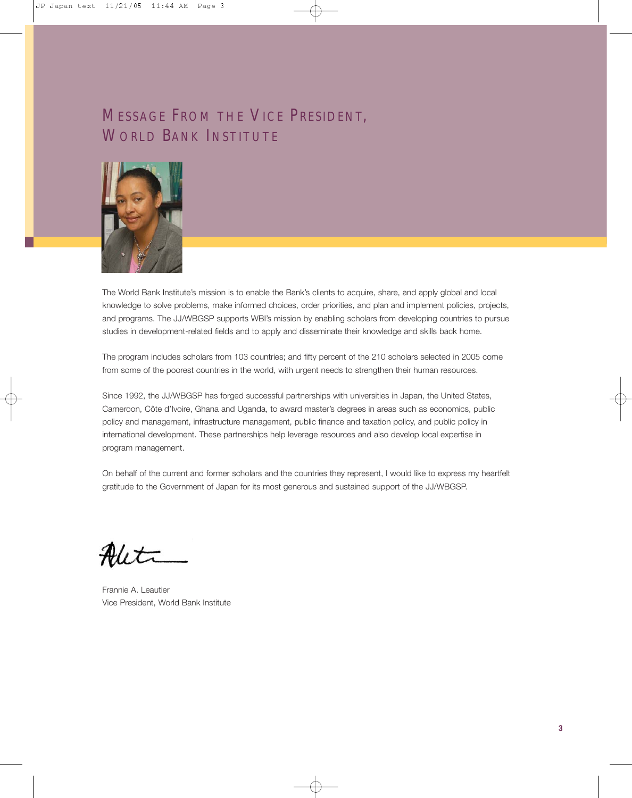### MESSAGE FROM THE VICE PRESIDENT, WORLD BANK INSTITUTE



The World Bank Institute's mission is to enable the Bank's clients to acquire, share, and apply global and local knowledge to solve problems, make informed choices, order priorities, and plan and implement policies, projects, and programs. The JJ/WBGSP supports WBI's mission by enabling scholars from developing countries to pursue studies in development-related fields and to apply and disseminate their knowledge and skills back home.

The program includes scholars from 103 countries; and fifty percent of the 210 scholars selected in 2005 come from some of the poorest countries in the world, with urgent needs to strengthen their human resources.

Since 1992, the JJ/WBGSP has forged successful partnerships with universities in Japan, the United States, Cameroon, Côte d'Ivoire, Ghana and Uganda, to award master's degrees in areas such as economics, public policy and management, infrastructure management, public finance and taxation policy, and public policy in international development. These partnerships help leverage resources and also develop local expertise in program management.

On behalf of the current and former scholars and the countries they represent, I would like to express my heartfelt gratitude to the Government of Japan for its most generous and sustained support of the JJ/WBGSP.

 $\prime$ 

Frannie A. Leautier Vice President, World Bank Institute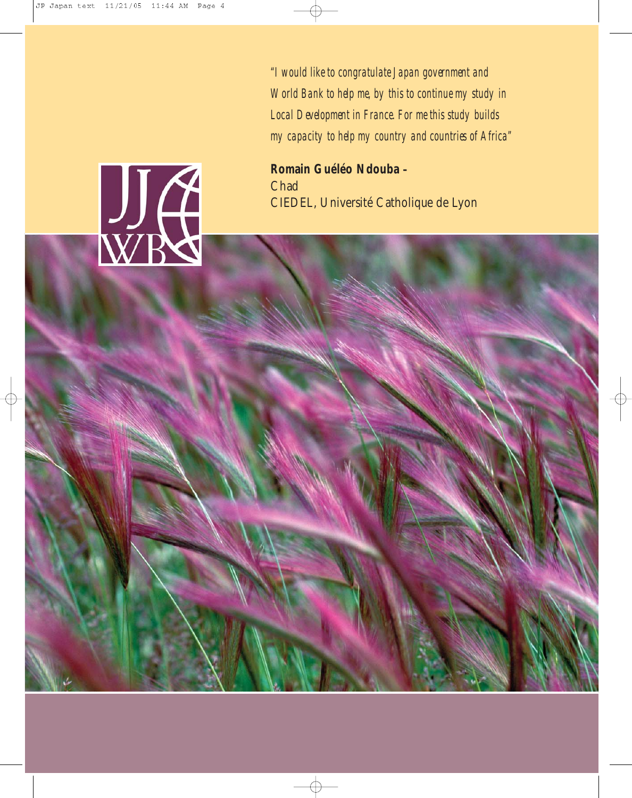*"I would like to congratulate Japan government and World Bank to help me, by this to continue my study in Local Development in France. For me this study builds my capacity to help my country and countries of Africa"*

**Romain Guéléo Ndouba –** Chad CIEDEL, Université Catholique de Lyon

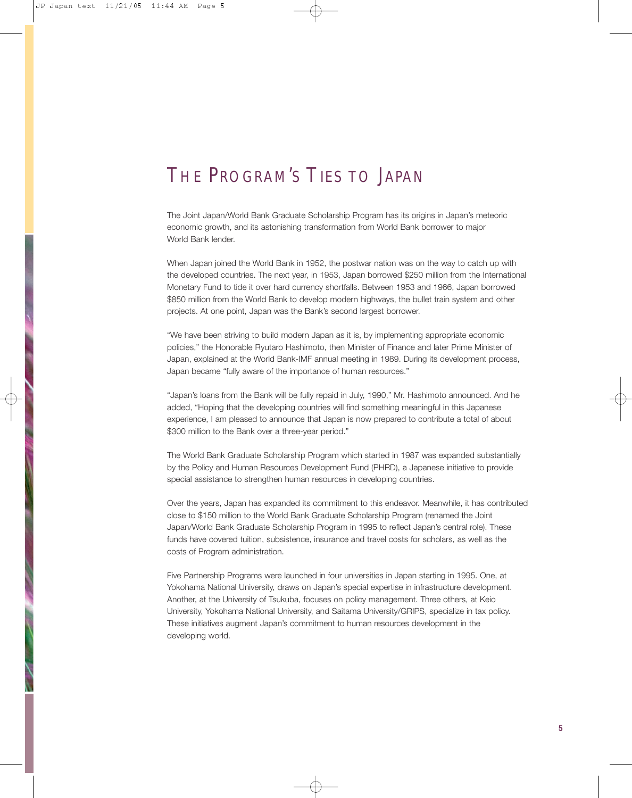### THE PROGRAM'S TIES TO JAPAN

The Joint Japan/World Bank Graduate Scholarship Program has its origins in Japan's meteoric economic growth, and its astonishing transformation from World Bank borrower to major World Bank lender.

When Japan joined the World Bank in 1952, the postwar nation was on the way to catch up with the developed countries. The next year, in 1953, Japan borrowed \$250 million from the International Monetary Fund to tide it over hard currency shortfalls. Between 1953 and 1966, Japan borrowed \$850 million from the World Bank to develop modern highways, the bullet train system and other projects. At one point, Japan was the Bank's second largest borrower.

"We have been striving to build modern Japan as it is, by implementing appropriate economic policies," the Honorable Ryutaro Hashimoto, then Minister of Finance and later Prime Minister of Japan, explained at the World Bank-IMF annual meeting in 1989. During its development process, Japan became "fully aware of the importance of human resources."

"Japan's loans from the Bank will be fully repaid in July, 1990," Mr. Hashimoto announced. And he added, "Hoping that the developing countries will find something meaningful in this Japanese experience, I am pleased to announce that Japan is now prepared to contribute a total of about \$300 million to the Bank over a three-year period."

The World Bank Graduate Scholarship Program which started in 1987 was expanded substantially by the Policy and Human Resources Development Fund (PHRD), a Japanese initiative to provide special assistance to strengthen human resources in developing countries.

Over the years, Japan has expanded its commitment to this endeavor. Meanwhile, it has contributed close to \$150 million to the World Bank Graduate Scholarship Program (renamed the Joint Japan/World Bank Graduate Scholarship Program in 1995 to reflect Japan's central role). These funds have covered tuition, subsistence, insurance and travel costs for scholars, as well as the costs of Program administration.

Five Partnership Programs were launched in four universities in Japan starting in 1995. One, at Yokohama National University, draws on Japan's special expertise in infrastructure development. Another, at the University of Tsukuba, focuses on policy management. Three others, at Keio University, Yokohama National University, and Saitama University/GRIPS, specialize in tax policy. These initiatives augment Japan's commitment to human resources development in the developing world.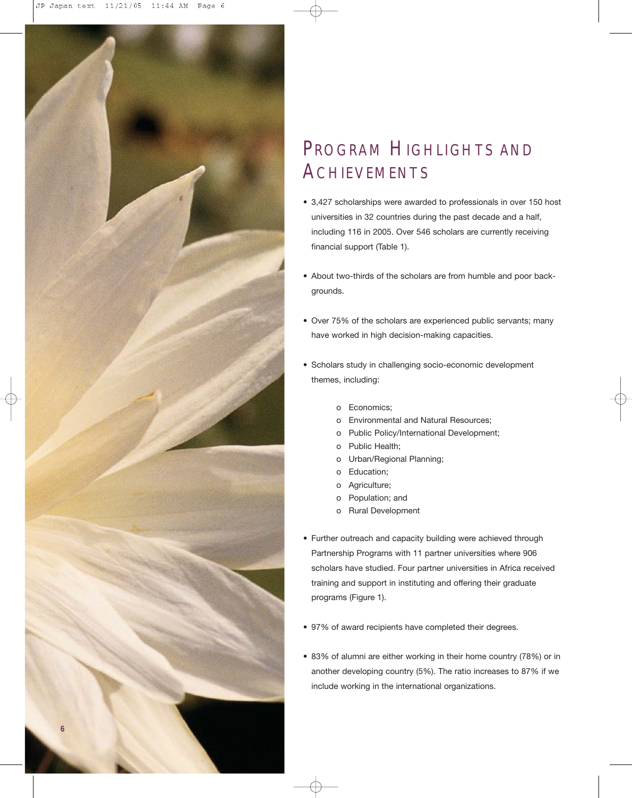

### PROGRAM HIGHLIGHTS AND **ACHIEVEMENTS**

- 3,427 scholarships were awarded to professionals in over 150 host universities in 32 countries during the past decade and a half, including 116 in 2005. Over 546 scholars are currently receiving financial support (Table 1).
- About two-thirds of the scholars are from humble and poor backgrounds.
- Over 75% of the scholars are experienced public servants; many have worked in high decision-making capacities.
- Scholars study in challenging socio-economic development themes, including:
	- o Economics;
	- o Environmental and Natural Resources;
	- o Public Policy/International Development;
	- o Public Health;
	- o Urban/Regional Planning;
	- o Education;
	- o Agriculture;
	- o Population; and
	- o Rural Development
- Further outreach and capacity building were achieved through Partnership Programs with 11 partner universities where 906 scholars have studied. Four partner universities in Africa received training and support in instituting and offering their graduate programs (Figure 1).
- 97% of award recipients have completed their degrees.
- 83% of alumni are either working in their home country (78%) or in another developing country (5%). The ratio increases to 87% if we include working in the international organizations.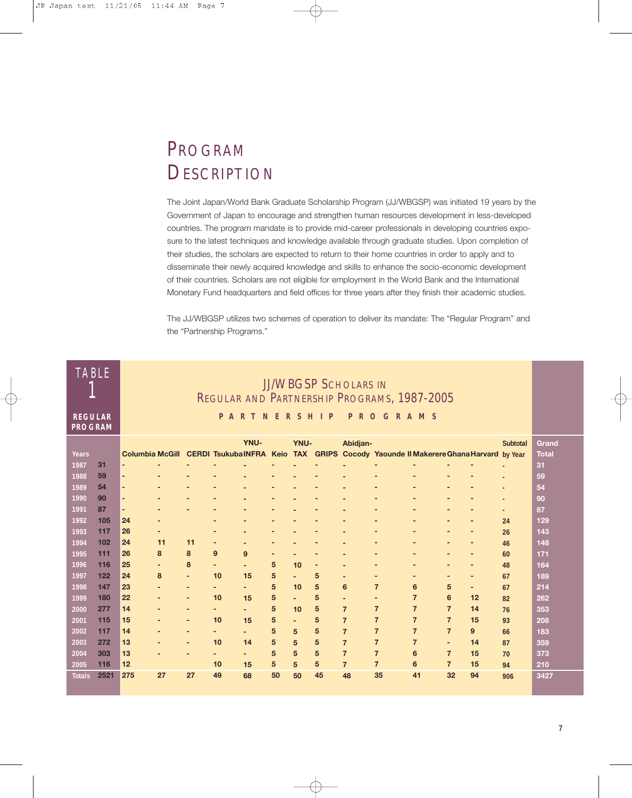### PROGRAM **DESCRIPTION**

The Joint Japan/World Bank Graduate Scholarship Program (JJ/WBGSP) was initiated 19 years by the Government of Japan to encourage and strengthen human resources development in less-developed countries. The program mandate is to provide mid-career professionals in developing countries exposure to the latest techniques and knowledge available through graduate studies. Upon completion of their studies, the scholars are expected to return to their home countries in order to apply and to disseminate their newly acquired knowledge and skills to enhance the socio-economic development of their countries. Scholars are not eligible for employment in the World Bank and the International Monetary Fund headquarters and field offices for three years after they finish their academic studies.

The JJ/WBGSP utilizes two schemes of operation to deliver its mandate: The "Regular Program" and the "Partnership Programs."

| <b>TABLE</b>                     |      | <b>JJ/WBGSP SCHOLARS IN</b><br>REGULAR AND PARTNERSHIP PROGRAMS, 1987-2005 |                          |                          |    |                          |    |                |    |                          |                                                                                                     |                          |                          |                          |                 |              |
|----------------------------------|------|----------------------------------------------------------------------------|--------------------------|--------------------------|----|--------------------------|----|----------------|----|--------------------------|-----------------------------------------------------------------------------------------------------|--------------------------|--------------------------|--------------------------|-----------------|--------------|
| <b>REGULAR</b><br><b>PROGRAM</b> |      |                                                                            |                          |                          |    | <b>PARTNERSHIP</b>       |    |                |    | P                        | ROGRAMS                                                                                             |                          |                          |                          |                 |              |
|                                  |      |                                                                            |                          |                          |    | <b>YNU-</b>              |    | YNU-           |    | Abidjan-                 |                                                                                                     |                          |                          |                          | <b>Subtotal</b> | Grand        |
| Years                            |      |                                                                            |                          |                          |    |                          |    |                |    |                          | Columbia McGill CERDI Tsukuba INFRA Keio TAX GRIPS Cocody Yaounde II Makerere Ghana Harvard by Year |                          |                          |                          |                 | <b>Total</b> |
| 1987                             | 31   |                                                                            |                          |                          |    |                          |    |                |    |                          |                                                                                                     |                          |                          |                          |                 | 31           |
| 1988                             | 59   | $\overline{\phantom{a}}$                                                   |                          |                          |    |                          |    |                |    |                          |                                                                                                     |                          |                          |                          |                 | 59           |
| 1989                             | 54   | $\overline{\phantom{a}}$                                                   |                          |                          |    |                          |    |                |    |                          |                                                                                                     |                          |                          |                          |                 | 54           |
| 1990                             | 90   | ٠                                                                          |                          |                          |    |                          |    |                |    |                          |                                                                                                     |                          |                          |                          |                 | 90           |
| 1991                             | 87   | $\overline{a}$                                                             |                          |                          |    |                          |    |                |    |                          |                                                                                                     |                          |                          |                          | $\blacksquare$  | 87           |
| 1992                             | 105  | 24                                                                         |                          |                          | ٠  |                          | -  |                |    |                          |                                                                                                     |                          |                          | -                        | 24              | 129          |
| 1993                             | 117  | 26                                                                         |                          |                          | ٠  |                          |    |                |    |                          |                                                                                                     |                          |                          |                          | 26              | 143          |
| 1994                             | 102  | 24                                                                         | 11                       | 11                       | ٠  |                          |    |                |    |                          |                                                                                                     |                          |                          |                          | 46              | 148          |
| 1995                             | 111  | 26                                                                         | 8                        | 8                        | 9  | 9                        | ٠  |                |    | $\overline{\phantom{0}}$ |                                                                                                     |                          |                          |                          | 60              | 171          |
| 1996                             | 116  | 25                                                                         |                          | 8                        | ٠  |                          | 5  | 10             |    |                          |                                                                                                     |                          |                          |                          | 48              | 164          |
| 1997                             | 122  | 24                                                                         | 8                        | $\overline{a}$           | 10 | 15                       | 5  | $\blacksquare$ | 5  | $\overline{\phantom{0}}$ | $\overline{a}$                                                                                      | $\overline{\phantom{0}}$ | $\overline{a}$           | $\overline{\phantom{a}}$ | 67              | 189          |
| 1998                             | 147  | 23                                                                         |                          | $\overline{\phantom{a}}$ | ٠  | $\overline{\phantom{0}}$ | 5  | 10             | 5  | 6                        | $\overline{7}$                                                                                      | $6\phantom{1}$           | 5                        | $\overline{\phantom{a}}$ | 67              | 214          |
| 1999                             | 180  | 22                                                                         | ٠                        | $\overline{\phantom{a}}$ | 10 | 15                       | 5  |                | 5  | $\overline{a}$           | ٠                                                                                                   | $\overline{7}$           | 6                        | 12                       | 82              | 262          |
| 2000                             | 277  | 14                                                                         |                          | $\overline{\phantom{a}}$ | ٠  |                          | 5  | 10             | 5  | $\overline{7}$           | $\overline{7}$                                                                                      | $\overline{7}$           | $\overline{7}$           | 14                       | 76              | 353          |
| 2001                             | 115  | 15                                                                         | $\overline{\phantom{a}}$ | ÷,                       | 10 | 15                       | 5  | $\blacksquare$ | 5  | $\overline{7}$           | $\overline{7}$                                                                                      | $\overline{7}$           | $\overline{7}$           | 15                       | 93              | 208          |
| 2002                             | 117  | 14                                                                         |                          | $\blacksquare$           | ٠  |                          | 5  | 5              | 5  | $\overline{7}$           | $\overline{7}$                                                                                      | $\overline{7}$           | $\overline{7}$           | 9                        | 66              | 183          |
| 2003                             | 272  | 13                                                                         | $\overline{\phantom{a}}$ | $\overline{a}$           | 10 | 14                       | 5  | 5              | 5  | $\overline{7}$           | $\overline{7}$                                                                                      | $\overline{7}$           | $\overline{\phantom{a}}$ | 14                       | 87              | 359          |
| 2004                             | 303  | 13                                                                         |                          |                          |    |                          | 5  | 5              | 5  | $\overline{7}$           | $\overline{7}$                                                                                      | 6                        | $\overline{7}$           | 15                       | 70              | 373          |
| 2005                             | 116  | 12                                                                         |                          |                          | 10 | 15                       | 5  | 5              | 5  | $\overline{7}$           | $\overline{7}$                                                                                      | 6                        | $\overline{7}$           | 15                       | 94              | 210          |
| <b>Totals</b>                    | 2521 | 275                                                                        | 27                       | 27                       | 49 | 68                       | 50 | 50             | 45 | 48                       | 35                                                                                                  | 41                       | 32                       | 94                       | 906             | 3427         |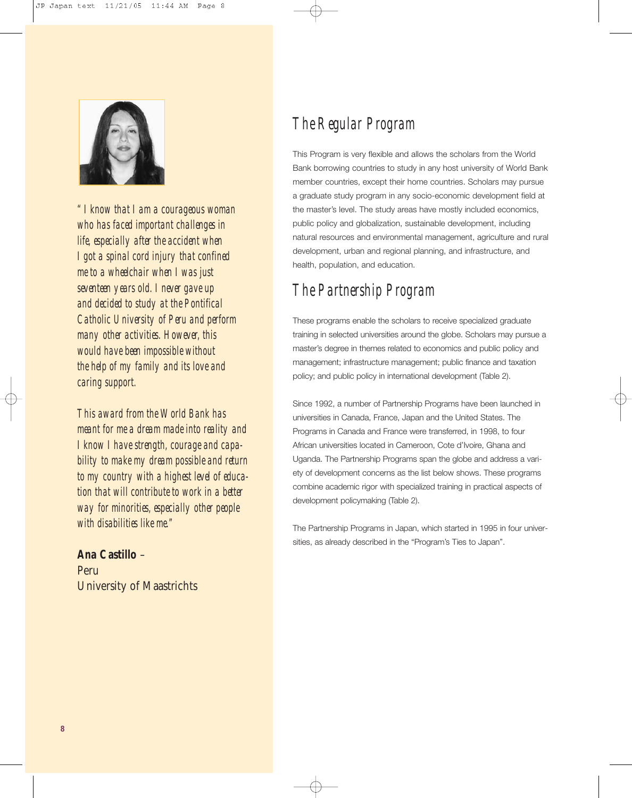

*" I know that I am a courageous woman who has faced important challenges in life, especially after the accident when I got a spinal cord injury that confined me to a wheelchair when I was just seventeen years old. I never gave up and decided to study at the Pontifical Catholic University of Peru and perform many other activities. However, this would have been impossible without the help of my family and its love and caring support.*

*This award from the World Bank has meant for me a dream made into reality and I know I have strength, courage and capability to make my dream possible and return to my country with a highest level of education that will contribute to work in a better way for minorities, especially other people with disabilities like me."*

**Ana Castillo** – Peru University of Maastrichts

### *The Regular Program*

This Program is very flexible and allows the scholars from the World Bank borrowing countries to study in any host university of World Bank member countries, except their home countries. Scholars may pursue a graduate study program in any socio-economic development field at the master's level. The study areas have mostly included economics, public policy and globalization, sustainable development, including natural resources and environmental management, agriculture and rural development, urban and regional planning, and infrastructure, and health, population, and education.

### *The Partnership Program*

These programs enable the scholars to receive specialized graduate training in selected universities around the globe. Scholars may pursue a master's degree in themes related to economics and public policy and management; infrastructure management; public finance and taxation policy; and public policy in international development (Table 2).

Since 1992, a number of Partnership Programs have been launched in universities in Canada, France, Japan and the United States. The Programs in Canada and France were transferred, in 1998, to four African universities located in Cameroon, Cote d'Ivoire, Ghana and Uganda. The Partnership Programs span the globe and address a variety of development concerns as the list below shows. These programs combine academic rigor with specialized training in practical aspects of development policymaking (Table 2).

The Partnership Programs in Japan, which started in 1995 in four universities, as already described in the "Program's Ties to Japan".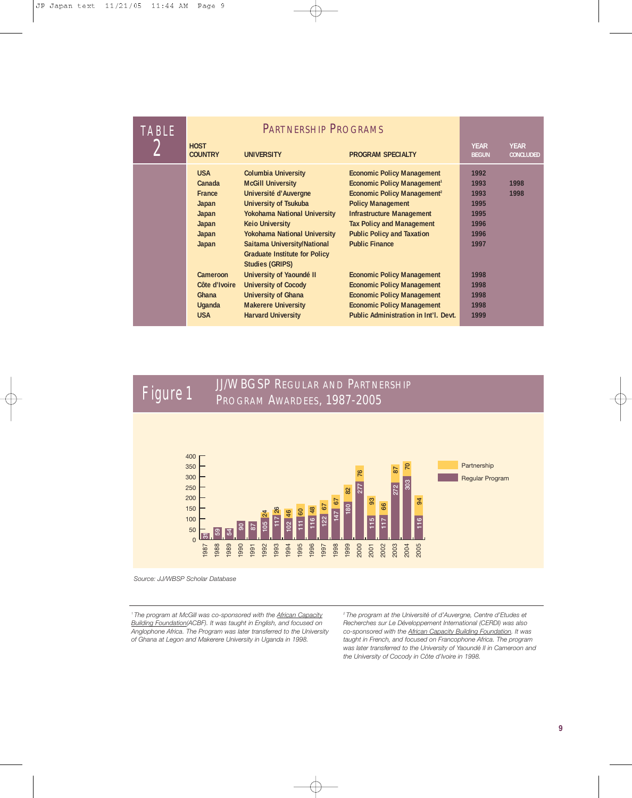| <b>TABLE</b> |                               |                                                                |                                         |                             |                                 |
|--------------|-------------------------------|----------------------------------------------------------------|-----------------------------------------|-----------------------------|---------------------------------|
| $\epsilon$   | <b>HOST</b><br><b>COUNTRY</b> | <b>UNIVERSITY</b>                                              | <b>PROGRAM SPECIALTY</b>                | <b>YEAR</b><br><b>BEGUN</b> | <b>YEAR</b><br><b>CONCLUDED</b> |
|              | <b>USA</b>                    | <b>Columbia University</b>                                     | <b>Economic Policy Management</b>       | 1992                        |                                 |
|              | Canada                        | <b>McGill University</b>                                       | Economic Policy Management <sup>1</sup> | 1993                        | 1998                            |
|              | France                        | Université d'Auvergne                                          | Economic Policy Management <sup>2</sup> | 1993                        | 1998                            |
|              | Japan                         | <b>University of Tsukuba</b>                                   | <b>Policy Management</b>                | 1995                        |                                 |
|              | Japan                         | <b>Yokohama National University</b>                            | <b>Infrastructure Management</b>        | 1995                        |                                 |
|              | Japan                         | <b>Keio University</b>                                         | <b>Tax Policy and Management</b>        | 1996                        |                                 |
|              | Japan                         | <b>Yokohama National University</b>                            | <b>Public Policy and Taxation</b>       | 1996                        |                                 |
|              | Japan                         | Saitama University/National                                    | <b>Public Finance</b>                   | 1997                        |                                 |
|              |                               | <b>Graduate Institute for Policy</b><br><b>Studies (GRIPS)</b> |                                         |                             |                                 |
|              | Cameroon                      | University of Yaoundé II                                       | <b>Economic Policy Management</b>       | 1998                        |                                 |
|              | Côte d'Ivoire                 | <b>University of Cocody</b>                                    | <b>Economic Policy Management</b>       | 1998                        |                                 |
|              | Ghana                         | <b>University of Ghana</b>                                     | <b>Economic Policy Management</b>       | 1998                        |                                 |
|              | <b>Uganda</b>                 | <b>Makerere University</b>                                     | <b>Economic Policy Management</b>       | 1998                        |                                 |
|              | <b>USA</b>                    | <b>Harvard University</b>                                      | Public Administration in Int'l. Devt.   | 1999                        |                                 |
|              |                               |                                                                |                                         |                             |                                 |





*Source: JJ/WBSP Scholar Database*

*1 The program at McGill was co-sponsored with the African Capacity Building Foundation(ACBF). It was taught in English, and focused on Anglophone Africa. The Program was later transferred to the University of Ghana at Legon and Makerere University in Uganda in 1998.*

*2 The program at the Université of d'Auvergne, Centre d'Etudes et Recherches sur Le Développement International (CERDI) was also co-sponsored with the African Capacity Building Foundation. It was taught in French, and focused on Francophone Africa. The program was later transferred to the University of Yaoundé II in Cameroon and the University of Cocody in Côte d'Ivoire in 1998.*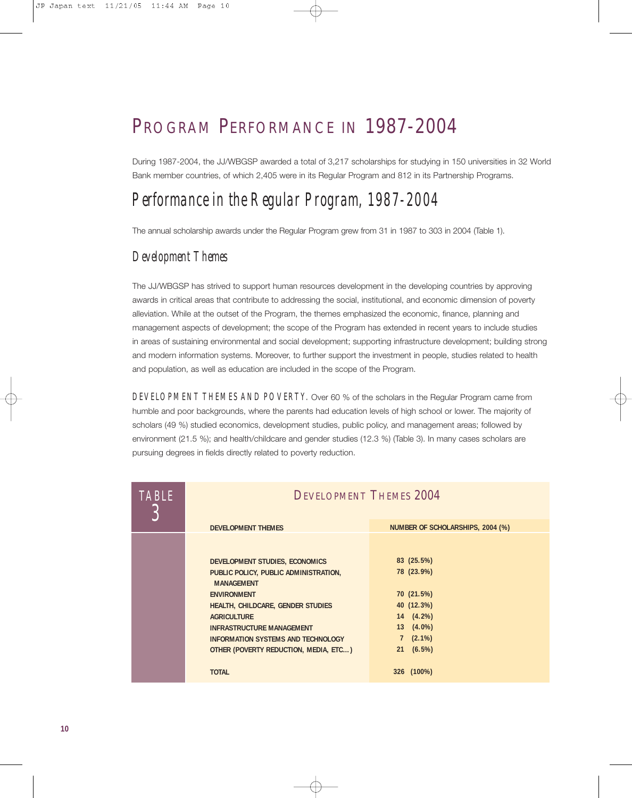### PROGRAM PERFORMANCE IN 1987-2004

During 1987-2004, the JJ/WBGSP awarded a total of 3,217 scholarships for studying in 150 universities in 32 World Bank member countries, of which 2,405 were in its Regular Program and 812 in its Partnership Programs.

### *Performance in the Regular Program, 1987-2004*

The annual scholarship awards under the Regular Program grew from 31 in 1987 to 303 in 2004 (Table 1).

#### *Development Themes*

The JJ/WBGSP has strived to support human resources development in the developing countries by approving awards in critical areas that contribute to addressing the social, institutional, and economic dimension of poverty alleviation. While at the outset of the Program, the themes emphasized the economic, finance, planning and management aspects of development; the scope of the Program has extended in recent years to include studies in areas of sustaining environmental and social development; supporting infrastructure development; building strong and modern information systems. Moreover, to further support the investment in people, studies related to health and population, as well as education are included in the scope of the Program.

*DEVELOPMENT THEMES AND POVERTY.* Over 60 % of the scholars in the Regular Program came from humble and poor backgrounds, where the parents had education levels of high school or lower. The majority of scholars (49 %) studied economics, development studies, public policy, and management areas; followed by environment (21.5 %); and health/childcare and gender studies (12.3 %) (Table 3). In many cases scholars are pursuing degrees in fields directly related to poverty reduction.

| <b>TABLE</b> | <b>DEVELOPMENT THEMES 2004</b>                             |                                  |
|--------------|------------------------------------------------------------|----------------------------------|
|              | <b>DEVELOPMENT THEMES</b>                                  | NUMBER OF SCHOLARSHIPS, 2004 (%) |
|              |                                                            |                                  |
|              | DEVELOPMENT STUDIES, ECONOMICS                             | 83 (25.5%)                       |
|              | PUBLIC POLICY, PUBLIC ADMINISTRATION,<br><b>MANAGEMENT</b> | 78 (23.9%)                       |
|              | <b>ENVIRONMENT</b>                                         | 70 (21.5%)                       |
|              | <b>HEALTH, CHILDCARE, GENDER STUDIES</b>                   | 40 (12.3%)                       |
|              | <b>AGRICULTURE</b>                                         | $14(4.2\%)$                      |
|              | <b>INFRASTRUCTURE MANAGEMENT</b>                           | 13 (4.0%)                        |
|              | INFORMATION SYSTEMS AND TECHNOLOGY                         | $7(2.1\%)$                       |
|              | OTHER (POVERTY REDUCTION, MEDIA, ETC)                      | (6.5%)<br>21                     |
|              | <b>TOTAL</b>                                               | 326 (100%)                       |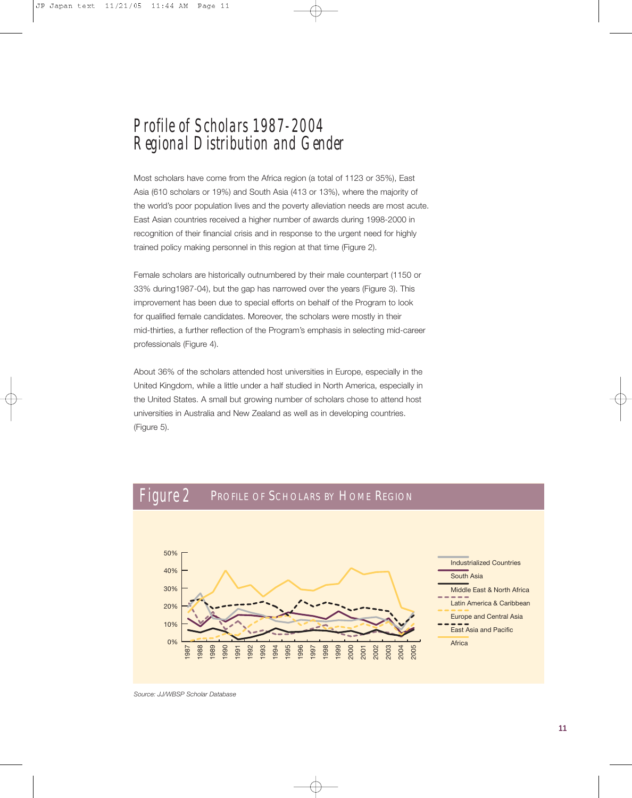### *Profile of Scholars 1987-2004 Regional Distribution and Gender*

Most scholars have come from the Africa region (a total of 1123 or 35%), East Asia (610 scholars or 19%) and South Asia (413 or 13%), where the majority of the world's poor population lives and the poverty alleviation needs are most acute. East Asian countries received a higher number of awards during 1998-2000 in recognition of their financial crisis and in response to the urgent need for highly trained policy making personnel in this region at that time (Figure 2).

Female scholars are historically outnumbered by their male counterpart (1150 or 33% during1987-04), but the gap has narrowed over the years (Figure 3). This improvement has been due to special efforts on behalf of the Program to look for qualified female candidates. Moreover, the scholars were mostly in their mid-thirties, a further reflection of the Program's emphasis in selecting mid-career professionals (Figure 4).

About 36% of the scholars attended host universities in Europe, especially in the United Kingdom, while a little under a half studied in North America, especially in the United States. A small but growing number of scholars chose to attend host universities in Australia and New Zealand as well as in developing countries. (Figure 5).



*Source: JJ/WBSP Scholar Database*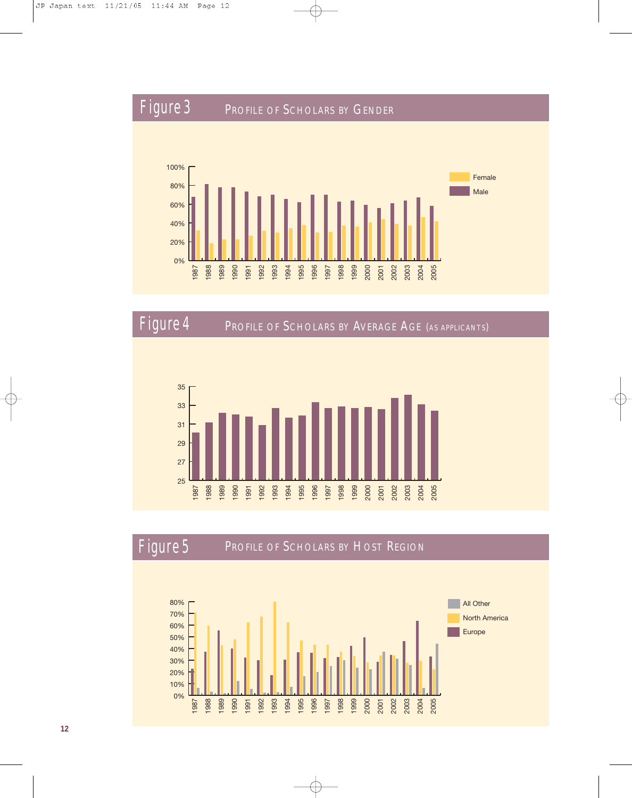



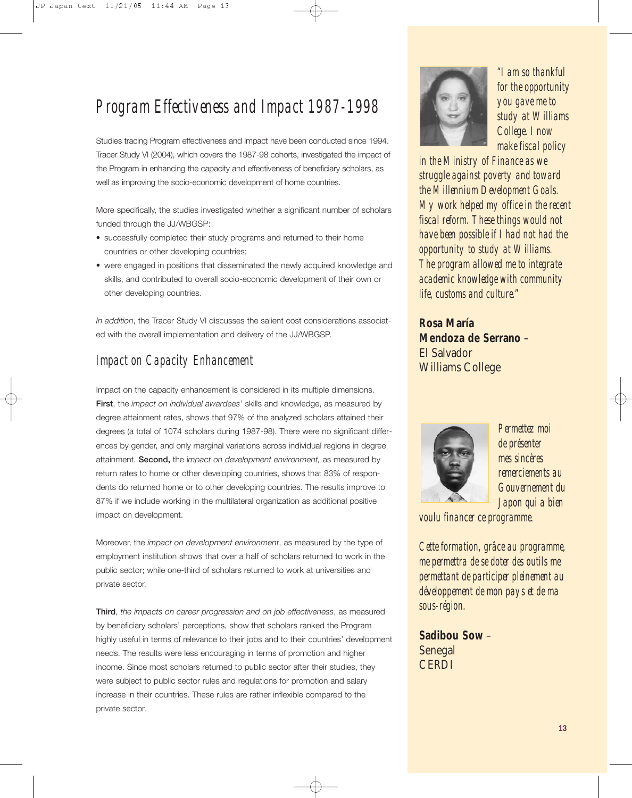### *Program Effectiveness and Impact 1987-1998*

Studies tracing Program effectiveness and impact have been conducted since 1994. Tracer Study VI (2004), which covers the 1987-98 cohorts, investigated the impact of the Program in enhancing the capacity and effectiveness of beneficiary scholars, as well as improving the socio-economic development of home countries.

More specifically, the studies investigated whether a significant number of scholars funded through the JJ/WBGSP:

- successfully completed their study programs and returned to their home countries or other developing countries;
- were engaged in positions that disseminated the newly acquired knowledge and skills, and contributed to overall socio-economic development of their own or other developing countries.

*In addition*, the Tracer Study VI discusses the salient cost considerations associated with the overall implementation and delivery of the JJ/WBGSP.

#### *Impact on Capacity Enhancement*

Impact on the capacity enhancement is considered in its multiple dimensions. **First**, the *impact on individual awardees'* skills and knowledge, as measured by degree attainment rates, shows that 97% of the analyzed scholars attained their degrees (a total of 1074 scholars during 1987-98). There were no significant differences by gender, and only marginal variations across individual regions in degree attainment. **Second,** the i*mpact on development environment,* as measured by return rates to home or other developing countries, shows that 83% of respondents do returned home or to other developing countries. The results improve to 87% if we include working in the multilateral organization as additional positive impact on development.

Moreover, the *impact on development environment*, as measured by the type of employment institution shows that over a half of scholars returned to work in the public sector; while one-third of scholars returned to work at universities and private sector.

**Third**, *the impacts on career progression and on job effectiveness*, as measured by beneficiary scholars' perceptions, show that scholars ranked the Program highly useful in terms of relevance to their jobs and to their countries' development needs. The results were less encouraging in terms of promotion and higher income. Since most scholars returned to public sector after their studies, they were subject to public sector rules and regulations for promotion and salary increase in their countries. These rules are rather inflexible compared to the private sector.



*"I am so thankful for the opportunity you gave me to study at Williams College. I now make fiscal policy*

*in the Ministry of Finance as we struggle against poverty and toward the Millennium Development Goals. My work helped my office in the recent fiscal reform. These things would not have been possible if I had not had the opportunity to study at Williams. The program allowed me to integrate academic knowledge with community life, customs and culture."* 

**Rosa María Mendoza de Serrano** – El Salvador Williams College



*Permettez moi de présenter mes sincères remerciements au Gouvernement du Japon qui a bien*

*voulu financer ce programme.*

*Cette formation, grâce au programme, me permettra de se doter des outils me permettant de participer pleinement au développement de mon pays et de ma sous-région.*

**Sadibou Sow** – Senegal **CERDI**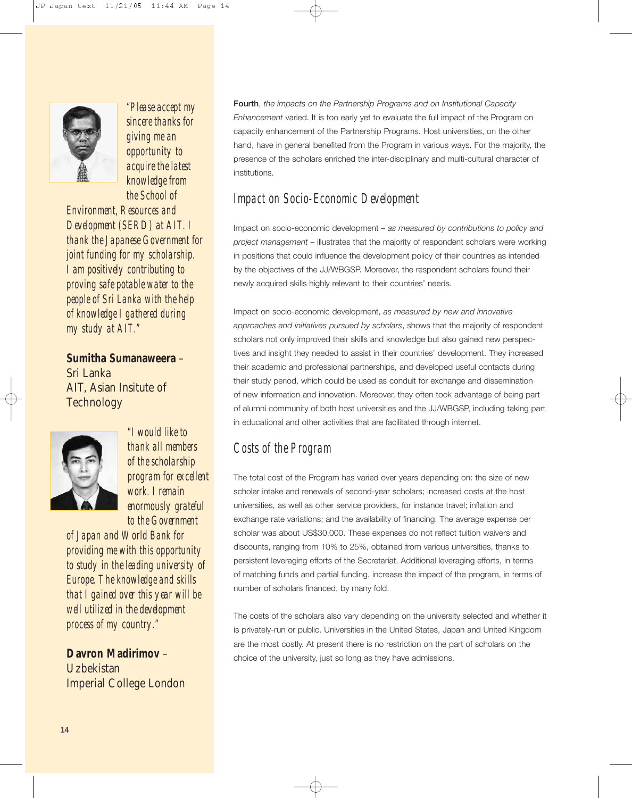

*"Please accept my sincere thanks for giving me an opportunity to acquire the latest knowledge from the School of*

*Environment, Resources and Development (SERD) at AIT. I thank the Japanese Government for joint funding for my scholarship. I am positively contributing to proving safe potable water to the people of Sri Lanka with the help of knowledge I gathered during my study at AIT."*

**Sumitha Sumanaweera** – Sri Lanka AIT, Asian Insitute of **Technology** 



*"I would like to thank all members of the scholarship program for excellent work. I remain enormously grateful to the Government* 

*of Japan and World Bank for providing me with this opportunity to study in the leading university of Europe. The knowledge and skills that I gained over this year will be well utilized in the development process of my country."*

**Davron Madirimov** – Uzbekistan Imperial College London **Fourth**, *the impacts on the Partnership Programs and on Institutional Capacity Enhancement* varied. It is too early yet to evaluate the full impact of the Program on capacity enhancement of the Partnership Programs. Host universities, on the other hand, have in general benefited from the Program in various ways. For the majority, the presence of the scholars enriched the inter-disciplinary and multi-cultural character of institutions.

#### *Impact on Socio-Economic Development*

Impact on socio-economic development – *as measured by contributions to policy and project management* – illustrates that the majority of respondent scholars were working in positions that could influence the development policy of their countries as intended by the objectives of the JJ/WBGSP. Moreover, the respondent scholars found their newly acquired skills highly relevant to their countries' needs.

Impact on socio-economic development, *as measured by new and innovative approaches and initiatives pursued by scholars*, shows that the majority of respondent scholars not only improved their skills and knowledge but also gained new perspectives and insight they needed to assist in their countries' development. They increased their academic and professional partnerships, and developed useful contacts during their study period, which could be used as conduit for exchange and dissemination of new information and innovation. Moreover, they often took advantage of being part of alumni community of both host universities and the JJ/WBGSP, including taking part in educational and other activities that are facilitated through internet.

#### *Costs of the Program*

The total cost of the Program has varied over years depending on: the size of new scholar intake and renewals of second-year scholars; increased costs at the host universities, as well as other service providers, for instance travel; inflation and exchange rate variations; and the availability of financing. The average expense per scholar was about US\$30,000. These expenses do not reflect tuition waivers and discounts, ranging from 10% to 25%, obtained from various universities, thanks to persistent leveraging efforts of the Secretariat. Additional leveraging efforts, in terms of matching funds and partial funding, increase the impact of the program, in terms of number of scholars financed, by many fold.

The costs of the scholars also vary depending on the university selected and whether it is privately-run or public. Universities in the United States, Japan and United Kingdom are the most costly. At present there is no restriction on the part of scholars on the choice of the university, just so long as they have admissions.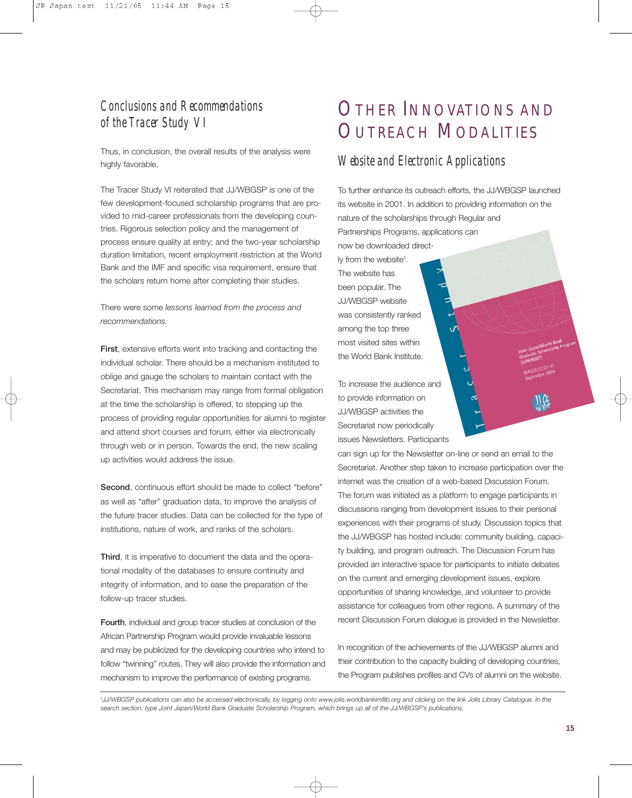#### *Conclusions and Recommendations of the Tracer Study VI*

Thus, in conclusion, the overall results of the analysis were highly favorable,

The Tracer Study VI reiterated that JJ/WBGSP is one of the few development-focused scholarship programs that are provided to mid-career professionals from the developing countries. Rigorous selection policy and the management of process ensure quality at entry; and the two-year scholarship duration limitation, recent employment restriction at the World Bank and the IMF and specific visa requirement, ensure that the scholars return home after completing their studies.

There were some *lessons learned from the process and recommendations.*

**First**, extensive efforts went into tracking and contacting the individual scholar. There should be a mechanism instituted to oblige and gauge the scholars to maintain contact with the Secretariat. This mechanism may range from formal obligation at the time the scholarship is offered, to stepping up the process of providing regular opportunities for alumni to register and attend short courses and forum, either via electronically through web or in person. Towards the end, the new scaling up activities would address the issue.

**Second**, continuous effort should be made to collect "before" as well as "after" graduation data, to improve the analysis of the future tracer studies. Data can be collected for the type of institutions, nature of work, and ranks of the scholars.

**Third**, it is imperative to document the data and the operational modality of the databases to ensure continuity and integrity of information, and to ease the preparation of the follow-up tracer studies.

**Fourth**, individual and group tracer studies at conclusion of the African Partnership Program would provide invaluable lessons and may be publicized for the developing countries who intend to follow "twinning" routes. They will also provide the information and mechanism to improve the performance of existing programs.

### OTHER INNOVATIONS AND OUTREACH MODALITIES

#### *Website and Electronic Applications*

To further enhance its outreach efforts, the JJ/WBGSP launched its website in 2001. In addition to providing information on the nature of the scholarships through Regular and Partnerships Programs, applications can now be downloaded direct-

ly from the website<sup>3</sup>. The website has been popular. The JJ/WBGSP website was consistently ranked among the top three most visited sites within the World Bank Institute.

To increase the audience and to provide information on JJ/WBGSP activities the Secretariat now periodically issues Newsletters. Participants

can sign up for the Newsletter on-line or send an email to the Secretariat. Another step taken to increase participation over the internet was the creation of a web-based Discussion Forum. The forum was initiated as a platform to engage participants in discussions ranging from development issues to their personal experiences with their programs of study. Discussion topics that the JJ/WBGSP has hosted include: community building, capacity building, and program outreach. The Discussion Forum has provided an interactive space for participants to initiate debates on the current and emerging development issues, explore opportunities of sharing knowledge, and volunteer to provide assistance for colleagues from other regions. A summary of the recent Discussion Forum dialogue is provided in the Newsletter.

In recognition of the achievements of the JJ/WBGSP alumni and their contribution to the capacity building of developing countries, the Program publishes profiles and CVs of alumni on the website.

*3 JJ/WBGSP publications can also be accessed electronically, by logging onto www.jolis.worldbankimflib.org and clicking on the link Jolis Library Catalogue. In the search section, type Joint Japan/World Bank Graduate Scholarship Program, which brings up all of the JJ/WBGSP's publications.*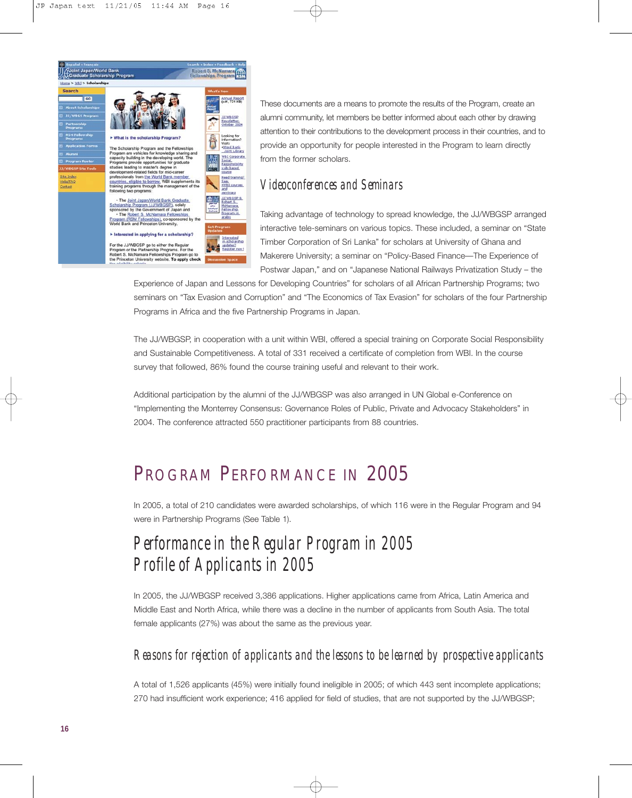

These documents are a means to promote the results of the Program, create an alumni community, let members be better informed about each other by drawing attention to their contributions to the development process in their countries, and to provide an opportunity for people interested in the Program to learn directly from the former scholars.

#### *Videoconferences and Seminars*

Taking advantage of technology to spread knowledge, the JJ/WBGSP arranged interactive tele-seminars on various topics. These included, a seminar on "State Timber Corporation of Sri Lanka" for scholars at University of Ghana and Makerere University; a seminar on "Policy-Based Finance—The Experience of Postwar Japan," and on "Japanese National Railways Privatization Study – the

Experience of Japan and Lessons for Developing Countries" for scholars of all African Partnership Programs; two seminars on "Tax Evasion and Corruption" and "The Economics of Tax Evasion" for scholars of the four Partnership Programs in Africa and the five Partnership Programs in Japan.

The JJ/WBGSP, in cooperation with a unit within WBI, offered a special training on Corporate Social Responsibility and Sustainable Competitiveness. A total of 331 received a certificate of completion from WBI. In the course survey that followed, 86% found the course training useful and relevant to their work.

Additional participation by the alumni of the JJ/WBGSP was also arranged in UN Global e-Conference on "Implementing the Monterrey Consensus: Governance Roles of Public, Private and Advocacy Stakeholders" in 2004. The conference attracted 550 practitioner participants from 88 countries.

### PROGRAM PERFORMANCE IN 2005

In 2005, a total of 210 candidates were awarded scholarships, of which 116 were in the Regular Program and 94 were in Partnership Programs (See Table 1).

### *Performance in the Regular Program in 2005 Profile of Applicants in 2005*

In 2005, the JJ/WBGSP received 3,386 applications. Higher applications came from Africa, Latin America and Middle East and North Africa, while there was a decline in the number of applicants from South Asia. The total female applicants (27%) was about the same as the previous year.

#### *Reasons for rejection of applicants and the lessons to be learned by prospective applicants*

A total of 1,526 applicants (45%) were initially found ineligible in 2005; of which 443 sent incomplete applications; 270 had insufficient work experience; 416 applied for field of studies, that are not supported by the JJ/WBGSP;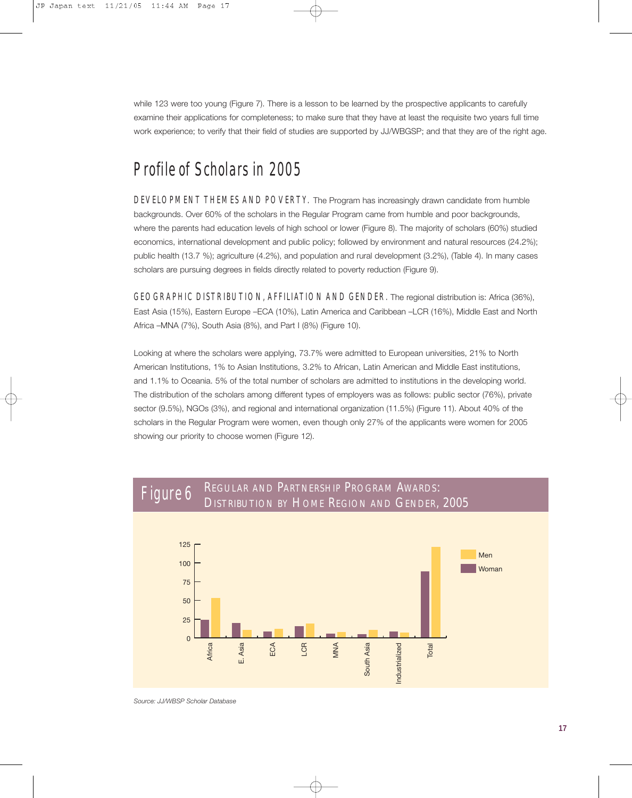while 123 were too young (Figure 7). There is a lesson to be learned by the prospective applicants to carefully examine their applications for completeness; to make sure that they have at least the requisite two years full time work experience; to verify that their field of studies are supported by JJ/WBGSP; and that they are of the right age.

### *Profile of Scholars in 2005*

*DEVELOPMENT THEMES AND POVERTY.* The Program has increasingly drawn candidate from humble backgrounds. Over 60% of the scholars in the Regular Program came from humble and poor backgrounds, where the parents had education levels of high school or lower (Figure 8). The majority of scholars (60%) studied economics, international development and public policy; followed by environment and natural resources (24.2%); public health (13.7 %); agriculture (4.2%), and population and rural development (3.2%), (Table 4). In many cases scholars are pursuing degrees in fields directly related to poverty reduction (Figure 9).

*GEOGRAPHIC DISTRIBUTION, AFFILIATION AND GENDER.* The regional distribution is: Africa (36%), East Asia (15%), Eastern Europe –ECA (10%), Latin America and Caribbean –LCR (16%), Middle East and North Africa –MNA (7%), South Asia (8%), and Part I (8%) (Figure 10).

Looking at where the scholars were applying, 73.7% were admitted to European universities, 21% to North American Institutions, 1% to Asian Institutions, 3.2% to African, Latin American and Middle East institutions, and 1.1% to Oceania. 5% of the total number of scholars are admitted to institutions in the developing world. The distribution of the scholars among different types of employers was as follows: public sector (76%), private sector (9.5%), NGOs (3%), and regional and international organization (11.5%) (Figure 11). About 40% of the scholars in the Regular Program were women, even though only 27% of the applicants were women for 2005 showing our priority to choose women (Figure 12).



*Source: JJ/WBSP Scholar Database*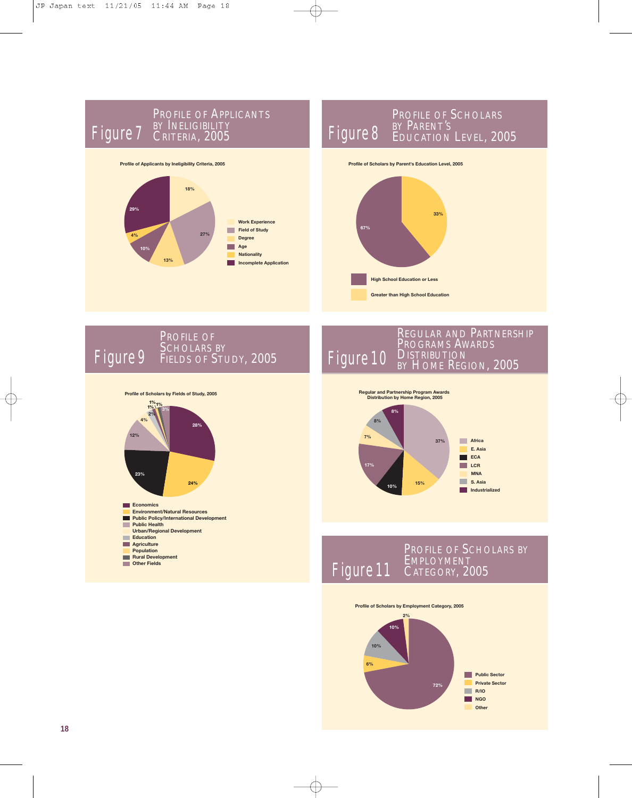

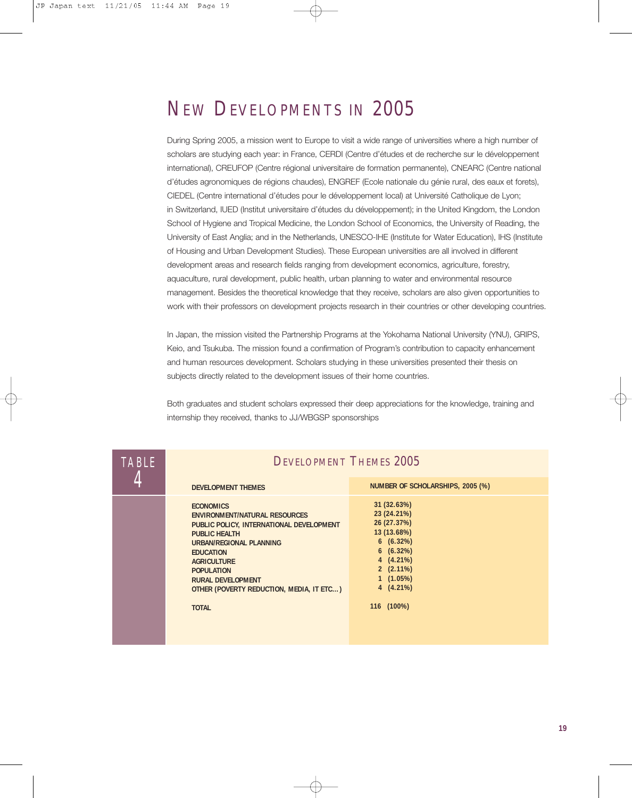### NEW DEVELOPMENTS IN 2005

During Spring 2005, a mission went to Europe to visit a wide range of universities where a high number of scholars are studying each year: in France, CERDI (Centre d'études et de recherche sur le développement international), CREUFOP (Centre régional universitaire de formation permanente), CNEARC (Centre national d'études agronomiques de régions chaudes), ENGREF (Ecole nationale du génie rural, des eaux et forets), CIEDEL (Centre international d'études pour le développement local) at Université Catholique de Lyon; in Switzerland, IUED (Institut universitaire d'études du développement); in the United Kingdom, the London School of Hygiene and Tropical Medicine, the London School of Economics, the University of Reading, the University of East Anglia; and in the Netherlands, UNESCO-IHE (Institute for Water Education), IHS (Institute of Housing and Urban Development Studies). These European universities are all involved in different development areas and research fields ranging from development economics, agriculture, forestry, aquaculture, rural development, public health, urban planning to water and environmental resource management. Besides the theoretical knowledge that they receive, scholars are also given opportunities to work with their professors on development projects research in their countries or other developing countries.

In Japan, the mission visited the Partnership Programs at the Yokohama National University (YNU), GRIPS, Keio, and Tsukuba. The mission found a confirmation of Program's contribution to capacity enhancement and human resources development. Scholars studying in these universities presented their thesis on subjects directly related to the development issues of their home countries.

Both graduates and student scholars expressed their deep appreciations for the knowledge, training and internship they received, thanks to JJ/WBGSP sponsorships

| <b>TABLE</b> | <b>DEVELOPMENT THEMES 2005</b>                                                                                                                                                                                                                                                                                 |                                                                                                                                                            |
|--------------|----------------------------------------------------------------------------------------------------------------------------------------------------------------------------------------------------------------------------------------------------------------------------------------------------------------|------------------------------------------------------------------------------------------------------------------------------------------------------------|
|              | <b>DEVELOPMENT THEMES</b>                                                                                                                                                                                                                                                                                      | NUMBER OF SCHOLARSHIPS, 2005 (%)                                                                                                                           |
|              | <b>ECONOMICS</b><br><b>ENVIRONMENT/NATURAL RESOURCES</b><br>PUBLIC POLICY, INTERNATIONAL DEVELOPMENT<br><b>PUBLIC HEALTH</b><br>URBAN/REGIONAL PLANNING<br><b>EDUCATION</b><br><b>AGRICULTURE</b><br><b>POPULATION</b><br><b>RURAL DEVELOPMENT</b><br>OTHER (POVERTY REDUCTION, MEDIA, IT ETC)<br><b>TOTAL</b> | 31 (32.63%)<br>23 (24.21%)<br>26 (27.37%)<br>13 (13.68%)<br>6(6.32%)<br>6(6.32%)<br>$4(4.21\%)$<br>$2(2.11\%)$<br>$1(1.05\%)$<br>$4(4.21\%)$<br>116 (100%) |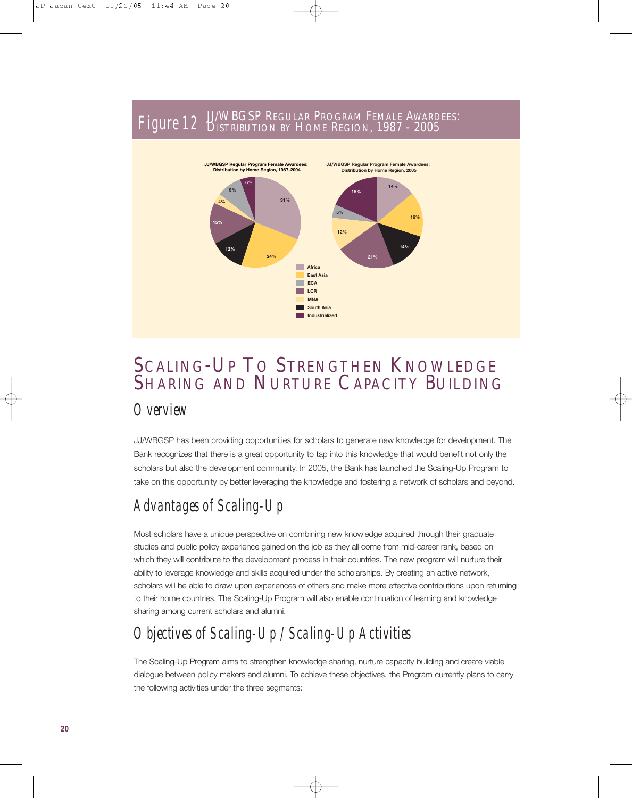#### JJ/WBGSP REGULAR PROGRAM FEMALE AWARDEES: Figure 12 DISTRIBUTION BY HOME REGION, 1987 - 2005



### SCALING-UP TO STRENGTHEN KNOWLEDGE SHARING AND NURTURE CAPACITY BUILDING

#### *Overview*

JJ/WBGSP has been providing opportunities for scholars to generate new knowledge for development. The Bank recognizes that there is a great opportunity to tap into this knowledge that would benefit not only the scholars but also the development community. In 2005, the Bank has launched the Scaling-Up Program to take on this opportunity by better leveraging the knowledge and fostering a network of scholars and beyond.

### *Advantages of Scaling-Up*

Most scholars have a unique perspective on combining new knowledge acquired through their graduate studies and public policy experience gained on the job as they all come from mid-career rank, based on which they will contribute to the development process in their countries. The new program will nurture their ability to leverage knowledge and skills acquired under the scholarships. By creating an active network, scholars will be able to draw upon experiences of others and make more effective contributions upon returning to their home countries. The Scaling-Up Program will also enable continuation of learning and knowledge sharing among current scholars and alumni.

### *Objectives of Scaling-Up / Scaling-Up Activities*

The Scaling-Up Program aims to strengthen knowledge sharing, nurture capacity building and create viable dialogue between policy makers and alumni. To achieve these objectives, the Program currently plans to carry the following activities under the three segments: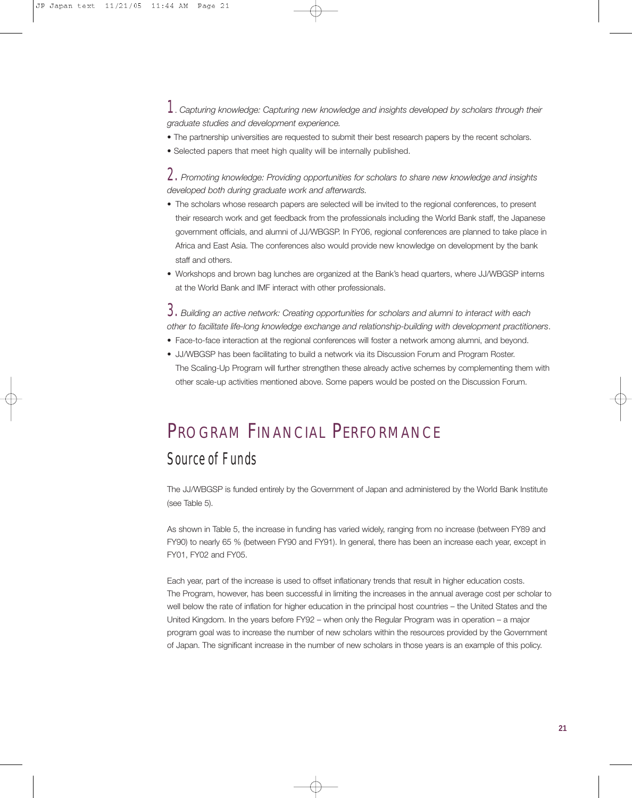*1*. *Capturing knowledge: Capturing new knowledge and insights developed by scholars through their graduate studies and development experience.*

- The partnership universities are requested to submit their best research papers by the recent scholars.
- Selected papers that meet high quality will be internally published.

*2. Promoting knowledge: Providing opportunities for scholars to share new knowledge and insights developed both during graduate work and afterwards.*

- The scholars whose research papers are selected will be invited to the regional conferences, to present their research work and get feedback from the professionals including the World Bank staff, the Japanese government officials, and alumni of JJ/WBGSP. In FY06, regional conferences are planned to take place in Africa and East Asia. The conferences also would provide new knowledge on development by the bank staff and others.
- Workshops and brown bag lunches are organized at the Bank's head quarters, where JJ/WBGSP interns at the World Bank and IMF interact with other professionals.

*3. Building an active network: Creating opportunities for scholars and alumni to interact with each other to facilitate life-long knowledge exchange and relationship-building with development practitioners*.

- Face-to-face interaction at the regional conferences will foster a network among alumni, and beyond.
- JJ/WBGSP has been facilitating to build a network via its Discussion Forum and Program Roster. The Scaling-Up Program will further strengthen these already active schemes by complementing them with other scale-up activities mentioned above. Some papers would be posted on the Discussion Forum.

### PROGRAM FINANCIAL PERFORMANCE

#### *Source of Funds*

The JJ/WBGSP is funded entirely by the Government of Japan and administered by the World Bank Institute (see Table 5).

As shown in Table 5, the increase in funding has varied widely, ranging from no increase (between FY89 and FY90) to nearly 65 % (between FY90 and FY91). In general, there has been an increase each year, except in FY01, FY02 and FY05.

Each year, part of the increase is used to offset inflationary trends that result in higher education costs. The Program, however, has been successful in limiting the increases in the annual average cost per scholar to well below the rate of inflation for higher education in the principal host countries – the United States and the United Kingdom. In the years before FY92 – when only the Regular Program was in operation – a major program goal was to increase the number of new scholars within the resources provided by the Government of Japan. The significant increase in the number of new scholars in those years is an example of this policy.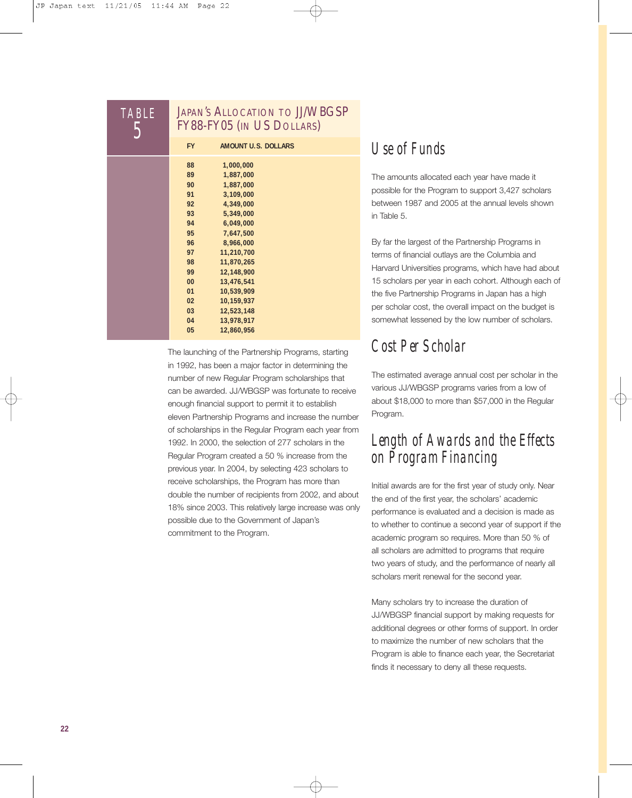| <b>TABLE</b> |                                                                      | <b>JAPAN'S ALLOCATION TO JJ/WBGSP</b><br>FY88-FY05 (IN US DOLLARS)                                                                                          |
|--------------|----------------------------------------------------------------------|-------------------------------------------------------------------------------------------------------------------------------------------------------------|
|              | <b>FY</b>                                                            | <b>AMOUNT U.S. DOLLARS</b>                                                                                                                                  |
|              | 88<br>89<br>90<br>91<br>92<br>93<br>94<br>95<br>96<br>97<br>98<br>99 | 1,000,000<br>1,887,000<br>1,887,000<br>3,109,000<br>4,349,000<br>5,349,000<br>6,049,000<br>7,647,500<br>8,966,000<br>11,210,700<br>11,870,265<br>12,148,900 |
|              | 00<br>01<br>02                                                       | 13,476,541<br>10,539,909<br>10,159,937                                                                                                                      |
|              | 03<br>04<br>05                                                       | 12,523,148<br>13,978,917<br>12,860,956                                                                                                                      |

The launching of the Partnership Programs, starting in 1992, has been a major factor in determining the number of new Regular Program scholarships that can be awarded. JJ/WBGSP was fortunate to receive enough financial support to permit it to establish eleven Partnership Programs and increase the number of scholarships in the Regular Program each year from 1992. In 2000, the selection of 277 scholars in the Regular Program created a 50 % increase from the previous year. In 2004, by selecting 423 scholars to receive scholarships, the Program has more than double the number of recipients from 2002, and about 18% since 2003. This relatively large increase was only possible due to the Government of Japan's commitment to the Program.

### *Use of Funds*

The amounts allocated each year have made it possible for the Program to support 3,427 scholars between 1987 and 2005 at the annual levels shown in Table 5.

By far the largest of the Partnership Programs in terms of financial outlays are the Columbia and Harvard Universities programs, which have had about 15 scholars per year in each cohort. Although each of the five Partnership Programs in Japan has a high per scholar cost, the overall impact on the budget is somewhat lessened by the low number of scholars.

### *Cost Per Scholar*

The estimated average annual cost per scholar in the various JJ/WBGSP programs varies from a low of about \$18,000 to more than \$57,000 in the Regular Program.

### *Length of Awards and the Effects on Program Financing*

Initial awards are for the first year of study only. Near the end of the first year, the scholars' academic performance is evaluated and a decision is made as to whether to continue a second year of support if the academic program so requires. More than 50 % of all scholars are admitted to programs that require two years of study, and the performance of nearly all scholars merit renewal for the second year.

Many scholars try to increase the duration of JJ/WBGSP financial support by making requests for additional degrees or other forms of support. In order to maximize the number of new scholars that the Program is able to finance each year, the Secretariat finds it necessary to deny all these requests.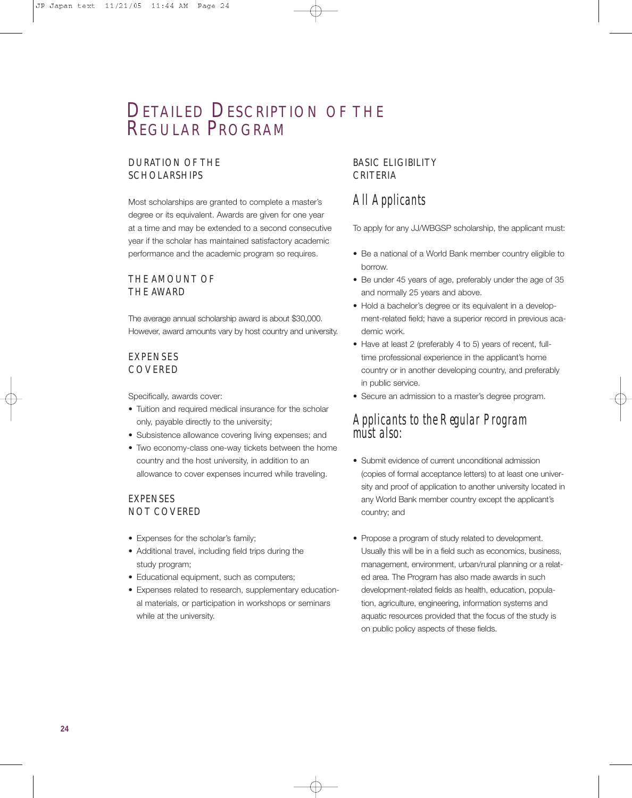### DETAILED DESCRIPTION OF THE REGULAR PROGRAM

#### DURATION OF THE **SCHOLARSHIPS**

Most scholarships are granted to complete a master's degree or its equivalent. Awards are given for one year at a time and may be extended to a second consecutive year if the scholar has maintained satisfactory academic performance and the academic program so requires.

#### THE AMOUNT OF THE AWARD

The average annual scholarship award is about \$30,000. However, award amounts vary by host country and university.

#### **EXPENSES** COVERED

Specifically, awards cover:

- Tuition and required medical insurance for the scholar only, payable directly to the university;
- Subsistence allowance covering living expenses; and
- Two economy-class one-way tickets between the home country and the host university, in addition to an allowance to cover expenses incurred while traveling.

#### **EXPENSES** NOT COVERED

- Expenses for the scholar's family;
- Additional travel, including field trips during the study program;
- Educational equipment, such as computers;
- Expenses related to research, supplementary educational materials, or participation in workshops or seminars while at the university.

#### BASIC ELIGIBILITY CRITERIA

#### *All Applicants*

To apply for any JJ/WBGSP scholarship, the applicant must:

- Be a national of a World Bank member country eligible to borrow.
- Be under 45 years of age, preferably under the age of 35 and normally 25 years and above.
- Hold a bachelor's degree or its equivalent in a development-related field; have a superior record in previous academic work.
- Have at least 2 (preferably 4 to 5) years of recent, fulltime professional experience in the applicant's home country or in another developing country, and preferably in public service.
- Secure an admission to a master's degree program.

#### *Applicants to the Regular Program*  must also:

- Submit evidence of current unconditional admission (copies of formal acceptance letters) to at least one university and proof of application to another university located in any World Bank member country except the applicant's country; and
- Propose a program of study related to development. Usually this will be in a field such as economics, business, management, environment, urban/rural planning or a related area. The Program has also made awards in such development-related fields as health, education, population, agriculture, engineering, information systems and aquatic resources provided that the focus of the study is on public policy aspects of these fields.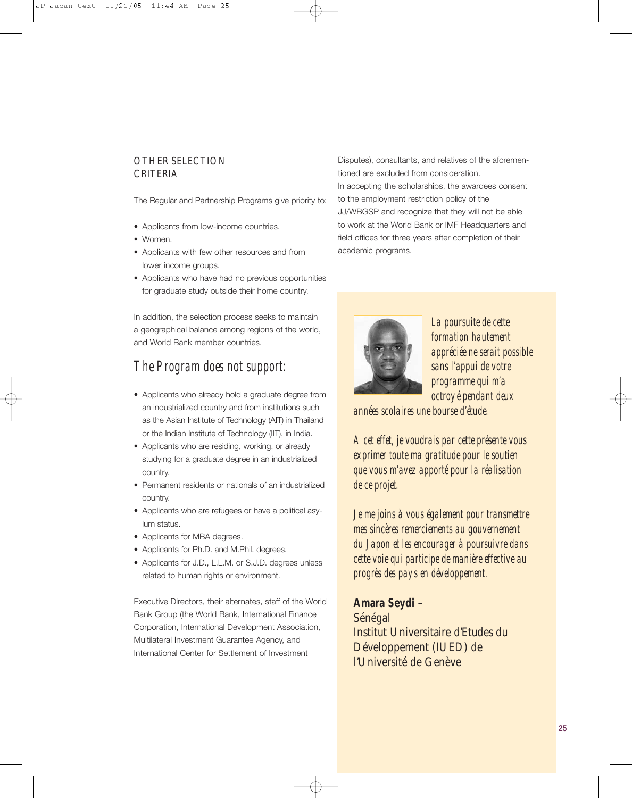#### OTHER SELECTION CRITERIA

The Regular and Partnership Programs give priority to:

- Applicants from low-income countries.
- Women.
- Applicants with few other resources and from lower income groups.
- Applicants who have had no previous opportunities for graduate study outside their home country.

In addition, the selection process seeks to maintain a geographical balance among regions of the world, and World Bank member countries.

#### *The Program does not support:*

- Applicants who already hold a graduate degree from an industrialized country and from institutions such as the Asian Institute of Technology (AIT) in Thailand or the Indian Institute of Technology (IIT), in India.
- Applicants who are residing, working, or already studying for a graduate degree in an industrialized country.
- Permanent residents or nationals of an industrialized country.
- Applicants who are refugees or have a political asylum status.
- Applicants for MBA degrees.
- Applicants for Ph.D. and M.Phil. degrees.
- Applicants for J.D., L.L.M. or S.J.D. degrees unless related to human rights or environment.

Executive Directors, their alternates, staff of the World Bank Group (the World Bank, International Finance Corporation, International Development Association, Multilateral Investment Guarantee Agency, and International Center for Settlement of Investment

Disputes), consultants, and relatives of the aforementioned are excluded from consideration. In accepting the scholarships, the awardees consent to the employment restriction policy of the JJ/WBGSP and recognize that they will not be able to work at the World Bank or IMF Headquarters and field offices for three years after completion of their academic programs.



*La poursuite de cette formation hautement appréciée ne serait possible sans l'appui de votre programme qui m'a octroyé pendant deux* 

*années scolaires une bourse d'étude.*

*A cet effet, je voudrais par cette présente vous exprimer toute ma gratitude pour le soutien que vous m'avez apporté pour la réalisation de ce projet.*

*Je me joins à vous également pour transmettre mes sincères remerciements au gouvernement du Japon et les encourager à poursuivre dans cette voie qui participe de manière effective au progrès des pays en développement.*

**Amara Seydi** – Sénégal Institut Universitaire d'Etudes du Développement (IUED) de l'Université de Genève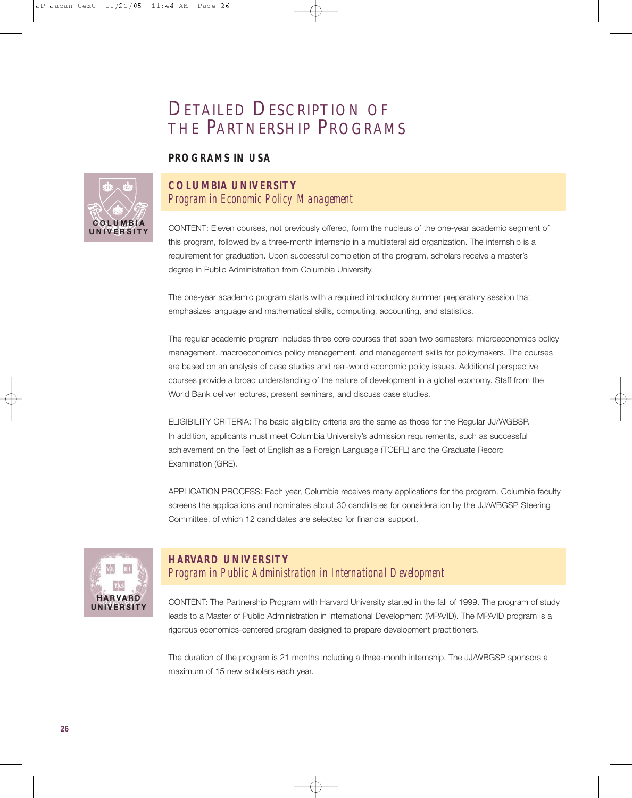### DETAILED DESCRIPTION OF THE PARTNERSHIP PROGRAMS

#### **PROGRAMS IN USA**



#### **COLUMBIA UNIVERSITY** *Program in Economic Policy Management*

CONTENT: Eleven courses, not previously offered, form the nucleus of the one-year academic segment of this program, followed by a three-month internship in a multilateral aid organization. The internship is a requirement for graduation. Upon successful completion of the program, scholars receive a master's degree in Public Administration from Columbia University.

The one-year academic program starts with a required introductory summer preparatory session that emphasizes language and mathematical skills, computing, accounting, and statistics.

The regular academic program includes three core courses that span two semesters: microeconomics policy management, macroeconomics policy management, and management skills for policymakers. The courses are based on an analysis of case studies and real-world economic policy issues. Additional perspective courses provide a broad understanding of the nature of development in a global economy. Staff from the World Bank deliver lectures, present seminars, and discuss case studies.

ELIGIBILITY CRITERIA: The basic eligibility criteria are the same as those for the Regular JJ/WGBSP. In addition, applicants must meet Columbia University's admission requirements, such as successful achievement on the Test of English as a Foreign Language (TOEFL) and the Graduate Record Examination (GRE).

APPLICATION PROCESS: Each year, Columbia receives many applications for the program. Columbia faculty screens the applications and nominates about 30 candidates for consideration by the JJ/WBGSP Steering Committee, of which 12 candidates are selected for financial support.



#### **HARVARD UNIVERSITY** *Program in Public Administration in International Development*

CONTENT: The Partnership Program with Harvard University started in the fall of 1999. The program of study leads to a Master of Public Administration in International Development (MPA/ID). The MPA/ID program is a rigorous economics-centered program designed to prepare development practitioners.

The duration of the program is 21 months including a three-month internship. The JJ/WBGSP sponsors a maximum of 15 new scholars each year.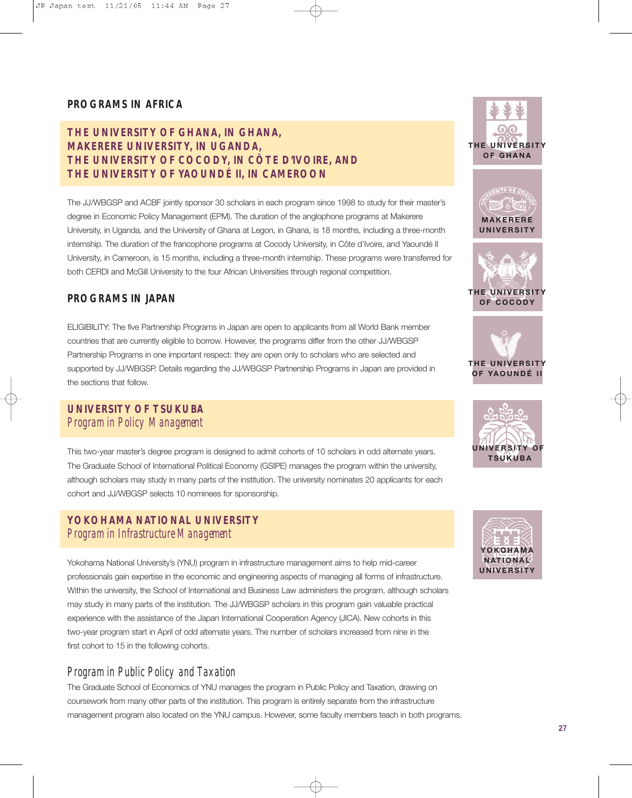#### **PROGRAMS IN AFRICA**

#### **THE UNIVERSITY OF GHANA, IN GHANA, MAKERERE UNIVERSITY, IN UGANDA, THE UNIVERSITY OF COCODY, IN CÔTE D'IVOIRE, AND THE UNIVERSITY OF YAOUNDÉ II, IN CAMEROON**

The JJ/WBGSP and ACBF jointly sponsor 30 scholars in each program since 1998 to study for their master's degree in Economic Policy Management (EPM). The duration of the anglophone programs at Makerere University, in Uganda, and the University of Ghana at Legon, in Ghana, is 18 months, including a three-month internship. The duration of the francophone programs at Cocody University, in Côte d'Ivoire, and Yaoundé II University, in Cameroon, is 15 months, including a three-month internship. These programs were transferred for both CERDI and McGill University to the four African Universities through regional competition.

#### **PROGRAMS IN JAPAN**

ELIGIBILITY: The five Partnership Programs in Japan are open to applicants from all World Bank member countries that are currently eligible to borrow. However, the programs differ from the other JJ/WBGSP Partnership Programs in one important respect: they are open only to scholars who are selected and supported by JJ/WBGSP. Details regarding the JJ/WBGSP Partnership Programs in Japan are provided in the sections that follow.

#### **UNIVERSITY OF TSUKUBA** *Program in Policy Management*

This two-year master's degree program is designed to admit cohorts of 10 scholars in odd alternate years. The Graduate School of International Political Economy (GSIPE) manages the program within the university, although scholars may study in many parts of the institution. The university nominates 20 applicants for each cohort and JJ/WBGSP selects 10 nominees for sponsorship.

#### **YOKOHAMA NATIONAL UNIVERSITY** *Program in Infrastructure Management*

Yokohama National University's (YNU) program in infrastructure management aims to help mid-career professionals gain expertise in the economic and engineering aspects of managing all forms of infrastructure. Within the university, the School of International and Business Law administers the program, although scholars may study in many parts of the institution. The JJ/WBGSP scholars in this program gain valuable practical experience with the assistance of the Japan International Cooperation Agency (JICA). New cohorts in this two-year program start in April of odd alternate years. The number of scholars increased from nine in the first cohort to 15 in the following cohorts.

#### *Program in Public Policy and Taxation*

The Graduate School of Economics of YNU manages the program in Public Policy and Taxation, drawing on coursework from many other parts of the institution. This program is entirely separate from the infrastructure management program also located on the YNU campus. However, some faculty members teach in both programs.







**OF COCODY**





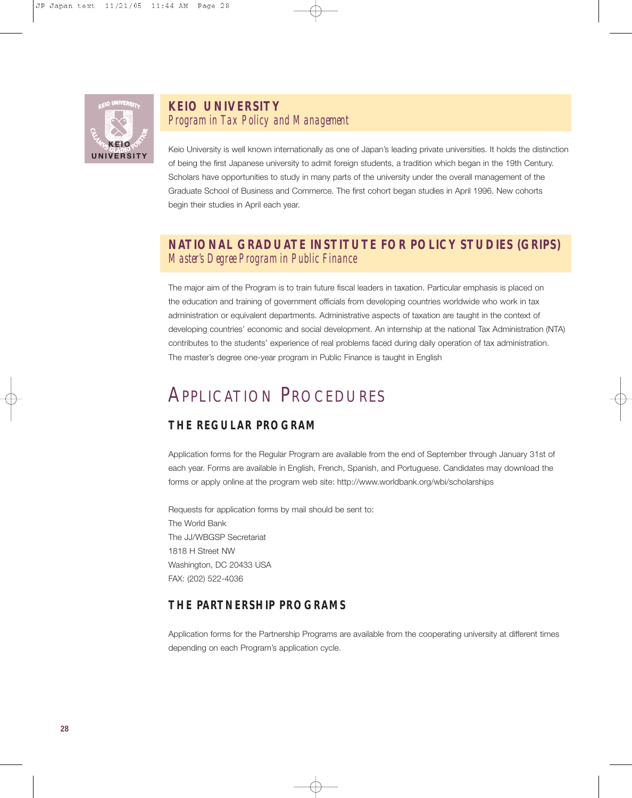

#### **KEIO UNIVERSITY** *Program in Tax Policy and Management*

Keio University is well known internationally as one of Japan's leading private universities. It holds the distinction of being the first Japanese university to admit foreign students, a tradition which began in the 19th Century. Scholars have opportunities to study in many parts of the university under the overall management of the Graduate School of Business and Commerce. The first cohort began studies in April 1996. New cohorts begin their studies in April each year.

#### **NATIONAL GRADUATE INSTITUTE FOR POLICY STUDIES (GRIPS)** *Master's Degree Program in Public Finance*

The major aim of the Program is to train future fiscal leaders in taxation. Particular emphasis is placed on the education and training of government officials from developing countries worldwide who work in tax administration or equivalent departments. Administrative aspects of taxation are taught in the context of developing countries' economic and social development. An internship at the national Tax Administration (NTA) contributes to the students' experience of real problems faced during daily operation of tax administration. The master's degree one-year program in Public Finance is taught in English

### APPLICATION PROCEDURES

#### **THE REGULAR PROGRAM**

Application forms for the Regular Program are available from the end of September through January 31st of each year. Forms are available in English, French, Spanish, and Portuguese. Candidates may download the forms or apply online at the program web site: http://www.worldbank.org/wbi/scholarships

Requests for application forms by mail should be sent to: The World Bank The JJ/WBGSP Secretariat 1818 H Street NW Washington, DC 20433 USA FAX: (202) 522-4036

#### **THE PARTNERSHIP PROGRAMS**

Application forms for the Partnership Programs are available from the cooperating university at different times depending on each Program's application cycle.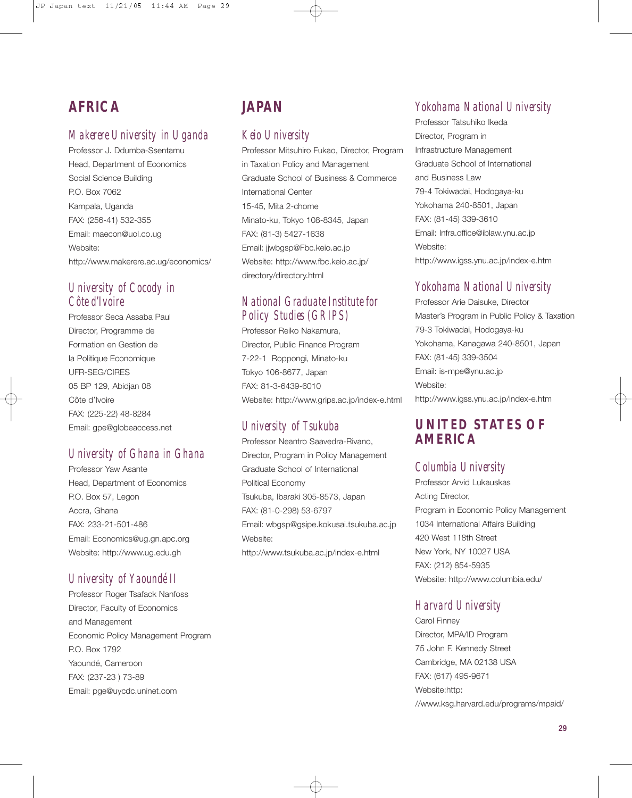### **AFRICA**

#### *Makerere University in Uganda*

Professor J. Ddumba-Ssentamu Head, Department of Economics Social Science Building P.O. Box 7062 Kampala, Uganda FAX: (256-41) 532-355 Email: maecon@uol.co.ug Website: http://www.makerere.ac.ug/economics/

#### *University of Cocody in Côte d'Ivoire*

Professor Seca Assaba Paul Director, Programme de Formation en Gestion de la Politique Economique UFR-SEG/CIRES 05 BP 129, Abidjan 08 Côte d'Ivoire FAX: (225-22) 48-8284 Email: gpe@globeaccess.net

#### *University of Ghana in Ghana*

Professor Yaw Asante Head, Department of Economics P.O. Box 57, Legon Accra, Ghana FAX: 233-21-501-486 Email: Economics@ug.gn.apc.org Website: http://www.ug.edu.gh

#### *University of Yaoundé II*

Professor Roger Tsafack Nanfoss Director, Faculty of Economics and Management Economic Policy Management Program P.O. Box 1792 Yaoundé, Cameroon FAX: (237-23 ) 73-89 Email: pge@uycdc.uninet.com

#### **JAPAN**

#### *Keio University*

Professor Mitsuhiro Fukao, Director, Program in Taxation Policy and Management Graduate School of Business & Commerce International Center 15-45, Mita 2-chome Minato-ku, Tokyo 108-8345, Japan FAX: (81-3) 5427-1638 Email: jjwbgsp@Fbc.keio.ac.jp Website: http://www.fbc.keio.ac.jp/ directory/directory.html

#### *National Graduate Institute for Policy Studies (GRIPS)*

Professor Reiko Nakamura, Director, Public Finance Program 7-22-1 Roppongi, Minato-ku Tokyo 106-8677, Japan FAX: 81-3-6439-6010 Website: http://www.grips.ac.jp/index-e.html

#### *University of Tsukuba*

Professor Neantro Saavedra-Rivano, Director, Program in Policy Management Graduate School of International Political Economy Tsukuba, Ibaraki 305-8573, Japan FAX: (81-0-298) 53-6797 Email: wbgsp@gsipe.kokusai.tsukuba.ac.jp Website: http://www.tsukuba.ac.jp/index-e.html

#### *Yokohama National University*

Professor Tatsuhiko Ikeda Director, Program in Infrastructure Management Graduate School of International and Business Law 79-4 Tokiwadai, Hodogaya-ku Yokohama 240-8501, Japan FAX: (81-45) 339-3610 Email: Infra.office@iblaw.ynu.ac.jp Website: http://www.igss.ynu.ac.jp/index-e.htm

#### *Yokohama National University*

Professor Arie Daisuke, Director Master's Program in Public Policy & Taxation 79-3 Tokiwadai, Hodogaya-ku Yokohama, Kanagawa 240-8501, Japan FAX: (81-45) 339-3504 Email: is-mpe@ynu.ac.jp Website: http://www.igss.ynu.ac.jp/index-e.htm

#### **UNITED STATES OF AMERICA**

#### *Columbia University*

Professor Arvid Lukauskas Acting Director, Program in Economic Policy Management 1034 International Affairs Building 420 West 118th Street New York, NY 10027 USA FAX: (212) 854-5935 Website: http://www.columbia.edu/

#### *Harvard University*

Carol Finney Director, MPA/ID Program 75 John F. Kennedy Street Cambridge, MA 02138 USA FAX: (617) 495-9671 Website:http: //www.ksg.harvard.edu/programs/mpaid/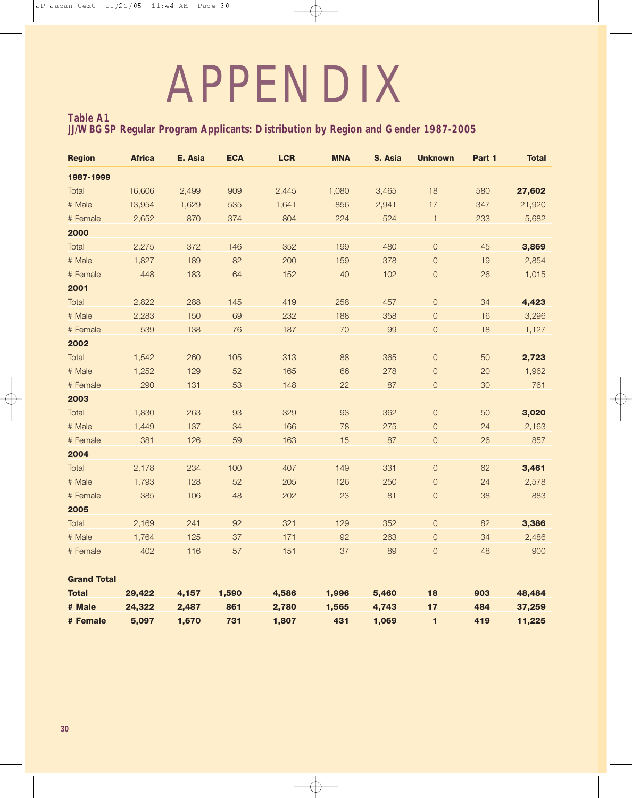# APPENDIX

#### **Table A1 JJ/WBGSP Regular Program Applicants: Distribution by Region and Gender 1987-2005**

| <b>Region</b>      | <b>Africa</b> | E. Asia | <b>ECA</b> | <b>LCR</b> | <b>MNA</b> | S. Asia | <b>Unknown</b> | Part 1 | <b>Total</b> |
|--------------------|---------------|---------|------------|------------|------------|---------|----------------|--------|--------------|
| 1987-1999          |               |         |            |            |            |         |                |        |              |
| Total              | 16,606        | 2,499   | 909        | 2,445      | 1,080      | 3,465   | 18             | 580    | 27,602       |
| # Male             | 13,954        | 1,629   | 535        | 1,641      | 856        | 2,941   | 17             | 347    | 21,920       |
| # Female           | 2,652         | 870     | 374        | 804        | 224        | 524     | $\mathbf{1}$   | 233    | 5,682        |
| 2000               |               |         |            |            |            |         |                |        |              |
| Total              | 2,275         | 372     | 146        | 352        | 199        | 480     | $\mathbf 0$    | 45     | 3,869        |
| # Male             | 1,827         | 189     | 82         | 200        | 159        | 378     | $\overline{0}$ | 19     | 2,854        |
| # Female           | 448           | 183     | 64         | 152        | 40         | 102     | $\mathsf O$    | 26     | 1,015        |
| 2001               |               |         |            |            |            |         |                |        |              |
| Total              | 2,822         | 288     | 145        | 419        | 258        | 457     | $\mathsf O$    | 34     | 4,423        |
| # Male             | 2,283         | 150     | 69         | 232        | 188        | 358     | $\mathbf 0$    | 16     | 3,296        |
| # Female           | 539           | 138     | 76         | 187        | 70         | 99      | $\mathsf O$    | 18     | 1,127        |
| 2002               |               |         |            |            |            |         |                |        |              |
| Total              | 1,542         | 260     | 105        | 313        | 88         | 365     | $\mathsf O$    | 50     | 2,723        |
| # Male             | 1,252         | 129     | 52         | 165        | 66         | 278     | $\mathsf O$    | 20     | 1,962        |
| # Female           | 290           | 131     | 53         | 148        | 22         | 87      | $\mathsf O$    | 30     | 761          |
| 2003               |               |         |            |            |            |         |                |        |              |
| Total              | 1,830         | 263     | 93         | 329        | 93         | 362     | $\mathbf 0$    | 50     | 3,020        |
| # Male             | 1,449         | 137     | 34         | 166        | 78         | 275     | $\mathsf O$    | 24     | 2,163        |
| # Female           | 381           | 126     | 59         | 163        | 15         | 87      | $\mathsf O$    | 26     | 857          |
| 2004               |               |         |            |            |            |         |                |        |              |
| Total              | 2,178         | 234     | 100        | 407        | 149        | 331     | $\mathsf O$    | 62     | 3,461        |
| # Male             | 1,793         | 128     | 52         | 205        | 126        | 250     | $\mathsf O$    | 24     | 2,578        |
| # Female           | 385           | 106     | 48         | 202        | 23         | 81      | $\mathsf O$    | 38     | 883          |
| 2005               |               |         |            |            |            |         |                |        |              |
| Total              | 2,169         | 241     | 92         | 321        | 129        | 352     | $\mathsf O$    | 82     | 3,386        |
| # Male             | 1,764         | 125     | 37         | 171        | 92         | 263     | $\mathsf O$    | 34     | 2,486        |
| # Female           | 402           | 116     | 57         | 151        | 37         | 89      | $\mathsf O$    | 48     | 900          |
| <b>Grand Total</b> |               |         |            |            |            |         |                |        |              |
| <b>Total</b>       | 29,422        | 4,157   | 1,590      | 4,586      | 1,996      | 5,460   | 18             | 903    | 48,484       |
| # Male             | 24,322        | 2,487   | 861        | 2,780      | 1,565      | 4,743   | 17             | 484    | 37,259       |
| # Female           | 5,097         | 1,670   | 731        | 1,807      | 431        | 1,069   | $\blacksquare$ | 419    | 11,225       |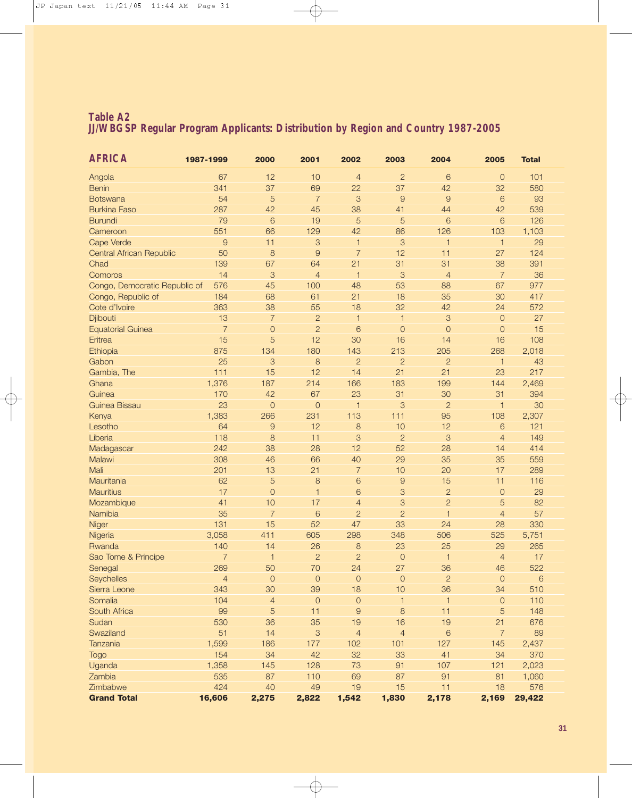#### **Table A2 JJ/WBGSP Regular Program Applicants: Distribution by Region and Country 1987-2005**

| $\overline{c}$<br>Angola<br>67<br>12<br>10<br>$\overline{0}$<br>101<br>$\overline{4}$<br>6<br>341<br>37<br>69<br>37<br>32<br>580<br><b>Benin</b><br>22<br>42<br>54<br>5<br>$\overline{7}$<br>3<br>$\overline{9}$<br>9<br>6<br>93<br>Botswana<br><b>Burkina Faso</b><br>287<br>42<br>45<br>41<br>42<br>539<br>38<br>44<br>79<br>6<br>19<br>5<br>5<br>6<br>126<br><b>Burundi</b><br>6<br>551<br>66<br>129<br>42<br>86<br>126<br>Cameroon<br>103<br>1,103<br>Cape Verde<br>$\overline{9}$<br>3<br>3<br>11<br>29<br>$\mathbf{1}$<br>$\mathbf 1$<br>$\mathbf{1}$<br>50<br>8<br>$\overline{9}$<br>$\overline{7}$<br>12<br>Central African Republic<br>11<br>27<br>124<br>139<br>67<br>64<br>21<br>31<br>31<br>38<br>391<br>Chad<br>$\overline{7}$<br>36<br>14<br>3<br>$\overline{4}$<br>3<br>Comoros<br>$\overline{1}$<br>$\overline{4}$<br>45<br>100<br>48<br>53<br>67<br>977<br>Congo, Democratic Republic of<br>576<br>88<br>184<br>68<br>61<br>21<br>18<br>35<br>30<br>417<br>Congo, Republic of<br>32<br>363<br>38<br>55<br>18<br>42<br>24<br>572<br>Cote d'Ivoire<br>$\overline{c}$<br>27<br>13<br>$\overline{7}$<br>$\mbox{3}$<br>Djibouti<br>$\overline{1}$<br>$\overline{O}$<br>$\mathbf{1}$<br>$\overline{7}$<br>$\overline{c}$<br>15<br>$\mathbf 0$<br>6<br>$\overline{0}$<br>$\overline{0}$<br>$\mathbf 0$<br><b>Equatorial Guinea</b><br>15<br>5<br>12<br>30<br>16<br>16<br>108<br>Eritrea<br>14<br>875<br>180<br>143<br>213<br>205<br>268<br>2,018<br>Ethiopia<br>134<br>25<br>Gabon<br>3<br>8<br>$\overline{2}$<br>$\overline{c}$<br>$\overline{2}$<br>43<br>$\mathbf{1}$<br>111<br>15<br>12<br>21<br>21<br>23<br>217<br>Gambia, The<br>14<br>1,376<br>187<br>Ghana<br>214<br>166<br>183<br>199<br>144<br>2,469<br>Guinea<br>170<br>42<br>67<br>23<br>31<br>31<br>30<br>394<br>23<br>$\overline{0}$<br>$\mathbf{O}$<br>3<br>$\overline{2}$<br>30<br>Guinea Bissau<br>$\overline{1}$<br>$\mathbf{1}$<br>1,383<br>113<br>$111$<br>2,307<br>Kenya<br>266<br>231<br>95<br>108<br>64<br>12<br>10<br>Lesotho<br>9<br>8<br>12<br>6<br>121<br>Liberia<br>118<br>$\overline{2}$<br>$\mathcal{S}$<br>8<br>11<br>3<br>$\overline{4}$<br>149<br>242<br>52<br>28<br>Madagascar<br>38<br>28<br>12<br>414<br>14<br>Malawi<br>308<br>66<br>35<br>559<br>46<br>40<br>29<br>35<br>Mali<br>201<br>21<br>17<br>13<br>$\overline{7}$<br>10<br>20<br>289<br>Mauritania<br>62<br>5<br>8<br>15<br>6<br>$\overline{9}$<br>11<br>116<br><b>Mauritius</b><br>17<br>$\overline{O}$<br>6<br>3<br>$\overline{2}$<br>29<br>$\mathbf{1}$<br>$\overline{O}$<br>3<br>$\overline{2}$<br>41<br>17<br>5<br>82<br>Mozambique<br>10<br>$\overline{4}$<br>$\overline{2}$<br>57<br>Namibia<br>35<br>$\overline{7}$<br>6<br>$\overline{2}$<br>$\overline{4}$<br>1<br>131<br>15<br>52<br>47<br>33<br>330<br>Niger<br>24<br>28<br>3,058<br>411<br>605<br>298<br>506<br>5,751<br>Nigeria<br>348<br>525<br>140<br>14<br>26<br>8<br>23<br>25<br>29<br>265<br>Rwanda<br>$\overline{2}$<br>$\overline{7}$<br>$\overline{c}$<br>17<br>Sao Tome & Principe<br>1<br>$\overline{0}$<br>$\overline{4}$<br>1<br>522<br>269<br>50<br>70<br>24<br>27<br>36<br>Senegal<br>46<br>$\mathsf{O}$<br>$\circ$<br>$\overline{c}$<br>$\overline{4}$<br>$\overline{0}$<br>$\overline{0}$<br>$\circ$<br>$\,$ 6 $\,$<br>Seychelles<br>343<br>30<br>39<br>18<br>10<br>36<br>34<br>510<br>Sierra Leone<br>104<br>$\mathbf{O}$<br>110<br>Somalia<br>$\overline{4}$<br>$\overline{O}$<br>$\mathbf{1}$<br>$\overline{O}$<br>$\mathbf{1}$<br>5<br>8<br>99<br>11<br>9<br>11<br>5<br>148<br>South Africa<br>530<br>36<br>35<br>19<br>16<br>21<br>Sudan<br>19<br>676<br>$\overline{7}$<br>51<br>14<br>3<br>$\overline{4}$<br>6<br>89<br>Swaziland<br>$\overline{4}$<br>1,599<br>177<br>102<br>127<br>Tanzania<br>186<br>101<br>145<br>2,437<br>154<br>34<br>42<br>32<br>33<br>41<br>370<br><b>Togo</b><br>34<br>1,358<br>128<br>73<br>107<br>Uganda<br>145<br>91<br>121<br>2,023<br>535<br>87<br>110<br>69<br>87<br>91<br>Zambia<br>81<br>1,060<br>424<br>49<br>Zimbabwe<br>40<br>19<br>15<br>11<br>18<br>576<br><b>Grand Total</b><br>16,606<br>2,275<br>2,822<br>1,542<br>1,830<br>2,178<br>2,169<br>29,422 | <b>AFRICA</b> | 1987-1999 | 2000 | 2001 | 2002 | 2003 | 2004 | 2005 | <b>Total</b> |  |
|------------------------------------------------------------------------------------------------------------------------------------------------------------------------------------------------------------------------------------------------------------------------------------------------------------------------------------------------------------------------------------------------------------------------------------------------------------------------------------------------------------------------------------------------------------------------------------------------------------------------------------------------------------------------------------------------------------------------------------------------------------------------------------------------------------------------------------------------------------------------------------------------------------------------------------------------------------------------------------------------------------------------------------------------------------------------------------------------------------------------------------------------------------------------------------------------------------------------------------------------------------------------------------------------------------------------------------------------------------------------------------------------------------------------------------------------------------------------------------------------------------------------------------------------------------------------------------------------------------------------------------------------------------------------------------------------------------------------------------------------------------------------------------------------------------------------------------------------------------------------------------------------------------------------------------------------------------------------------------------------------------------------------------------------------------------------------------------------------------------------------------------------------------------------------------------------------------------------------------------------------------------------------------------------------------------------------------------------------------------------------------------------------------------------------------------------------------------------------------------------------------------------------------------------------------------------------------------------------------------------------------------------------------------------------------------------------------------------------------------------------------------------------------------------------------------------------------------------------------------------------------------------------------------------------------------------------------------------------------------------------------------------------------------------------------------------------------------------------------------------------------------------------------------------------------------------------------------------------------------------------------------------------------------------------------------------------------------------------------------------------------------------------------------------------------------------------------------------------------------------------------------------------------------------------------------------------------------------------------------------------------------------------------------------------------------------------------------------------------------------------------------------------------------------------------------------------------------------------------------------------------------------------------------------------------------------------------------------------------------------------------------------------------------------------------------------------------------------------------------------------------------|---------------|-----------|------|------|------|------|------|------|--------------|--|
|                                                                                                                                                                                                                                                                                                                                                                                                                                                                                                                                                                                                                                                                                                                                                                                                                                                                                                                                                                                                                                                                                                                                                                                                                                                                                                                                                                                                                                                                                                                                                                                                                                                                                                                                                                                                                                                                                                                                                                                                                                                                                                                                                                                                                                                                                                                                                                                                                                                                                                                                                                                                                                                                                                                                                                                                                                                                                                                                                                                                                                                                                                                                                                                                                                                                                                                                                                                                                                                                                                                                                                                                                                                                                                                                                                                                                                                                                                                                                                                                                                                                                                                                          |               |           |      |      |      |      |      |      |              |  |
|                                                                                                                                                                                                                                                                                                                                                                                                                                                                                                                                                                                                                                                                                                                                                                                                                                                                                                                                                                                                                                                                                                                                                                                                                                                                                                                                                                                                                                                                                                                                                                                                                                                                                                                                                                                                                                                                                                                                                                                                                                                                                                                                                                                                                                                                                                                                                                                                                                                                                                                                                                                                                                                                                                                                                                                                                                                                                                                                                                                                                                                                                                                                                                                                                                                                                                                                                                                                                                                                                                                                                                                                                                                                                                                                                                                                                                                                                                                                                                                                                                                                                                                                          |               |           |      |      |      |      |      |      |              |  |
|                                                                                                                                                                                                                                                                                                                                                                                                                                                                                                                                                                                                                                                                                                                                                                                                                                                                                                                                                                                                                                                                                                                                                                                                                                                                                                                                                                                                                                                                                                                                                                                                                                                                                                                                                                                                                                                                                                                                                                                                                                                                                                                                                                                                                                                                                                                                                                                                                                                                                                                                                                                                                                                                                                                                                                                                                                                                                                                                                                                                                                                                                                                                                                                                                                                                                                                                                                                                                                                                                                                                                                                                                                                                                                                                                                                                                                                                                                                                                                                                                                                                                                                                          |               |           |      |      |      |      |      |      |              |  |
|                                                                                                                                                                                                                                                                                                                                                                                                                                                                                                                                                                                                                                                                                                                                                                                                                                                                                                                                                                                                                                                                                                                                                                                                                                                                                                                                                                                                                                                                                                                                                                                                                                                                                                                                                                                                                                                                                                                                                                                                                                                                                                                                                                                                                                                                                                                                                                                                                                                                                                                                                                                                                                                                                                                                                                                                                                                                                                                                                                                                                                                                                                                                                                                                                                                                                                                                                                                                                                                                                                                                                                                                                                                                                                                                                                                                                                                                                                                                                                                                                                                                                                                                          |               |           |      |      |      |      |      |      |              |  |
|                                                                                                                                                                                                                                                                                                                                                                                                                                                                                                                                                                                                                                                                                                                                                                                                                                                                                                                                                                                                                                                                                                                                                                                                                                                                                                                                                                                                                                                                                                                                                                                                                                                                                                                                                                                                                                                                                                                                                                                                                                                                                                                                                                                                                                                                                                                                                                                                                                                                                                                                                                                                                                                                                                                                                                                                                                                                                                                                                                                                                                                                                                                                                                                                                                                                                                                                                                                                                                                                                                                                                                                                                                                                                                                                                                                                                                                                                                                                                                                                                                                                                                                                          |               |           |      |      |      |      |      |      |              |  |
|                                                                                                                                                                                                                                                                                                                                                                                                                                                                                                                                                                                                                                                                                                                                                                                                                                                                                                                                                                                                                                                                                                                                                                                                                                                                                                                                                                                                                                                                                                                                                                                                                                                                                                                                                                                                                                                                                                                                                                                                                                                                                                                                                                                                                                                                                                                                                                                                                                                                                                                                                                                                                                                                                                                                                                                                                                                                                                                                                                                                                                                                                                                                                                                                                                                                                                                                                                                                                                                                                                                                                                                                                                                                                                                                                                                                                                                                                                                                                                                                                                                                                                                                          |               |           |      |      |      |      |      |      |              |  |
|                                                                                                                                                                                                                                                                                                                                                                                                                                                                                                                                                                                                                                                                                                                                                                                                                                                                                                                                                                                                                                                                                                                                                                                                                                                                                                                                                                                                                                                                                                                                                                                                                                                                                                                                                                                                                                                                                                                                                                                                                                                                                                                                                                                                                                                                                                                                                                                                                                                                                                                                                                                                                                                                                                                                                                                                                                                                                                                                                                                                                                                                                                                                                                                                                                                                                                                                                                                                                                                                                                                                                                                                                                                                                                                                                                                                                                                                                                                                                                                                                                                                                                                                          |               |           |      |      |      |      |      |      |              |  |
|                                                                                                                                                                                                                                                                                                                                                                                                                                                                                                                                                                                                                                                                                                                                                                                                                                                                                                                                                                                                                                                                                                                                                                                                                                                                                                                                                                                                                                                                                                                                                                                                                                                                                                                                                                                                                                                                                                                                                                                                                                                                                                                                                                                                                                                                                                                                                                                                                                                                                                                                                                                                                                                                                                                                                                                                                                                                                                                                                                                                                                                                                                                                                                                                                                                                                                                                                                                                                                                                                                                                                                                                                                                                                                                                                                                                                                                                                                                                                                                                                                                                                                                                          |               |           |      |      |      |      |      |      |              |  |
|                                                                                                                                                                                                                                                                                                                                                                                                                                                                                                                                                                                                                                                                                                                                                                                                                                                                                                                                                                                                                                                                                                                                                                                                                                                                                                                                                                                                                                                                                                                                                                                                                                                                                                                                                                                                                                                                                                                                                                                                                                                                                                                                                                                                                                                                                                                                                                                                                                                                                                                                                                                                                                                                                                                                                                                                                                                                                                                                                                                                                                                                                                                                                                                                                                                                                                                                                                                                                                                                                                                                                                                                                                                                                                                                                                                                                                                                                                                                                                                                                                                                                                                                          |               |           |      |      |      |      |      |      |              |  |
|                                                                                                                                                                                                                                                                                                                                                                                                                                                                                                                                                                                                                                                                                                                                                                                                                                                                                                                                                                                                                                                                                                                                                                                                                                                                                                                                                                                                                                                                                                                                                                                                                                                                                                                                                                                                                                                                                                                                                                                                                                                                                                                                                                                                                                                                                                                                                                                                                                                                                                                                                                                                                                                                                                                                                                                                                                                                                                                                                                                                                                                                                                                                                                                                                                                                                                                                                                                                                                                                                                                                                                                                                                                                                                                                                                                                                                                                                                                                                                                                                                                                                                                                          |               |           |      |      |      |      |      |      |              |  |
|                                                                                                                                                                                                                                                                                                                                                                                                                                                                                                                                                                                                                                                                                                                                                                                                                                                                                                                                                                                                                                                                                                                                                                                                                                                                                                                                                                                                                                                                                                                                                                                                                                                                                                                                                                                                                                                                                                                                                                                                                                                                                                                                                                                                                                                                                                                                                                                                                                                                                                                                                                                                                                                                                                                                                                                                                                                                                                                                                                                                                                                                                                                                                                                                                                                                                                                                                                                                                                                                                                                                                                                                                                                                                                                                                                                                                                                                                                                                                                                                                                                                                                                                          |               |           |      |      |      |      |      |      |              |  |
|                                                                                                                                                                                                                                                                                                                                                                                                                                                                                                                                                                                                                                                                                                                                                                                                                                                                                                                                                                                                                                                                                                                                                                                                                                                                                                                                                                                                                                                                                                                                                                                                                                                                                                                                                                                                                                                                                                                                                                                                                                                                                                                                                                                                                                                                                                                                                                                                                                                                                                                                                                                                                                                                                                                                                                                                                                                                                                                                                                                                                                                                                                                                                                                                                                                                                                                                                                                                                                                                                                                                                                                                                                                                                                                                                                                                                                                                                                                                                                                                                                                                                                                                          |               |           |      |      |      |      |      |      |              |  |
|                                                                                                                                                                                                                                                                                                                                                                                                                                                                                                                                                                                                                                                                                                                                                                                                                                                                                                                                                                                                                                                                                                                                                                                                                                                                                                                                                                                                                                                                                                                                                                                                                                                                                                                                                                                                                                                                                                                                                                                                                                                                                                                                                                                                                                                                                                                                                                                                                                                                                                                                                                                                                                                                                                                                                                                                                                                                                                                                                                                                                                                                                                                                                                                                                                                                                                                                                                                                                                                                                                                                                                                                                                                                                                                                                                                                                                                                                                                                                                                                                                                                                                                                          |               |           |      |      |      |      |      |      |              |  |
|                                                                                                                                                                                                                                                                                                                                                                                                                                                                                                                                                                                                                                                                                                                                                                                                                                                                                                                                                                                                                                                                                                                                                                                                                                                                                                                                                                                                                                                                                                                                                                                                                                                                                                                                                                                                                                                                                                                                                                                                                                                                                                                                                                                                                                                                                                                                                                                                                                                                                                                                                                                                                                                                                                                                                                                                                                                                                                                                                                                                                                                                                                                                                                                                                                                                                                                                                                                                                                                                                                                                                                                                                                                                                                                                                                                                                                                                                                                                                                                                                                                                                                                                          |               |           |      |      |      |      |      |      |              |  |
|                                                                                                                                                                                                                                                                                                                                                                                                                                                                                                                                                                                                                                                                                                                                                                                                                                                                                                                                                                                                                                                                                                                                                                                                                                                                                                                                                                                                                                                                                                                                                                                                                                                                                                                                                                                                                                                                                                                                                                                                                                                                                                                                                                                                                                                                                                                                                                                                                                                                                                                                                                                                                                                                                                                                                                                                                                                                                                                                                                                                                                                                                                                                                                                                                                                                                                                                                                                                                                                                                                                                                                                                                                                                                                                                                                                                                                                                                                                                                                                                                                                                                                                                          |               |           |      |      |      |      |      |      |              |  |
|                                                                                                                                                                                                                                                                                                                                                                                                                                                                                                                                                                                                                                                                                                                                                                                                                                                                                                                                                                                                                                                                                                                                                                                                                                                                                                                                                                                                                                                                                                                                                                                                                                                                                                                                                                                                                                                                                                                                                                                                                                                                                                                                                                                                                                                                                                                                                                                                                                                                                                                                                                                                                                                                                                                                                                                                                                                                                                                                                                                                                                                                                                                                                                                                                                                                                                                                                                                                                                                                                                                                                                                                                                                                                                                                                                                                                                                                                                                                                                                                                                                                                                                                          |               |           |      |      |      |      |      |      |              |  |
|                                                                                                                                                                                                                                                                                                                                                                                                                                                                                                                                                                                                                                                                                                                                                                                                                                                                                                                                                                                                                                                                                                                                                                                                                                                                                                                                                                                                                                                                                                                                                                                                                                                                                                                                                                                                                                                                                                                                                                                                                                                                                                                                                                                                                                                                                                                                                                                                                                                                                                                                                                                                                                                                                                                                                                                                                                                                                                                                                                                                                                                                                                                                                                                                                                                                                                                                                                                                                                                                                                                                                                                                                                                                                                                                                                                                                                                                                                                                                                                                                                                                                                                                          |               |           |      |      |      |      |      |      |              |  |
|                                                                                                                                                                                                                                                                                                                                                                                                                                                                                                                                                                                                                                                                                                                                                                                                                                                                                                                                                                                                                                                                                                                                                                                                                                                                                                                                                                                                                                                                                                                                                                                                                                                                                                                                                                                                                                                                                                                                                                                                                                                                                                                                                                                                                                                                                                                                                                                                                                                                                                                                                                                                                                                                                                                                                                                                                                                                                                                                                                                                                                                                                                                                                                                                                                                                                                                                                                                                                                                                                                                                                                                                                                                                                                                                                                                                                                                                                                                                                                                                                                                                                                                                          |               |           |      |      |      |      |      |      |              |  |
|                                                                                                                                                                                                                                                                                                                                                                                                                                                                                                                                                                                                                                                                                                                                                                                                                                                                                                                                                                                                                                                                                                                                                                                                                                                                                                                                                                                                                                                                                                                                                                                                                                                                                                                                                                                                                                                                                                                                                                                                                                                                                                                                                                                                                                                                                                                                                                                                                                                                                                                                                                                                                                                                                                                                                                                                                                                                                                                                                                                                                                                                                                                                                                                                                                                                                                                                                                                                                                                                                                                                                                                                                                                                                                                                                                                                                                                                                                                                                                                                                                                                                                                                          |               |           |      |      |      |      |      |      |              |  |
|                                                                                                                                                                                                                                                                                                                                                                                                                                                                                                                                                                                                                                                                                                                                                                                                                                                                                                                                                                                                                                                                                                                                                                                                                                                                                                                                                                                                                                                                                                                                                                                                                                                                                                                                                                                                                                                                                                                                                                                                                                                                                                                                                                                                                                                                                                                                                                                                                                                                                                                                                                                                                                                                                                                                                                                                                                                                                                                                                                                                                                                                                                                                                                                                                                                                                                                                                                                                                                                                                                                                                                                                                                                                                                                                                                                                                                                                                                                                                                                                                                                                                                                                          |               |           |      |      |      |      |      |      |              |  |
|                                                                                                                                                                                                                                                                                                                                                                                                                                                                                                                                                                                                                                                                                                                                                                                                                                                                                                                                                                                                                                                                                                                                                                                                                                                                                                                                                                                                                                                                                                                                                                                                                                                                                                                                                                                                                                                                                                                                                                                                                                                                                                                                                                                                                                                                                                                                                                                                                                                                                                                                                                                                                                                                                                                                                                                                                                                                                                                                                                                                                                                                                                                                                                                                                                                                                                                                                                                                                                                                                                                                                                                                                                                                                                                                                                                                                                                                                                                                                                                                                                                                                                                                          |               |           |      |      |      |      |      |      |              |  |
|                                                                                                                                                                                                                                                                                                                                                                                                                                                                                                                                                                                                                                                                                                                                                                                                                                                                                                                                                                                                                                                                                                                                                                                                                                                                                                                                                                                                                                                                                                                                                                                                                                                                                                                                                                                                                                                                                                                                                                                                                                                                                                                                                                                                                                                                                                                                                                                                                                                                                                                                                                                                                                                                                                                                                                                                                                                                                                                                                                                                                                                                                                                                                                                                                                                                                                                                                                                                                                                                                                                                                                                                                                                                                                                                                                                                                                                                                                                                                                                                                                                                                                                                          |               |           |      |      |      |      |      |      |              |  |
|                                                                                                                                                                                                                                                                                                                                                                                                                                                                                                                                                                                                                                                                                                                                                                                                                                                                                                                                                                                                                                                                                                                                                                                                                                                                                                                                                                                                                                                                                                                                                                                                                                                                                                                                                                                                                                                                                                                                                                                                                                                                                                                                                                                                                                                                                                                                                                                                                                                                                                                                                                                                                                                                                                                                                                                                                                                                                                                                                                                                                                                                                                                                                                                                                                                                                                                                                                                                                                                                                                                                                                                                                                                                                                                                                                                                                                                                                                                                                                                                                                                                                                                                          |               |           |      |      |      |      |      |      |              |  |
|                                                                                                                                                                                                                                                                                                                                                                                                                                                                                                                                                                                                                                                                                                                                                                                                                                                                                                                                                                                                                                                                                                                                                                                                                                                                                                                                                                                                                                                                                                                                                                                                                                                                                                                                                                                                                                                                                                                                                                                                                                                                                                                                                                                                                                                                                                                                                                                                                                                                                                                                                                                                                                                                                                                                                                                                                                                                                                                                                                                                                                                                                                                                                                                                                                                                                                                                                                                                                                                                                                                                                                                                                                                                                                                                                                                                                                                                                                                                                                                                                                                                                                                                          |               |           |      |      |      |      |      |      |              |  |
|                                                                                                                                                                                                                                                                                                                                                                                                                                                                                                                                                                                                                                                                                                                                                                                                                                                                                                                                                                                                                                                                                                                                                                                                                                                                                                                                                                                                                                                                                                                                                                                                                                                                                                                                                                                                                                                                                                                                                                                                                                                                                                                                                                                                                                                                                                                                                                                                                                                                                                                                                                                                                                                                                                                                                                                                                                                                                                                                                                                                                                                                                                                                                                                                                                                                                                                                                                                                                                                                                                                                                                                                                                                                                                                                                                                                                                                                                                                                                                                                                                                                                                                                          |               |           |      |      |      |      |      |      |              |  |
|                                                                                                                                                                                                                                                                                                                                                                                                                                                                                                                                                                                                                                                                                                                                                                                                                                                                                                                                                                                                                                                                                                                                                                                                                                                                                                                                                                                                                                                                                                                                                                                                                                                                                                                                                                                                                                                                                                                                                                                                                                                                                                                                                                                                                                                                                                                                                                                                                                                                                                                                                                                                                                                                                                                                                                                                                                                                                                                                                                                                                                                                                                                                                                                                                                                                                                                                                                                                                                                                                                                                                                                                                                                                                                                                                                                                                                                                                                                                                                                                                                                                                                                                          |               |           |      |      |      |      |      |      |              |  |
|                                                                                                                                                                                                                                                                                                                                                                                                                                                                                                                                                                                                                                                                                                                                                                                                                                                                                                                                                                                                                                                                                                                                                                                                                                                                                                                                                                                                                                                                                                                                                                                                                                                                                                                                                                                                                                                                                                                                                                                                                                                                                                                                                                                                                                                                                                                                                                                                                                                                                                                                                                                                                                                                                                                                                                                                                                                                                                                                                                                                                                                                                                                                                                                                                                                                                                                                                                                                                                                                                                                                                                                                                                                                                                                                                                                                                                                                                                                                                                                                                                                                                                                                          |               |           |      |      |      |      |      |      |              |  |
|                                                                                                                                                                                                                                                                                                                                                                                                                                                                                                                                                                                                                                                                                                                                                                                                                                                                                                                                                                                                                                                                                                                                                                                                                                                                                                                                                                                                                                                                                                                                                                                                                                                                                                                                                                                                                                                                                                                                                                                                                                                                                                                                                                                                                                                                                                                                                                                                                                                                                                                                                                                                                                                                                                                                                                                                                                                                                                                                                                                                                                                                                                                                                                                                                                                                                                                                                                                                                                                                                                                                                                                                                                                                                                                                                                                                                                                                                                                                                                                                                                                                                                                                          |               |           |      |      |      |      |      |      |              |  |
|                                                                                                                                                                                                                                                                                                                                                                                                                                                                                                                                                                                                                                                                                                                                                                                                                                                                                                                                                                                                                                                                                                                                                                                                                                                                                                                                                                                                                                                                                                                                                                                                                                                                                                                                                                                                                                                                                                                                                                                                                                                                                                                                                                                                                                                                                                                                                                                                                                                                                                                                                                                                                                                                                                                                                                                                                                                                                                                                                                                                                                                                                                                                                                                                                                                                                                                                                                                                                                                                                                                                                                                                                                                                                                                                                                                                                                                                                                                                                                                                                                                                                                                                          |               |           |      |      |      |      |      |      |              |  |
|                                                                                                                                                                                                                                                                                                                                                                                                                                                                                                                                                                                                                                                                                                                                                                                                                                                                                                                                                                                                                                                                                                                                                                                                                                                                                                                                                                                                                                                                                                                                                                                                                                                                                                                                                                                                                                                                                                                                                                                                                                                                                                                                                                                                                                                                                                                                                                                                                                                                                                                                                                                                                                                                                                                                                                                                                                                                                                                                                                                                                                                                                                                                                                                                                                                                                                                                                                                                                                                                                                                                                                                                                                                                                                                                                                                                                                                                                                                                                                                                                                                                                                                                          |               |           |      |      |      |      |      |      |              |  |
|                                                                                                                                                                                                                                                                                                                                                                                                                                                                                                                                                                                                                                                                                                                                                                                                                                                                                                                                                                                                                                                                                                                                                                                                                                                                                                                                                                                                                                                                                                                                                                                                                                                                                                                                                                                                                                                                                                                                                                                                                                                                                                                                                                                                                                                                                                                                                                                                                                                                                                                                                                                                                                                                                                                                                                                                                                                                                                                                                                                                                                                                                                                                                                                                                                                                                                                                                                                                                                                                                                                                                                                                                                                                                                                                                                                                                                                                                                                                                                                                                                                                                                                                          |               |           |      |      |      |      |      |      |              |  |
|                                                                                                                                                                                                                                                                                                                                                                                                                                                                                                                                                                                                                                                                                                                                                                                                                                                                                                                                                                                                                                                                                                                                                                                                                                                                                                                                                                                                                                                                                                                                                                                                                                                                                                                                                                                                                                                                                                                                                                                                                                                                                                                                                                                                                                                                                                                                                                                                                                                                                                                                                                                                                                                                                                                                                                                                                                                                                                                                                                                                                                                                                                                                                                                                                                                                                                                                                                                                                                                                                                                                                                                                                                                                                                                                                                                                                                                                                                                                                                                                                                                                                                                                          |               |           |      |      |      |      |      |      |              |  |
|                                                                                                                                                                                                                                                                                                                                                                                                                                                                                                                                                                                                                                                                                                                                                                                                                                                                                                                                                                                                                                                                                                                                                                                                                                                                                                                                                                                                                                                                                                                                                                                                                                                                                                                                                                                                                                                                                                                                                                                                                                                                                                                                                                                                                                                                                                                                                                                                                                                                                                                                                                                                                                                                                                                                                                                                                                                                                                                                                                                                                                                                                                                                                                                                                                                                                                                                                                                                                                                                                                                                                                                                                                                                                                                                                                                                                                                                                                                                                                                                                                                                                                                                          |               |           |      |      |      |      |      |      |              |  |
|                                                                                                                                                                                                                                                                                                                                                                                                                                                                                                                                                                                                                                                                                                                                                                                                                                                                                                                                                                                                                                                                                                                                                                                                                                                                                                                                                                                                                                                                                                                                                                                                                                                                                                                                                                                                                                                                                                                                                                                                                                                                                                                                                                                                                                                                                                                                                                                                                                                                                                                                                                                                                                                                                                                                                                                                                                                                                                                                                                                                                                                                                                                                                                                                                                                                                                                                                                                                                                                                                                                                                                                                                                                                                                                                                                                                                                                                                                                                                                                                                                                                                                                                          |               |           |      |      |      |      |      |      |              |  |
|                                                                                                                                                                                                                                                                                                                                                                                                                                                                                                                                                                                                                                                                                                                                                                                                                                                                                                                                                                                                                                                                                                                                                                                                                                                                                                                                                                                                                                                                                                                                                                                                                                                                                                                                                                                                                                                                                                                                                                                                                                                                                                                                                                                                                                                                                                                                                                                                                                                                                                                                                                                                                                                                                                                                                                                                                                                                                                                                                                                                                                                                                                                                                                                                                                                                                                                                                                                                                                                                                                                                                                                                                                                                                                                                                                                                                                                                                                                                                                                                                                                                                                                                          |               |           |      |      |      |      |      |      |              |  |
|                                                                                                                                                                                                                                                                                                                                                                                                                                                                                                                                                                                                                                                                                                                                                                                                                                                                                                                                                                                                                                                                                                                                                                                                                                                                                                                                                                                                                                                                                                                                                                                                                                                                                                                                                                                                                                                                                                                                                                                                                                                                                                                                                                                                                                                                                                                                                                                                                                                                                                                                                                                                                                                                                                                                                                                                                                                                                                                                                                                                                                                                                                                                                                                                                                                                                                                                                                                                                                                                                                                                                                                                                                                                                                                                                                                                                                                                                                                                                                                                                                                                                                                                          |               |           |      |      |      |      |      |      |              |  |
|                                                                                                                                                                                                                                                                                                                                                                                                                                                                                                                                                                                                                                                                                                                                                                                                                                                                                                                                                                                                                                                                                                                                                                                                                                                                                                                                                                                                                                                                                                                                                                                                                                                                                                                                                                                                                                                                                                                                                                                                                                                                                                                                                                                                                                                                                                                                                                                                                                                                                                                                                                                                                                                                                                                                                                                                                                                                                                                                                                                                                                                                                                                                                                                                                                                                                                                                                                                                                                                                                                                                                                                                                                                                                                                                                                                                                                                                                                                                                                                                                                                                                                                                          |               |           |      |      |      |      |      |      |              |  |
|                                                                                                                                                                                                                                                                                                                                                                                                                                                                                                                                                                                                                                                                                                                                                                                                                                                                                                                                                                                                                                                                                                                                                                                                                                                                                                                                                                                                                                                                                                                                                                                                                                                                                                                                                                                                                                                                                                                                                                                                                                                                                                                                                                                                                                                                                                                                                                                                                                                                                                                                                                                                                                                                                                                                                                                                                                                                                                                                                                                                                                                                                                                                                                                                                                                                                                                                                                                                                                                                                                                                                                                                                                                                                                                                                                                                                                                                                                                                                                                                                                                                                                                                          |               |           |      |      |      |      |      |      |              |  |
|                                                                                                                                                                                                                                                                                                                                                                                                                                                                                                                                                                                                                                                                                                                                                                                                                                                                                                                                                                                                                                                                                                                                                                                                                                                                                                                                                                                                                                                                                                                                                                                                                                                                                                                                                                                                                                                                                                                                                                                                                                                                                                                                                                                                                                                                                                                                                                                                                                                                                                                                                                                                                                                                                                                                                                                                                                                                                                                                                                                                                                                                                                                                                                                                                                                                                                                                                                                                                                                                                                                                                                                                                                                                                                                                                                                                                                                                                                                                                                                                                                                                                                                                          |               |           |      |      |      |      |      |      |              |  |
|                                                                                                                                                                                                                                                                                                                                                                                                                                                                                                                                                                                                                                                                                                                                                                                                                                                                                                                                                                                                                                                                                                                                                                                                                                                                                                                                                                                                                                                                                                                                                                                                                                                                                                                                                                                                                                                                                                                                                                                                                                                                                                                                                                                                                                                                                                                                                                                                                                                                                                                                                                                                                                                                                                                                                                                                                                                                                                                                                                                                                                                                                                                                                                                                                                                                                                                                                                                                                                                                                                                                                                                                                                                                                                                                                                                                                                                                                                                                                                                                                                                                                                                                          |               |           |      |      |      |      |      |      |              |  |
|                                                                                                                                                                                                                                                                                                                                                                                                                                                                                                                                                                                                                                                                                                                                                                                                                                                                                                                                                                                                                                                                                                                                                                                                                                                                                                                                                                                                                                                                                                                                                                                                                                                                                                                                                                                                                                                                                                                                                                                                                                                                                                                                                                                                                                                                                                                                                                                                                                                                                                                                                                                                                                                                                                                                                                                                                                                                                                                                                                                                                                                                                                                                                                                                                                                                                                                                                                                                                                                                                                                                                                                                                                                                                                                                                                                                                                                                                                                                                                                                                                                                                                                                          |               |           |      |      |      |      |      |      |              |  |
|                                                                                                                                                                                                                                                                                                                                                                                                                                                                                                                                                                                                                                                                                                                                                                                                                                                                                                                                                                                                                                                                                                                                                                                                                                                                                                                                                                                                                                                                                                                                                                                                                                                                                                                                                                                                                                                                                                                                                                                                                                                                                                                                                                                                                                                                                                                                                                                                                                                                                                                                                                                                                                                                                                                                                                                                                                                                                                                                                                                                                                                                                                                                                                                                                                                                                                                                                                                                                                                                                                                                                                                                                                                                                                                                                                                                                                                                                                                                                                                                                                                                                                                                          |               |           |      |      |      |      |      |      |              |  |
|                                                                                                                                                                                                                                                                                                                                                                                                                                                                                                                                                                                                                                                                                                                                                                                                                                                                                                                                                                                                                                                                                                                                                                                                                                                                                                                                                                                                                                                                                                                                                                                                                                                                                                                                                                                                                                                                                                                                                                                                                                                                                                                                                                                                                                                                                                                                                                                                                                                                                                                                                                                                                                                                                                                                                                                                                                                                                                                                                                                                                                                                                                                                                                                                                                                                                                                                                                                                                                                                                                                                                                                                                                                                                                                                                                                                                                                                                                                                                                                                                                                                                                                                          |               |           |      |      |      |      |      |      |              |  |
|                                                                                                                                                                                                                                                                                                                                                                                                                                                                                                                                                                                                                                                                                                                                                                                                                                                                                                                                                                                                                                                                                                                                                                                                                                                                                                                                                                                                                                                                                                                                                                                                                                                                                                                                                                                                                                                                                                                                                                                                                                                                                                                                                                                                                                                                                                                                                                                                                                                                                                                                                                                                                                                                                                                                                                                                                                                                                                                                                                                                                                                                                                                                                                                                                                                                                                                                                                                                                                                                                                                                                                                                                                                                                                                                                                                                                                                                                                                                                                                                                                                                                                                                          |               |           |      |      |      |      |      |      |              |  |
|                                                                                                                                                                                                                                                                                                                                                                                                                                                                                                                                                                                                                                                                                                                                                                                                                                                                                                                                                                                                                                                                                                                                                                                                                                                                                                                                                                                                                                                                                                                                                                                                                                                                                                                                                                                                                                                                                                                                                                                                                                                                                                                                                                                                                                                                                                                                                                                                                                                                                                                                                                                                                                                                                                                                                                                                                                                                                                                                                                                                                                                                                                                                                                                                                                                                                                                                                                                                                                                                                                                                                                                                                                                                                                                                                                                                                                                                                                                                                                                                                                                                                                                                          |               |           |      |      |      |      |      |      |              |  |
|                                                                                                                                                                                                                                                                                                                                                                                                                                                                                                                                                                                                                                                                                                                                                                                                                                                                                                                                                                                                                                                                                                                                                                                                                                                                                                                                                                                                                                                                                                                                                                                                                                                                                                                                                                                                                                                                                                                                                                                                                                                                                                                                                                                                                                                                                                                                                                                                                                                                                                                                                                                                                                                                                                                                                                                                                                                                                                                                                                                                                                                                                                                                                                                                                                                                                                                                                                                                                                                                                                                                                                                                                                                                                                                                                                                                                                                                                                                                                                                                                                                                                                                                          |               |           |      |      |      |      |      |      |              |  |
|                                                                                                                                                                                                                                                                                                                                                                                                                                                                                                                                                                                                                                                                                                                                                                                                                                                                                                                                                                                                                                                                                                                                                                                                                                                                                                                                                                                                                                                                                                                                                                                                                                                                                                                                                                                                                                                                                                                                                                                                                                                                                                                                                                                                                                                                                                                                                                                                                                                                                                                                                                                                                                                                                                                                                                                                                                                                                                                                                                                                                                                                                                                                                                                                                                                                                                                                                                                                                                                                                                                                                                                                                                                                                                                                                                                                                                                                                                                                                                                                                                                                                                                                          |               |           |      |      |      |      |      |      |              |  |
|                                                                                                                                                                                                                                                                                                                                                                                                                                                                                                                                                                                                                                                                                                                                                                                                                                                                                                                                                                                                                                                                                                                                                                                                                                                                                                                                                                                                                                                                                                                                                                                                                                                                                                                                                                                                                                                                                                                                                                                                                                                                                                                                                                                                                                                                                                                                                                                                                                                                                                                                                                                                                                                                                                                                                                                                                                                                                                                                                                                                                                                                                                                                                                                                                                                                                                                                                                                                                                                                                                                                                                                                                                                                                                                                                                                                                                                                                                                                                                                                                                                                                                                                          |               |           |      |      |      |      |      |      |              |  |
|                                                                                                                                                                                                                                                                                                                                                                                                                                                                                                                                                                                                                                                                                                                                                                                                                                                                                                                                                                                                                                                                                                                                                                                                                                                                                                                                                                                                                                                                                                                                                                                                                                                                                                                                                                                                                                                                                                                                                                                                                                                                                                                                                                                                                                                                                                                                                                                                                                                                                                                                                                                                                                                                                                                                                                                                                                                                                                                                                                                                                                                                                                                                                                                                                                                                                                                                                                                                                                                                                                                                                                                                                                                                                                                                                                                                                                                                                                                                                                                                                                                                                                                                          |               |           |      |      |      |      |      |      |              |  |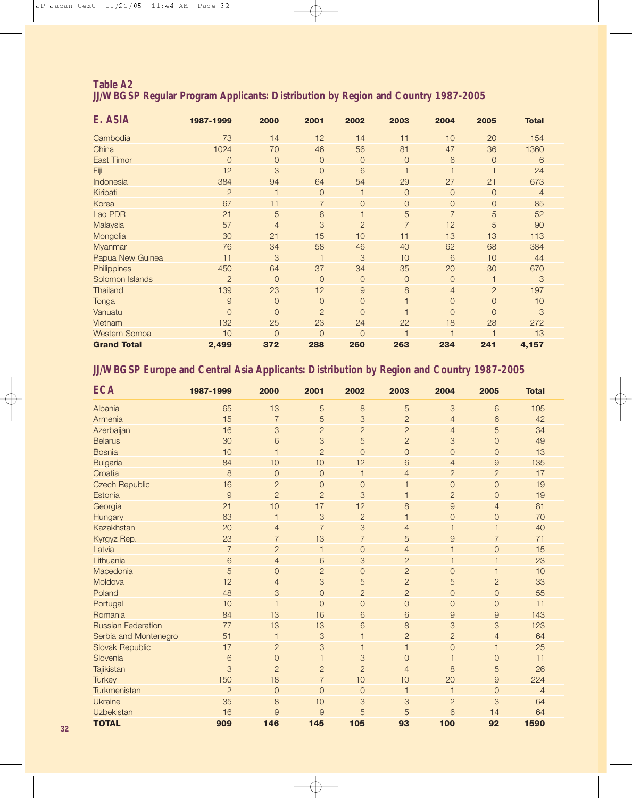#### **Table A2 JJ/WBGSP Regular Program Applicants: Distribution by Region and Country 1987-2005**

| E. ASIA              | 1987-1999      | 2000           | 2001           | 2002           | 2003           | 2004           | 2005           | <b>Total</b>   |
|----------------------|----------------|----------------|----------------|----------------|----------------|----------------|----------------|----------------|
| Cambodia             | 73             | 14             | 12             | 14             | 11             | 10             | 20             | 154            |
| China                | 1024           | 70             | 46             | 56             | 81             | 47             | 36             | 1360           |
| <b>East Timor</b>    | $\overline{O}$ | $\overline{0}$ | $\overline{0}$ | $\overline{0}$ | $\overline{0}$ | 6              | $\overline{0}$ | 6              |
| Fiji                 | 12             | 3              | $\overline{0}$ | 6              | 1              |                |                | 24             |
| Indonesia            | 384            | 94             | 64             | 54             | 29             | 27             | 21             | 673            |
| Kiribati             | $\overline{2}$ |                | $\overline{0}$ |                | $\overline{0}$ | $\overline{0}$ | $\overline{0}$ | $\overline{4}$ |
| Korea                | 67             | 11             | $\overline{7}$ | 0              | 0              | $\overline{0}$ | $\overline{0}$ | 85             |
| Lao PDR              | 21             | 5              | 8              |                | 5              | $\overline{7}$ | 5              | 52             |
| Malaysia             | 57             | $\overline{4}$ | 3              | $\overline{2}$ | $\overline{7}$ | 12             | 5              | 90             |
| Mongolia             | 30             | 21             | 15             | 10             | 11             | 13             | 13             | 113            |
| Myanmar              | 76             | 34             | 58             | 46             | 40             | 62             | 68             | 384            |
| Papua New Guinea     | 11             | 3              | 1              | 3              | 10             | 6              | 10             | 44             |
| Philippines          | 450            | 64             | 37             | 34             | 35             | 20             | 30             | 670            |
| Solomon Islands      | $\overline{2}$ | $\overline{0}$ | $\overline{0}$ | $\overline{0}$ | $\overline{0}$ | $\overline{O}$ |                | 3              |
| <b>Thailand</b>      | 139            | 23             | 12             | $\overline{9}$ | 8              | $\overline{4}$ | $\overline{2}$ | 197            |
| Tonga                | $\overline{9}$ | $\Omega$       | $\overline{0}$ | $\overline{0}$ | $\overline{1}$ | $\Omega$       | $\overline{0}$ | 10             |
| Vanuatu              | $\overline{O}$ | $\overline{0}$ | $\overline{2}$ | $\Omega$       |                | $\Omega$       | $\overline{0}$ | 3              |
| Vietnam              | 132            | 25             | 23             | 24             | 22             | 18             | 28             | 272            |
| <b>Western Somoa</b> | 10             | $\Omega$       | $\overline{0}$ | $\overline{0}$ |                |                |                | 13             |
| <b>Grand Total</b>   | 2,499          | 372            | 288            | 260            | 263            | 234            | 241            | 4,157          |

#### **JJ/WBGSP Europe and Central Asia Applicants: Distribution by Region and Country 1987-2005**

| <b>ECA</b>                | 1987-1999      | 2000           | 2001           | 2002           | 2003           | 2004                                                                                                         | 2005           | <b>Total</b>   |
|---------------------------|----------------|----------------|----------------|----------------|----------------|--------------------------------------------------------------------------------------------------------------|----------------|----------------|
| Albania                   | 65             | 13             | $\overline{5}$ | $\,8\,$        | 5              | 3                                                                                                            | 6              | 105            |
| Armenia                   | 15             | $\overline{7}$ | 5              | 3              | $\overline{c}$ | $\overline{4}$                                                                                               | 6              | 42             |
| Azerbaijan                | 16             | 3              | $\overline{2}$ | $\overline{2}$ | $\overline{c}$ | $\overline{4}$                                                                                               | 5              | 34             |
| <b>Belarus</b>            | 30             | 6              | 3              | 5              | $\overline{c}$ | 3                                                                                                            | $\overline{O}$ | 49             |
| <b>Bosnia</b>             | 10             | $\mathbf{1}$   | $\overline{2}$ | $\overline{0}$ | $\mathsf{O}$   | $\overline{O}$                                                                                               | $\overline{O}$ | 13             |
| <b>Bulgaria</b>           | 84             | 10             | 10             | 12             | 6              | $\overline{4}$                                                                                               | 9              | 135            |
| Croatia                   | 8              | $\overline{0}$ | $\overline{0}$ | $\mathbf{1}$   | $\overline{4}$ | $\overline{2}$                                                                                               | $\overline{2}$ | 17             |
| <b>Czech Republic</b>     | 16             | $\overline{2}$ | $\mathbf{O}$   | $\overline{0}$ | 1              | $\mathbf 0$                                                                                                  | $\overline{O}$ | 19             |
| Estonia                   | $\overline{9}$ | $\overline{2}$ | $\overline{2}$ | 3              | 1              | $\overline{2}$                                                                                               | $\overline{O}$ | 19             |
| Georgia                   | 21             | 10             | 17             | 12             | 8              | $\mathcal{G}% =\mathcal{G}_{1}\mathcal{G}_{1}\mathcal{G}_{2}\mathcal{G}_{3}\mathcal{G}_{4} \mathcal{G}_{5}%$ | $\overline{4}$ | 81             |
| Hungary                   | 63             | $\mathbf{1}$   | 3              | $\overline{2}$ | 1              | $\mathbf 0$                                                                                                  | $\overline{O}$ | 70             |
| Kazakhstan                | 20             | $\overline{4}$ | $\overline{7}$ | 3              | $\overline{4}$ | $\overline{1}$                                                                                               | $\mathbf 1$    | 40             |
| Kyrgyz Rep.               | 23             | $\overline{7}$ | 13             | $\overline{7}$ | 5              | $\mathcal{G}% =\mathcal{G}_{1}\mathcal{G}_{1}\mathcal{G}_{2}\mathcal{G}_{3}\mathcal{G}_{4} \mathcal{G}_{5}%$ | $\overline{7}$ | 71             |
| Latvia                    | $\overline{7}$ | $\overline{2}$ | $\overline{1}$ | $\overline{0}$ | $\overline{4}$ | $\overline{1}$                                                                                               | $\mathbf{O}$   | 15             |
| Lithuania                 | 6              | $\overline{4}$ | 6              | 3              | $\overline{c}$ | $\mathbf 1$                                                                                                  |                | 23             |
| Macedonia                 | 5              | $\overline{0}$ | $\overline{c}$ | $\overline{0}$ | $\overline{c}$ | $\overline{0}$                                                                                               | $\mathbf 1$    | 10             |
| Moldova                   | 12             | $\overline{4}$ | 3              | 5              | $\overline{2}$ | 5                                                                                                            | $\overline{c}$ | 33             |
| Poland                    | 48             | 3              | $\overline{0}$ | $\overline{2}$ | $\overline{c}$ | $\mathbf 0$                                                                                                  | $\overline{O}$ | 55             |
| Portugal                  | 10             | $\overline{1}$ | $\Omega$       | $\overline{0}$ | $\mathsf{O}$   | $\overline{0}$                                                                                               | $\overline{0}$ | 11             |
| Romania                   | 84             | 13             | 16             | 6              | 6              | 9                                                                                                            | 9              | 143            |
| <b>Russian Federation</b> | 77             | 13             | 13             | 6              | 8              | 3                                                                                                            | 3              | 123            |
| Serbia and Montenegro     | 51             | $\mathbf{1}$   | 3              | $\overline{1}$ | $\overline{c}$ | $\overline{c}$                                                                                               | $\overline{4}$ | 64             |
| <b>Slovak Republic</b>    | 17             | $\overline{2}$ | 3              | 1              | $\mathbf{1}$   | $\overline{0}$                                                                                               | $\overline{1}$ | 25             |
| Slovenia                  | 6              | $\overline{O}$ | $\mathbf 1$    | 3              | $\overline{O}$ | $\mathbf 1$                                                                                                  | $\overline{O}$ | 11             |
| Tajikistan                | 3              | $\overline{2}$ | $\overline{2}$ | $\overline{2}$ | $\overline{4}$ | 8                                                                                                            | 5              | 26             |
| <b>Turkey</b>             | 150            | 18             | $\overline{7}$ | 10             | 10             | 20                                                                                                           | 9              | 224            |
| Turkmenistan              | $\overline{2}$ | $\overline{0}$ | $\overline{0}$ | $\overline{0}$ | $\mathbf{1}$   | $\overline{1}$                                                                                               | $\overline{O}$ | $\overline{4}$ |
| Ukraine                   | 35             | 8              | 10             | 3              | 3              | $\overline{c}$                                                                                               | 3              | 64             |
| Uzbekistan                | 16             | 9              | 9              | 5              | 5              | 6                                                                                                            | 14             | 64             |
| <b>TOTAL</b>              | 909            | 146            | 145            | 105            | 93             | 100                                                                                                          | 92             | 1590           |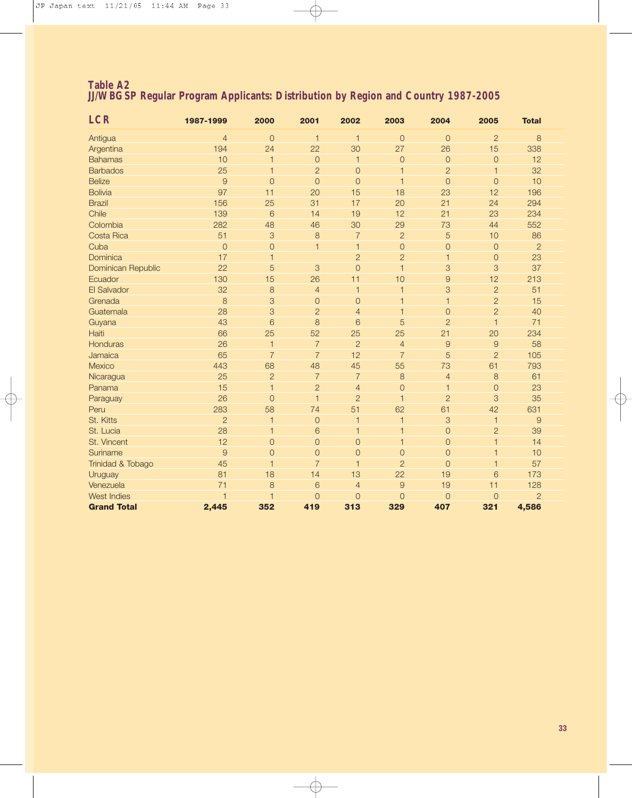#### **Table A2 JJ/WBGSP Regular Program Applicants: Distribution by Region and Country 1987-2005**

| <b>LCR</b>         | 1987-1999      | 2000           | 2001           | 2002           | 2003           | 2004           | 2005           | <b>Total</b>   |  |
|--------------------|----------------|----------------|----------------|----------------|----------------|----------------|----------------|----------------|--|
| Antigua            | $\overline{4}$ | $\overline{O}$ | $\mathbf{1}$   | $\mathbf{1}$   | $\overline{O}$ | $\overline{0}$ | $\overline{c}$ | $\,8\,$        |  |
| Argentina          | 194            | 24             | 22             | 30             | 27             | 26             | 15             | 338            |  |
| <b>Bahamas</b>     | 10             | 1              | $\mathsf O$    | $\overline{1}$ | $\circ$        | $\circ$        | $\circ$        | 12             |  |
| <b>Barbados</b>    | 25             | $\mathbf{1}$   | $\overline{2}$ | $\circ$        | $\mathbf{1}$   | $\overline{2}$ | $\mathbf{1}$   | 32             |  |
| <b>Belize</b>      | $\overline{9}$ | $\overline{O}$ | $\overline{O}$ | $\overline{O}$ | $\overline{1}$ | $\overline{O}$ | $\mathbf{O}$   | 10             |  |
| <b>Bolivia</b>     | 97             | 11             | 20             | 15             | 18             | 23             | 12             | 196            |  |
| <b>Brazil</b>      | 156            | 25             | 31             | 17             | 20             | 21             | 24             | 294            |  |
| Chile              | 139            | 6              | 14             | 19             | 12             | 21             | 23             | 234            |  |
| Colombia           | 282            | 48             | 46             | 30             | 29             | 73             | 44             | 552            |  |
| Costa Rica         | 51             | $\mathcal{S}$  | 8              | $\overline{7}$ | $\overline{c}$ | 5              | 10             | 86             |  |
| Cuba               | $\mathbf{0}$   | $\overline{O}$ | $\mathbf{1}$   | $\mathbf{1}$   | $\overline{O}$ | $\overline{O}$ | $\mathbf{O}$   | $\overline{2}$ |  |
| Dominica           | 17             | $\mathbf{1}$   |                | $\overline{2}$ | $\overline{2}$ | $\mathbf{1}$   | $\mathbf{O}$   | 23             |  |
| Dominican Republic | 22             | 5              | 3              | $\overline{O}$ | $\overline{1}$ | 3              | 3              | 37             |  |
| Ecuador            | 130            | 15             | 26             | 11             | 10             | $\overline{9}$ | 12             | 213            |  |
| El Salvador        | 32             | $\,8\,$        | $\overline{4}$ | $\overline{1}$ | $\mathbf{1}$   | 3              | $\overline{2}$ | 51             |  |
| Grenada            | 8              | $\mathcal{S}$  | $\overline{0}$ | $\overline{0}$ | $\mathbf{1}$   | $\mathbf{1}$   | $\overline{c}$ | 15             |  |
| Guatemala          | 28             | 3              | $\overline{2}$ | $\overline{4}$ | $\mathbf{1}$   | $\circ$        | $\overline{c}$ | 40             |  |
| Guyana             | 43             | 6              | 8              | 6              | 5              | $\overline{2}$ | $\mathbf{1}$   | 71             |  |
| Haiti              | 66             | 25             | 52             | 25             | 25             | 21             | 20             | 234            |  |
| Honduras           | 26             | $\mathbf{1}$   | $\overline{7}$ | $\overline{2}$ | $\overline{4}$ | $\overline{9}$ | 9              | 58             |  |
| Jamaica            | 65             | $\overline{7}$ | $\overline{7}$ | 12             | $\overline{7}$ | 5              | $\overline{c}$ | 105            |  |
| Mexico             | 443            | 68             | 48             | 45             | 55             | 73             | 61             | 793            |  |
| Nicaragua          | 25             | $\overline{c}$ | $\overline{7}$ | $\overline{7}$ | 8              | $\overline{4}$ | 8              | 61             |  |
| Panama             | 15             | $\mathbf{1}$   | $\overline{c}$ | $\overline{4}$ | $\circ$        | $\mathbf{1}$   | $\mathbf{O}$   | 23             |  |
| Paraguay           | 26             | $\overline{O}$ | $\mathbf{1}$   | $\overline{c}$ | $\overline{1}$ | $\overline{2}$ | 3              | 35             |  |
| Peru               | 283            | 58             | 74             | 51             | 62             | 61             | 42             | 631            |  |
| St. Kitts          | $\overline{2}$ | 1              | $\mathbf{O}$   | $\overline{1}$ | $\mathbf{1}$   | 3              | $\mathbf{1}$   | $\overline{9}$ |  |
| St. Lucia          | 28             | 1              | 6              | $\mathbf{1}$   | $\mathbf{1}$   | $\mathbf{O}$   | $\overline{c}$ | 39             |  |
| St. Vincent        | 12             | $\overline{O}$ | $\overline{O}$ | $\circ$        | $\mathbf{1}$   | $\overline{O}$ | $\mathbf{1}$   | 14             |  |
| Suriname           | $\overline{9}$ | $\overline{O}$ | $\overline{O}$ | $\circ$        | $\overline{O}$ | $\overline{O}$ | $\mathbf{1}$   | 10             |  |
| Trinidad & Tobago  | 45             | $\mathbf{1}$   | $\overline{7}$ | $\overline{1}$ | $\overline{c}$ | $\overline{O}$ | $\mathbf{1}$   | 57             |  |
| Uruguay            | 81             | 18             | 14             | 13             | 22             | 19             | 6              | 173            |  |
| Venezuela          | 71             | 8              | 6              | $\overline{4}$ | $\overline{9}$ | 19             | 11             | 128            |  |
| West Indies        | $\overline{1}$ | 1              | $\mathbf{O}$   | $\circ$        | $\mathbf{O}$   | $\overline{0}$ | $\mathbf{O}$   | $\overline{2}$ |  |
| <b>Grand Total</b> | 2,445          | 352            | 419            | 313            | 329            | 407            | 321            | 4,586          |  |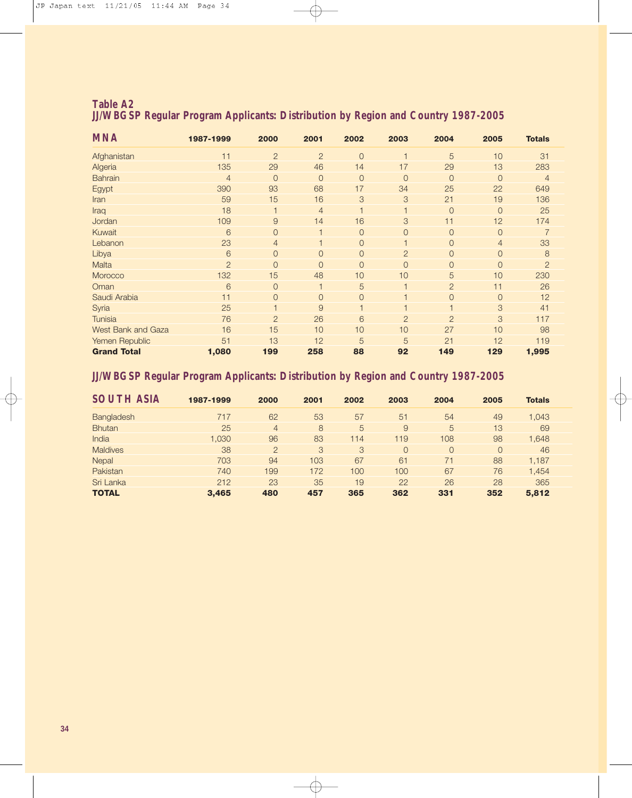| <b>Table A2</b> |  |                                                                                          |  |  |
|-----------------|--|------------------------------------------------------------------------------------------|--|--|
|                 |  | <b>JJ/WBGSP Regular Program Applicants: Distribution by Region and Country 1987-2005</b> |  |  |

| <b>MNA</b>                | 1987-1999      | 2000           | 2001           | 2002           | 2003                    | 2004           | 2005           | <b>Totals</b>  |
|---------------------------|----------------|----------------|----------------|----------------|-------------------------|----------------|----------------|----------------|
| Afghanistan               | 11             | $\overline{2}$ | $\overline{2}$ | $\overline{0}$ | 1                       | 5              | 10             | 31             |
| Algeria                   | 135            | 29             | 46             | 14             | 17                      | 29             | 13             | 283            |
| <b>Bahrain</b>            | $\overline{4}$ | $\overline{0}$ | $\overline{0}$ | $\overline{0}$ | $\overline{0}$          | $\overline{O}$ | $\overline{O}$ | $\overline{4}$ |
| Egypt                     | 390            | 93             | 68             | 17             | 34                      | 25             | 22             | 649            |
| Iran                      | 59             | 15             | 16             | 3              | 3                       | 21             | 19             | 136            |
| Iraq                      | 18             |                | $\overline{4}$ |                | $\mathbf{1}$            | $\overline{0}$ | $\overline{O}$ | 25             |
| Jordan                    | 109            | 9              | 14             | 16             | 3                       | 11             | 12             | 174            |
| Kuwait                    | 6              | $\overline{0}$ |                | $\overline{0}$ | $\overline{0}$          | $\overline{0}$ | $\overline{O}$ |                |
| Lebanon                   | 23             | $\overline{4}$ |                | $\overline{0}$ | $\overline{1}$          | $\overline{0}$ | $\overline{4}$ | 33             |
| Libya                     | 6              | $\overline{0}$ | $\overline{0}$ | $\overline{0}$ | $\overline{2}$          | $\overline{0}$ | $\overline{O}$ | 8              |
| Malta                     | $\overline{c}$ | $\overline{0}$ | $\overline{0}$ | $\overline{0}$ | $\overline{0}$          | $\overline{0}$ | $\overline{O}$ | $\overline{2}$ |
| Morocco                   | 132            | 15             | 48             | 10             | 10                      | 5              | 10             | 230            |
| Oman                      | 6              | $\overline{0}$ |                | 5              | $\overline{\mathbf{1}}$ | $\overline{2}$ | 11             | 26             |
| Saudi Arabia              | 11             | $\overline{0}$ | $\overline{0}$ | $\overline{0}$ | 1                       | $\overline{0}$ | $\overline{O}$ | 12             |
| Syria                     | 25             |                | 9              |                | $\overline{1}$          | $\overline{1}$ | 3              | 41             |
| <b>Tunisia</b>            | 76             | $\overline{2}$ | 26             | 6              | $\overline{2}$          | $\overline{c}$ | 3              | 117            |
| <b>West Bank and Gaza</b> | 16             | 15             | 10             | 10             | 10                      | 27             | 10             | 98             |
| Yemen Republic            | 51             | 13             | 12             | 5              | 5                       | 21             | 12             | 119            |
| <b>Grand Total</b>        | 1,080          | 199            | 258            | 88             | 92                      | 149            | 129            | 1,995          |

#### **JJ/WBGSP Regular Program Applicants: Distribution by Region and Country 1987-2005**

| <b>SOUTH ASIA</b> | 1987-1999 | 2000           | 2001 | 2002 | 2003     | 2004           | 2005     | <b>Totals</b> |
|-------------------|-----------|----------------|------|------|----------|----------------|----------|---------------|
| Bangladesh        | 717       | 62             | 53   | 57   | 51       | 54             | 49       | 1,043         |
| <b>Bhutan</b>     | 25        | $\overline{4}$ | 8    | 5    | 9        | 5              | 13       | 69            |
| India             | 1.030     | 96             | 83   | 114  | 119      | 108            | 98       | 1,648         |
| <b>Maldives</b>   | 38        | $\overline{2}$ | 3    | 3    | $\Omega$ | $\overline{0}$ | $\Omega$ | 46            |
| Nepal             | 703       | 94             | 103  | 67   | 61       | 71             | 88       | 1.187         |
| Pakistan          | 740       | 199            | 172  | 100  | 100      | 67             | 76       | 1,454         |
| Sri Lanka         | 212       | 23             | 35   | 19   | 22       | 26             | 28       | 365           |
| <b>TOTAL</b>      | 3,465     | 480            | 457  | 365  | 362      | 331            | 352      | 5,812         |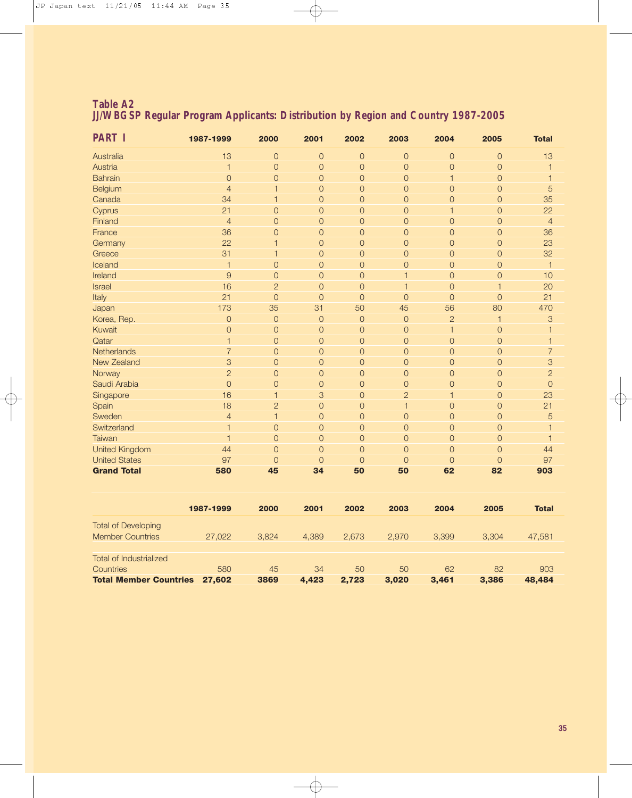| <b>Table A2</b> |  |                                                                                          |  |  |
|-----------------|--|------------------------------------------------------------------------------------------|--|--|
|                 |  | <b>JJ/WBGSP Regular Program Applicants: Distribution by Region and Country 1987-2005</b> |  |  |

| <b>PART I</b>         | 1987-1999                | 2000           | 2001           | 2002           | 2003           | 2004           | 2005           | <b>Total</b>   |
|-----------------------|--------------------------|----------------|----------------|----------------|----------------|----------------|----------------|----------------|
| Australia             | 13                       | $\overline{0}$ | $\mathbf{O}$   | $\mathsf{O}$   | $\mathsf O$    | $\overline{O}$ | $\mathsf{O}$   | 13             |
| Austria               | $\mathbf{1}$             | $\overline{O}$ | $\overline{0}$ | $\overline{O}$ | $\mathsf O$    | $\overline{0}$ | $\overline{O}$ |                |
| <b>Bahrain</b>        | $\overline{0}$           | $\overline{0}$ | $\overline{0}$ | $\overline{0}$ | $\mathsf O$    | 1              | $\overline{O}$ |                |
| Belgium               | $\overline{4}$           | 1              | $\mathbf{O}$   | $\mathsf{O}$   | $\mathbf{O}$   | $\overline{O}$ | $\mathbf{O}$   | 5              |
| Canada                | 34                       | $\mathbf{1}$   | $\overline{0}$ | $\overline{O}$ | $\mathsf O$    | $\mathbf{O}$   | $\overline{0}$ | 35             |
| Cyprus                | 21                       | $\overline{O}$ | $\mathsf O$    | $\mathsf{O}$   | $\mathsf O$    | 1              | $\overline{O}$ | 22             |
| Finland               | $\overline{4}$           | $\overline{0}$ | $\overline{0}$ | $\mathsf{O}$   | $\mathsf O$    | $\overline{O}$ | $\overline{0}$ | $\overline{4}$ |
| France                | 36                       | $\overline{0}$ | $\overline{0}$ | $\mathsf{O}$   | $\mathsf O$    | $\overline{0}$ | $\overline{0}$ | 36             |
| Germany               | 22                       | ٦              | $\overline{0}$ | $\mathsf{O}$   | $\mathsf O$    | $\overline{0}$ | $\overline{O}$ | 23             |
| Greece                | 31                       | 1              | $\overline{0}$ | $\overline{O}$ | $\mathsf O$    | $\overline{0}$ | $\overline{0}$ | 32             |
| Iceland               | $\mathbf 1$              | $\overline{O}$ | $\overline{0}$ | $\overline{O}$ | $\overline{O}$ | $\overline{O}$ | $\overline{0}$ | $\mathbf{1}$   |
| Ireland               | 9                        | $\overline{0}$ | $\overline{0}$ | $\overline{O}$ | 1              | $\overline{0}$ | $\overline{0}$ | 10             |
| <b>Israel</b>         | 16                       | $\overline{2}$ | $\overline{0}$ | $\overline{0}$ | $\overline{1}$ | $\overline{0}$ | 1              | 20             |
| Italy                 | 21                       | $\overline{O}$ | $\overline{0}$ | $\overline{O}$ | $\overline{O}$ | $\circ$        | $\overline{0}$ | 21             |
| Japan                 | 173                      | 35             | 31             | 50             | 45             | 56             | 80             | 470            |
| Korea, Rep.           | $\circ$                  | $\overline{0}$ | $\overline{0}$ | $\overline{0}$ | $\mathsf O$    | $\overline{2}$ | 1              | 3              |
| Kuwait                | $\mathbf{O}$             | $\overline{O}$ | $\mathbf{O}$   | $\overline{O}$ | $\mathbf{O}$   | $\mathbf{1}$   | $\mathbf 0$    |                |
| Qatar                 | 1                        | $\overline{0}$ | $\overline{0}$ | $\overline{O}$ | $\mathsf O$    | $\overline{0}$ | $\overline{0}$ |                |
| Netherlands           | $\overline{7}$           | $\overline{0}$ | $\mathsf O$    | $\mathsf{O}$   | $\mathsf O$    | $\mathbf{O}$   | $\overline{0}$ | $\overline{7}$ |
| New Zealand           | 3                        | $\overline{O}$ | $\overline{0}$ | $\overline{O}$ | $\mathsf O$    | $\overline{0}$ | $\overline{0}$ | 3              |
| Norway                | $\overline{2}$           | $\overline{O}$ | $\mathsf O$    | $\mathsf{O}$   | $\mathsf O$    | $\overline{0}$ | $\overline{0}$ | $\overline{2}$ |
| Saudi Arabia          | $\overline{O}$           | $\overline{0}$ | $\mathbf{O}$   | $\mathsf{O}$   | $\mathsf O$    | $\mathbf{O}$   | $\overline{0}$ | $\overline{0}$ |
| Singapore             | 16                       | $\mathbf{1}$   | 3              | $\overline{O}$ | $\overline{c}$ | $\mathbf{1}$   | $\overline{0}$ | 23             |
| Spain                 | 18                       | $\overline{2}$ | $\overline{O}$ | $\overline{O}$ | $\overline{1}$ | $\overline{O}$ | $\mathbf{O}$   | 21             |
| Sweden                | $\overline{4}$           | $\overline{1}$ | $\overline{0}$ | $\overline{O}$ | $\mathsf O$    | $\overline{0}$ | $\overline{0}$ | 5              |
| Switzerland           | $\overline{\phantom{a}}$ | $\overline{0}$ | $\overline{0}$ | $\overline{0}$ | $\mathsf O$    | $\overline{0}$ | $\overline{0}$ |                |
| Taiwan                | $\overline{1}$           | $\overline{O}$ | $\overline{O}$ | $\overline{O}$ | $\overline{O}$ | $\overline{O}$ | $\overline{0}$ |                |
| <b>United Kingdom</b> | 44                       | $\Omega$       | $\overline{0}$ | $\overline{0}$ | $\mathsf O$    | $\Omega$       | $\overline{0}$ | 44             |
| <b>United States</b>  | 97                       | $\overline{0}$ | 0              | $\overline{O}$ | $\overline{0}$ | $\overline{0}$ | $\overline{0}$ | 97             |
| <b>Grand Total</b>    | 580                      | 45             | 34             | 50             | 50             | 62             | 82             | 903            |

|                                                       | 1987-1999 | 2000  | 2001  | 2002  | 2003  | 2004  | 2005  | <b>Total</b> |
|-------------------------------------------------------|-----------|-------|-------|-------|-------|-------|-------|--------------|
| <b>Total of Developing</b><br><b>Member Countries</b> | 27,022    | 3.824 | 4.389 | 2.673 | 2.970 | 3,399 | 3.304 | 47,581       |
| Total of Industrialized<br><b>Countries</b>           | 580       | 45    | 34    | 50    | 50    | 62    | 82    | 903          |
| <b>Total Member Countries</b>                         | 27,602    | 3869  | 4.423 | 2.723 | 3.020 | 3.461 | 3,386 | 48,484       |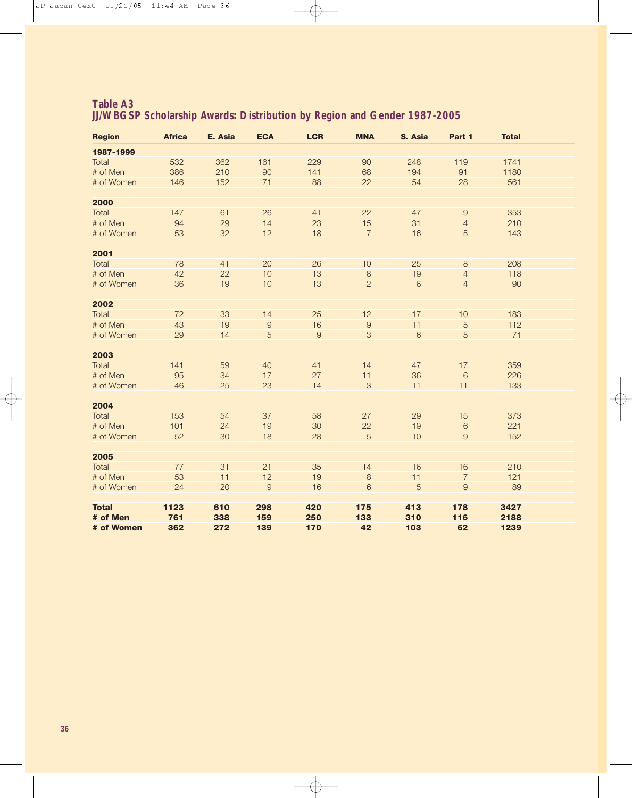| <b>Region</b> | <b>Africa</b> | E. Asia | <b>ECA</b>     | <b>LCR</b>     | <b>MNA</b>     | S. Asia | Part 1           | <b>Total</b> |  |
|---------------|---------------|---------|----------------|----------------|----------------|---------|------------------|--------------|--|
| 1987-1999     |               |         |                |                |                |         |                  |              |  |
| Total         | 532           | 362     | 161            | 229            | 90             | 248     | 119              | 1741         |  |
| # of Men      | 386           | 210     | 90             | 141            | 68             | 194     | 91               | 1180         |  |
| # of Women    | 146           | 152     | 71             | 88             | 22             | 54      | 28               | 561          |  |
|               |               |         |                |                |                |         |                  |              |  |
| 2000          |               |         |                |                |                |         |                  |              |  |
| Total         | 147           | 61      | 26             | 41             | 22             | 47      | $\boldsymbol{9}$ | 353          |  |
| # of Men      | 94            | 29      | 14             | 23             | 15             | 31      | $\overline{4}$   | 210          |  |
| # of Women    | 53            | 32      | 12             | 18             | $\overline{7}$ | 16      | 5                | 143          |  |
|               |               |         |                |                |                |         |                  |              |  |
| 2001          |               |         |                |                |                |         |                  |              |  |
| Total         | 78            | 41      | 20             | 26             | 10             | 25      | $\,8\,$          | 208          |  |
| # of Men      | 42            | 22      | 10             | 13             | $\,8\,$        | 19      | $\overline{4}$   | 118          |  |
| # of Women    | 36            | 19      | 10             | 13             | $\overline{2}$ | 6       | $\overline{4}$   | 90           |  |
|               |               |         |                |                |                |         |                  |              |  |
| 2002          |               |         |                |                |                |         |                  |              |  |
| Total         | 72            | 33      | 14             | 25             | 12             | 17      | 10               | 183          |  |
| # of Men      | 43            | 19      | $\hbox{9}$     | 16             | $\Theta$       | 11      | $\overline{5}$   | 112          |  |
| # of Women    | 29            | 14      | 5              | $\overline{9}$ | 3              | 6       | $\overline{5}$   | 71           |  |
| 2003          |               |         |                |                |                |         |                  |              |  |
| Total         | 141           | 59      | 40             | 41             | 14             | 47      | 17               | 359          |  |
| # of Men      | 95            | 34      | 17             | 27             | 11             | 36      | $6\phantom{1}6$  | 226          |  |
| # of Women    | 46            | 25      | 23             | 14             | 3              | 11      | 11               | 133          |  |
|               |               |         |                |                |                |         |                  |              |  |
| 2004          |               |         |                |                |                |         |                  |              |  |
| Total         | 153           | 54      | 37             | 58             | 27             | 29      | 15               | 373          |  |
| # of Men      | 101           | 24      | 19             | 30             | 22             | 19      | $\,$ 6 $\,$      | 221          |  |
| # of Women    | 52            | 30      | 18             | 28             | 5              | 10      | $\hbox{9}$       | 152          |  |
|               |               |         |                |                |                |         |                  |              |  |
| 2005          |               |         |                |                |                |         |                  |              |  |
| Total         | 77            | 31      | 21             | 35             | 14             | 16      | 16               | 210          |  |
| # of Men      | 53            | 11      | 12             | 19             | $\,8\,$        | 11      | $\overline{7}$   | 121          |  |
| # of Women    | 24            | 20      | $\overline{9}$ | 16             | 6              | 5       | $\overline{9}$   | 89           |  |
|               |               |         |                |                |                |         |                  |              |  |
| <b>Total</b>  | 1123          | 610     | 298            | 420            | 175            | 413     | 178              | 3427         |  |
| # of Men      | 761           | 338     | 159            | 250            | 133            | 310     | 116              | 2188         |  |
| # of Women    | 362           | 272     | 139            | 170            | 42             | 103     | 62               | 1239         |  |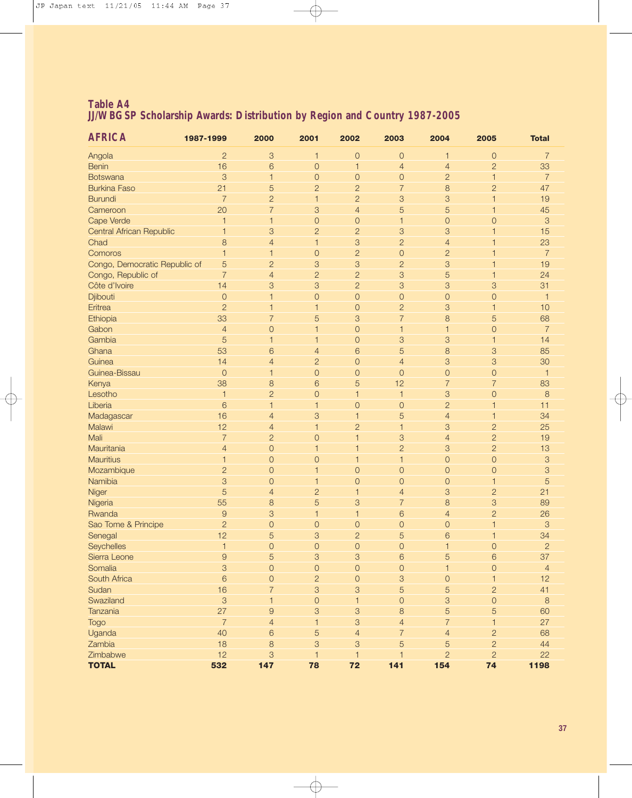| <b>AFRICA</b>                   | 1987-1999      | 2000           | 2001           | 2002           | 2003           | 2004                      | 2005                | <b>Total</b>   |
|---------------------------------|----------------|----------------|----------------|----------------|----------------|---------------------------|---------------------|----------------|
| Angola                          | $\overline{c}$ | 3              | $\mathbf{1}$   | $\mathbf{O}$   | $\mathbf{O}$   | $\mathbf{1}$              | $\mathsf O$         | $\overline{7}$ |
| <b>Benin</b>                    | 16             | 6              | $\mathsf O$    | $\mathbf{1}$   | $\overline{4}$ | $\overline{4}$            | $\overline{2}$      | 33             |
| <b>Botswana</b>                 | 3              | $\mathbf{1}$   | $\mathsf O$    | $\overline{O}$ | $\overline{0}$ | $\overline{c}$            | $\mathbf{1}$        | $\overline{7}$ |
| <b>Burkina Faso</b>             | 21             | 5              | $\overline{c}$ | $\overline{c}$ | $\overline{7}$ | 8                         | $\overline{c}$      | 47             |
| <b>Burundi</b>                  | $\overline{7}$ | $\overline{c}$ | $\mathbf 1$    | $\overline{2}$ | 3              | 3                         | 1                   | 19             |
| Cameroon                        | 20             | $\overline{7}$ | 3              | $\overline{4}$ | 5              | 5                         | 1                   | 45             |
| Cape Verde                      | $\mathbf{1}$   | $\mathbf{1}$   | $\mathbf{O}$   | $\overline{0}$ | $\mathbf{1}$   | $\mathbf 0$               | $\overline{0}$      | 3              |
| <b>Central African Republic</b> | $\mathbf 1$    | 3              | $\overline{c}$ | $\overline{2}$ | 3              | 3                         | 1                   | 15             |
| Chad                            | 8              | $\overline{4}$ | $\mathbf{1}$   | 3              | $\overline{2}$ | $\overline{4}$            | 1                   | 23             |
| Comoros                         | $\mathbf{1}$   | 1              | $\mathbf{O}$   | $\overline{2}$ | $\mathbf{O}$   | $\overline{c}$            | 1                   | $\overline{7}$ |
| Congo, Democratic Republic of   | 5              | $\overline{c}$ | 3              | 3              | $\overline{2}$ | 3                         | 1                   | 19             |
| Congo, Republic of              | $\overline{7}$ | $\overline{4}$ | $\overline{c}$ | $\overline{c}$ | 3              | 5                         | 1                   | 24             |
| Côte d'Ivoire                   | 14             | 3              | 3              | $\overline{c}$ | 3              | 3                         | 3                   | 31             |
| Djibouti                        | $\mathbf{O}$   | $\mathbf{1}$   | $\mathbf 0$    | $\overline{O}$ | $\mathbf{O}$   | $\mathsf O$               | $\mathsf O$         | $\overline{1}$ |
| Eritrea                         | $\overline{2}$ | 1              | $\mathbf{1}$   | $\mathbf{O}$   | $\overline{c}$ | 3                         | $\mathbf{1}$        | 10             |
| Ethiopia                        | 33             | $\overline{7}$ | 5              | 3              | $\overline{7}$ | 8                         | 5                   | 68             |
| Gabon                           | $\overline{4}$ | $\mathbf{O}$   | $\mathbf{1}$   | $\mathbf 0$    | $\overline{1}$ | 1                         | $\mathsf O$         | $\overline{7}$ |
| Gambia                          | 5              | $\mathbf{1}$   | $\mathbf{1}$   | $\circ$        | 3              | 3                         | $\mathbf{1}$        | 14             |
| Ghana                           | 53             | 6              | $\overline{4}$ | 6              | 5              | 8                         | 3                   | 85             |
| Guinea                          | 14             | $\overline{4}$ | $\overline{c}$ | $\mathbf{O}$   | $\overline{4}$ | 3                         | 3                   | 30             |
| Guinea-Bissau                   | $\mathbf{O}$   | $\mathbf{1}$   | $\overline{O}$ | $\mathbf{O}$   | $\mathbf{O}$   | $\mathbf{O}$              | $\mathsf O$         | $\overline{1}$ |
| Kenya                           | 38             | 8              | 6              | 5              | 12             | $\overline{7}$            | $\overline{7}$      | 83             |
| Lesotho                         | $\mathbf{1}$   | $\overline{c}$ | $\mathsf O$    | $\mathbf{1}$   | $\overline{1}$ | 3                         | $\mathsf O$         | 8              |
| Liberia                         | 6              | $\mathbf{1}$   | $\mathbf{1}$   | $\mathbf{O}$   | $\mathbf{O}$   | $\overline{c}$            | $\mathbf{1}$        | 11             |
| Madagascar                      | 16             | $\overline{4}$ | 3              | $\mathbf{1}$   | 5              | $\overline{4}$            | $\mathbf{1}$        | 34             |
| Malawi                          | 12             | $\overline{4}$ | $\mathbf{1}$   | $\overline{2}$ | $\overline{1}$ | 3                         | $\overline{c}$      | 25             |
| Mali                            | $\overline{7}$ | $\overline{2}$ | $\overline{0}$ | $\overline{1}$ | 3              | $\overline{4}$            | $\overline{2}$      | 19             |
| Mauritania                      | $\overline{4}$ | $\mathbf{O}$   | $\mathbf{1}$   | 1              | $\overline{c}$ | 3                         | $\overline{c}$      | 13             |
| <b>Mauritius</b>                | $\mathbf{1}$   | $\mathbf{O}$   | $\overline{0}$ | $\overline{1}$ | $\overline{1}$ | $\mathsf{O}$              | $\mathsf{O}$        | 3              |
| Mozambique                      | $\overline{2}$ | $\mathbf{O}$   | $\mathbf{1}$   | $\mathbf{O}$   | $\mathbf{O}$   | $\mathsf{O}$              | $\mathsf{O}\xspace$ | 3              |
| Namibia                         | 3              | $\overline{0}$ | $\mathbf 1$    | $\overline{0}$ | $\mathbf{O}$   | $\overline{0}$            | $\mathbf{1}$        | 5              |
| Niger                           | 5              | $\overline{4}$ | $\overline{c}$ | $\mathbf 1$    | $\overline{4}$ | 3                         | $\overline{c}$      | 21             |
| Nigeria                         | 55             | 8              | 5              | 3              | $\overline{7}$ | 8                         | 3                   | 89             |
| Rwanda                          | $\overline{9}$ | 3              | 1              | $\mathbf{1}$   | 6              | $\overline{4}$            | $\overline{c}$      | 26             |
| Sao Tome & Principe             | $\overline{2}$ | $\mathbf{O}$   | $\overline{0}$ | $\overline{0}$ | $\overline{0}$ | $\overline{0}$            |                     | 3              |
| Senegal                         | 12             | 5              | 3              | $\overline{2}$ | 5              | 6                         | 1                   | 34             |
| <b>Seychelles</b>               |                | 0              | $\overline{O}$ | $\circ$        | $\circ$        |                           | $\circ$             | $\overline{2}$ |
| Sierra Leone                    | $\mathsf{9}$   | 5              | $\sqrt{3}$     | $\sqrt{3}$     | 6              | 5                         | $\,6\,$             | 37             |
| Somalia                         | 3              | $\overline{O}$ | $\mathsf O$    | $\overline{O}$ | $\overline{O}$ | $\mathbf{1}$              | $\overline{O}$      | $\overline{4}$ |
| South Africa                    | $6\phantom{1}$ | $\mathbf 0$    | $\overline{c}$ | $\mathsf{O}$   | $\mbox{3}$     | $\mathsf O$               | $\mathbf{1}$        | 12             |
| Sudan                           | 16             | $\overline{7}$ | 3              | 3              | 5              | 5                         | $\overline{c}$      | 41             |
| Swaziland                       | $\mathcal{S}$  | $\mathbf{1}$   | $\mathsf O$    | $\mathbf{1}$   | $\mathsf{O}$   | $\ensuremath{\mathsf{3}}$ | $\mathsf O$         | $\delta$       |
| Tanzania                        | 27             | $\overline{9}$ | 3              | $\mathcal{S}$  | $\,8\,$        | 5                         | $\overline{5}$      | 60             |
| Togo                            | $\overline{7}$ | $\overline{4}$ | $\mathbf{1}$   | $\mathcal{S}$  | $\overline{4}$ | $\overline{7}$            | $\mathbf{1}$        | 27             |
| Uganda                          | 40             | 6              | 5              | $\overline{4}$ | $\overline{7}$ | $\overline{4}$            | $\overline{c}$      | 68             |
| Zambia                          | 18             | 8              | $\sqrt{3}$     | 3              | 5              | 5                         | $\overline{c}$      | 44             |
| Zimbabwe                        | 12             | 3              | $\overline{1}$ | $\mathbf{1}$   | $\mathbf{1}$   | $\overline{2}$            | $\overline{c}$      | 22             |
| <b>TOTAL</b>                    | 532            | 147            | 78             | 72             | 141            | 154                       | 74                  | 1198           |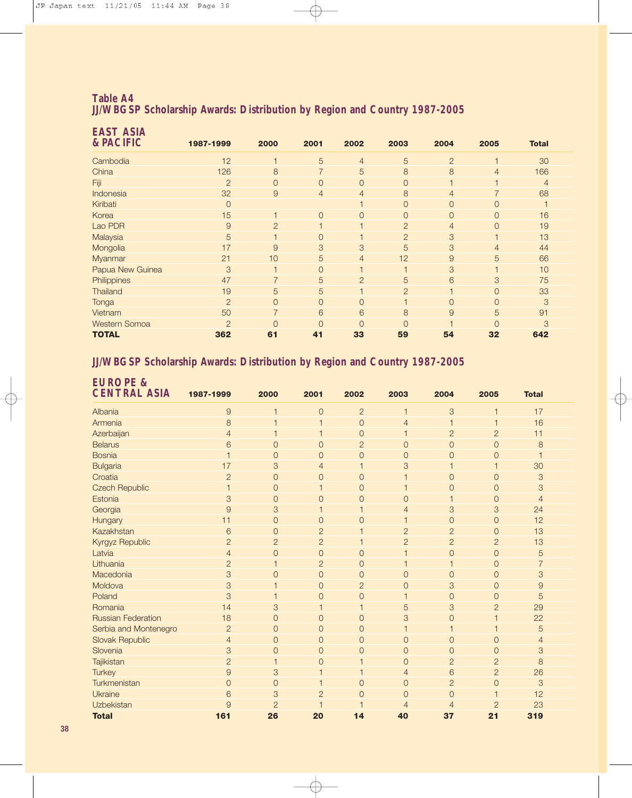| <b>EAST ASIA</b><br><b>&amp; PACIFIC</b> | 1987-1999      | 2000           | 2001           | 2002                    | 2003           | 2004           | 2005           | <b>Total</b>   |
|------------------------------------------|----------------|----------------|----------------|-------------------------|----------------|----------------|----------------|----------------|
| Cambodia                                 | 12             |                | 5              | $\overline{4}$          | 5              | $\overline{2}$ |                | 30             |
| China                                    | 126            | 8              | $\overline{7}$ | 5                       | 8              | 8              | $\overline{4}$ | 166            |
| Fiji                                     | $\overline{2}$ | $\overline{0}$ | $\overline{0}$ | $\overline{0}$          | $\overline{O}$ | 1              |                | $\overline{4}$ |
| Indonesia                                | 32             | 9              | $\overline{4}$ | $\overline{4}$          | 8              | $\overline{4}$ | $\overline{7}$ | 68             |
| Kiribati                                 | $\overline{0}$ |                |                | $\overline{\mathbf{1}}$ | $\overline{O}$ | $\overline{O}$ | 0              |                |
| Korea                                    | 15             | $\overline{1}$ | $\overline{O}$ | $\overline{0}$          | $\Omega$       | $\overline{O}$ | 0              | 16             |
| Lao PDR                                  | 9              | $\overline{2}$ |                |                         | $\overline{2}$ | $\overline{4}$ | $\overline{0}$ | 19             |
| Malaysia                                 | 5              | $\overline{1}$ | $\Omega$       | 1                       | $\overline{2}$ | $\mathcal{S}$  |                | 13             |
| Mongolia                                 | 17             | 9              | 3              | 3                       | 5              | 3              | $\overline{4}$ | 44             |
| Myanmar                                  | 21             | 10             | 5              | $\overline{4}$          | 12             | $\mathsf{9}$   | 5              | 66             |
| Papua New Guinea                         | 3              | $\overline{1}$ | $\overline{0}$ | 1                       |                | $\mathcal{S}$  |                | 10             |
| Philippines                              | 47             | $\overline{7}$ | 5              | $\overline{2}$          | 5              | 6              | 3              | 75             |
| <b>Thailand</b>                          | 19             | 5              | 5              |                         | $\overline{2}$ |                | $\overline{0}$ | 33             |
| Tonga                                    | $\overline{2}$ | $\Omega$       | $\Omega$       | $\overline{0}$          |                | $\overline{0}$ | $\Omega$       | 3              |
| Vietnam                                  | 50             | $\overline{7}$ | 6              | 6                       | 8              | 9              | 5              | 91             |
| <b>Western Somoa</b>                     | $\overline{2}$ | $\Omega$       | $\Omega$       | $\overline{0}$          | $\Omega$       |                | $\Omega$       | 3              |
| <b>TOTAL</b>                             | 362            | 61             | 41             | 33                      | 59             | 54             | 32             | 642            |

#### **JJ/WBGSP Scholarship Awards: Distribution by Region and Country 1987-2005**

| <b>EUROPE &amp;</b><br><b>CENTRAL ASIA</b> | 1987-1999      | 2000           |                         | 2002                     |                          | 2004           | 2005           | <b>Total</b>   |  |
|--------------------------------------------|----------------|----------------|-------------------------|--------------------------|--------------------------|----------------|----------------|----------------|--|
|                                            |                |                | 2001                    |                          | 2003                     |                |                |                |  |
| Albania                                    | 9              |                | 0                       | $\overline{2}$           | 1                        | 3              | $\mathbf{1}$   | 17             |  |
| Armenia                                    | 8              |                | 1                       | $\mathbf 0$              | 4                        | $\mathbf{1}$   | 1              | 16             |  |
| Azerbaijan                                 | $\overline{4}$ |                | 1                       | $\overline{0}$           |                          | $\overline{2}$ | $\overline{2}$ | 11             |  |
| <b>Belarus</b>                             | 6              | $\overline{0}$ | $\overline{O}$          | $\overline{2}$           | $\overline{0}$           | $\overline{0}$ | $\overline{0}$ | 8              |  |
| <b>Bosnia</b>                              | 1              | $\overline{0}$ | $\overline{O}$          | $\overline{0}$           | $\overline{0}$           | $\overline{0}$ | $\overline{0}$ |                |  |
| <b>Bulgaria</b>                            | 17             | 3              | 4                       | 1                        | 3                        | 1              | 1              | 30             |  |
| Croatia                                    | $\overline{c}$ | $\overline{O}$ | $\overline{0}$          | $\mathbf 0$              |                          | $\overline{O}$ | $\overline{O}$ | $\mbox{3}$     |  |
| <b>Czech Republic</b>                      | $\overline{1}$ | $\overline{0}$ | 1                       | $\overline{0}$           |                          | $\overline{0}$ | $\overline{0}$ | 3              |  |
| Estonia                                    | 3              | $\overline{0}$ | 0                       | $\overline{0}$           | $\overline{0}$           | $\mathbf{1}$   | $\overline{0}$ | $\overline{4}$ |  |
| Georgia                                    | 9              | 3              | 1                       | $\overline{\phantom{a}}$ | $\overline{4}$           | 3              | $\mbox{3}$     | 24             |  |
| Hungary                                    | 11             | $\overline{0}$ | $\overline{0}$          | $\overline{0}$           |                          | $\overline{0}$ | $\overline{0}$ | 12             |  |
| Kazakhstan                                 | 6              | $\overline{0}$ | $\overline{c}$          | 1                        | $\overline{2}$           | $\overline{c}$ | $\overline{O}$ | 13             |  |
| Kyrgyz Republic                            | $\overline{c}$ | $\overline{2}$ | $\overline{c}$          | 1                        | $\overline{c}$           | $\overline{c}$ | $\overline{2}$ | 13             |  |
| Latvia                                     | $\overline{4}$ | $\overline{O}$ | $\overline{0}$          | $\overline{0}$           |                          | $\overline{0}$ | $\overline{0}$ | 5              |  |
| Lithuania                                  | $\overline{2}$ |                | $\overline{c}$          | $\overline{0}$           | 1                        | $\mathbf{1}$   | $\mathbf 0$    | $\overline{7}$ |  |
| Macedonia                                  | 3              | $\overline{0}$ | $\mathbf{O}$            | $\mathbf 0$              | $\overline{0}$           | $\overline{O}$ | $\mathbf 0$    | 3              |  |
| Moldova                                    | 3              |                | $\overline{0}$          | $\overline{2}$           | $\overline{0}$           | 3              | $\overline{0}$ | $\overline{9}$ |  |
| Poland                                     | 3              |                | $\overline{O}$          | $\mathbf 0$              | $\overline{\phantom{a}}$ | $\overline{O}$ | $\overline{0}$ | 5              |  |
| Romania                                    | 14             | 3              | 1                       | $\mathbf{1}$             | 5                        | 3              | $\overline{c}$ | 29             |  |
| <b>Russian Federation</b>                  | 18             | $\overline{0}$ | $\mathbf{O}$            | $\overline{0}$           | 3                        | $\overline{0}$ |                | 22             |  |
| Serbia and Montenegro                      | $\overline{2}$ | $\overline{0}$ | $\overline{O}$          | $\overline{0}$           | 1                        | $\mathbf{1}$   | 1              | 5              |  |
| <b>Slovak Republic</b>                     | $\overline{4}$ | $\overline{0}$ | $\overline{0}$          | $\overline{0}$           | $\overline{O}$           | $\mathbf 0$    | $\overline{0}$ | 4              |  |
| Slovenia                                   | 3              | $\overline{0}$ | $\overline{0}$          | $\overline{0}$           | $\overline{O}$           | $\overline{0}$ | $\overline{0}$ | 3              |  |
| Tajikistan                                 | $\overline{2}$ | 1              | $\overline{0}$          | $\overline{1}$           | $\mathbf{O}$             | $\overline{c}$ | $\overline{2}$ | 8              |  |
| <b>Turkey</b>                              | $\overline{9}$ | 3              | 1                       |                          | $\overline{4}$           | 6              | $\overline{2}$ | 26             |  |
| Turkmenistan                               | $\Omega$       | $\mathbf 0$    | 1                       | $\overline{0}$           | $\overline{O}$           | $\overline{c}$ | $\overline{O}$ | 3              |  |
| Ukraine                                    | 6              | 3              | $\overline{2}$          | $\overline{0}$           | $\overline{0}$           | $\overline{0}$ | $\overline{1}$ | 12             |  |
| <b>Uzbekistan</b>                          | 9              | $\overline{2}$ | $\overline{\mathbf{1}}$ |                          | $\overline{4}$           | $\overline{4}$ | $\overline{2}$ | 23             |  |
| <b>Total</b>                               | 161            | 26             | 20                      | 14                       | 40                       | 37             | 21             | 319            |  |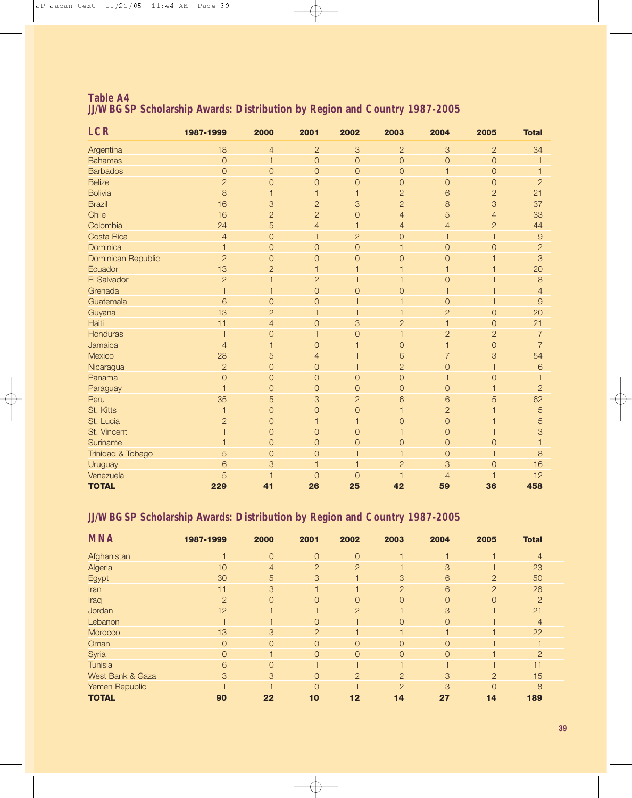| <b>LCR</b>         | 1987-1999      | 2000           | 2001           | 2002                      | 2003           | 2004           | 2005                    | <b>Total</b>   |
|--------------------|----------------|----------------|----------------|---------------------------|----------------|----------------|-------------------------|----------------|
| Argentina          | 18             | $\overline{4}$ | $\overline{2}$ | 3                         | $\overline{2}$ | 3              | $\overline{c}$          | 34             |
| <b>Bahamas</b>     | $\overline{O}$ | $\mathbf{1}$   | $\mathbf{O}$   | $\mathsf{O}$              | $\mathbf{O}$   | $\mathbf{O}$   | $\mathbf{O}$            | 1              |
| <b>Barbados</b>    | $\overline{O}$ | $\mathsf O$    | $\overline{O}$ | $\mathsf{O}$              | $\mathbf{O}$   | $\mathbf{1}$   | $\mathbf{O}$            | 1              |
| <b>Belize</b>      | $\overline{2}$ | $\overline{0}$ | $\mathbf{O}$   | $\overline{0}$            | $\mathbf 0$    | $\mathbf{O}$   | $\mathbf{O}$            | $\overline{c}$ |
| <b>Bolivia</b>     | 8              | 1              | 1              | 1                         | $\overline{2}$ | 6              | $\overline{2}$          | 21             |
| <b>Brazil</b>      | 16             | 3              | $\overline{c}$ | $\ensuremath{\mathsf{3}}$ | $\overline{2}$ | 8              | 3                       | 37             |
| Chile              | 16             | $\overline{c}$ | $\overline{c}$ | $\mathsf{O}$              | $\overline{4}$ | 5              | $\overline{4}$          | 33             |
| Colombia           | 24             | 5              | $\overline{4}$ | $\mathbf{1}$              | $\overline{4}$ | $\overline{4}$ | $\overline{2}$          | 44             |
| Costa Rica         | $\overline{4}$ | $\mathsf O$    | $\mathbf{1}$   | $\overline{2}$            | $\overline{0}$ | $\mathbf{1}$   | $\mathbf{1}$            | $\overline{9}$ |
| Dominica           | $\mathbf{1}$   | $\mathsf O$    | $\overline{0}$ | $\mathsf{O}$              | $\mathbf{1}$   | $\overline{0}$ | $\mathbf 0$             | $\overline{2}$ |
| Dominican Republic | $\overline{2}$ | $\mathsf O$    | $\overline{0}$ | $\mathsf{O}$              | $\overline{O}$ | $\overline{0}$ | 1                       | 3              |
| Ecuador            | 13             | $\overline{c}$ | $\overline{1}$ | $\overline{1}$            | $\mathbf 1$    | $\mathbf{1}$   | 1                       | 20             |
| El Salvador        | $\overline{2}$ | $\mathbf{1}$   | $\overline{c}$ | $\overline{1}$            | $\mathbf 1$    | $\mathbf{O}$   | 1                       | $\mathbf{8}$   |
| Grenada            | $\mathbf{1}$   | 1              | $\overline{O}$ | $\overline{O}$            | $\overline{O}$ | $\mathbf 1$    | 1                       | $\overline{4}$ |
| Guatemala          | 6              | $\overline{0}$ | $\overline{0}$ |                           | 1              | $\overline{0}$ | 1                       | 9              |
| Guyana             | 13             | $\overline{2}$ | $\mathbf 1$    |                           | 1              | $\overline{c}$ | $\mathbf 0$             | 20             |
| Haiti              | 11             | $\overline{4}$ | $\overline{0}$ | 3                         | $\overline{2}$ | $\mathbf{1}$   | $\mathbf 0$             | 21             |
| Honduras           | $\overline{1}$ | $\mathsf O$    | $\mathbf{1}$   | $\mathsf O$               | 1              | $\overline{2}$ | $\overline{2}$          | $\overline{7}$ |
| Jamaica            | $\overline{4}$ | $\mathbf{1}$   | $\overline{0}$ |                           | $\overline{O}$ | $\mathbf{1}$   | $\mathbf 0$             | $\overline{7}$ |
| Mexico             | 28             | 5              | $\overline{4}$ |                           | 6              | $\overline{7}$ | 3                       | 54             |
| Nicaragua          | $\overline{2}$ | $\mathsf O$    | $\overline{0}$ |                           | $\overline{2}$ | $\overline{0}$ | 1                       | 6              |
| Panama             | $\overline{O}$ | $\mathbf{O}$   | $\overline{O}$ | $\mathsf{O}$              | $\mathbf 0$    | $\mathbf{1}$   | $\overline{O}$          | 1              |
| Paraguay           | $\overline{1}$ | $\overline{O}$ | $\overline{O}$ | $\mathsf{O}$              | $\overline{O}$ | $\mathbf{O}$   | 1                       | $\overline{2}$ |
| Peru               | 35             | 5              | 3              | $\overline{2}$            | 6              | 6              | 5                       | 62             |
| St. Kitts          | $\mathbf{1}$   | $\overline{O}$ | $\overline{0}$ | $\mathsf{O}$              | $\mathbf{1}$   | $\overline{2}$ | 1                       | 5              |
| St. Lucia          | $\overline{2}$ | $\mathsf O$    | $\overline{1}$ | $\overline{1}$            | $\mathbf 0$    | $\mathbf{O}$   | $\mathbf 1$             | 5              |
| St. Vincent        | $\overline{1}$ | $\mathsf O$    | $\mathbf{O}$   | $\mathsf{O}$              | 1              | $\mathbf{O}$   | $\mathbf{1}$            | 3              |
| Suriname           | $\overline{1}$ | $\mathsf O$    | $\overline{0}$ | $\mathsf{O}$              | $\mathsf{O}$   | $\mathbf{O}$   | $\overline{0}$          |                |
| Trinidad & Tobago  | 5              | $\overline{0}$ | $\overline{0}$ |                           | 1              | $\overline{0}$ | 1                       | 8              |
| Uruguay            | 6              | 3              | 1              |                           | $\overline{2}$ | 3              | $\overline{0}$          | 16             |
| Venezuela          | 5              |                | $\overline{0}$ | $\Omega$                  | $\mathbf 1$    | $\overline{4}$ | $\overline{\mathbf{1}}$ | 12             |
| <b>TOTAL</b>       | 229            | 41             | 26             | 25                        | 42             | 59             | 36                      | 458            |

#### **JJ/WBGSP Scholarship Awards: Distribution by Region and Country 1987-2005**

| <b>MNA</b>       | 1987-1999      | 2000     | 2001           | 2002           | 2003           | 2004           | 2005           | <b>Total</b>   |  |
|------------------|----------------|----------|----------------|----------------|----------------|----------------|----------------|----------------|--|
| Afghanistan      |                | $\Omega$ | $\overline{O}$ | $\Omega$       |                |                |                | 4              |  |
| Algeria          | 10             | 4        | 2              | $\overline{2}$ |                | 3              |                | 23             |  |
| Egypt            | 30             | 5        | 3              |                | 3              | 6              | $\overline{2}$ | 50             |  |
| Iran             | 11             | 3        |                |                | $\overline{2}$ | 6              | $\overline{2}$ | 26             |  |
| Iraq             | $\overline{2}$ | 0        | $\overline{O}$ | 0              | $\overline{0}$ | $\overline{0}$ | $\overline{O}$ | $\overline{2}$ |  |
| Jordan           | 12             |          |                | $\overline{2}$ |                | 3              |                | 21             |  |
| Lebanon          |                |          | $\overline{0}$ |                | $\Omega$       | $\Omega$       |                |                |  |
| Morocco          | 13             | 3        | 2              |                |                |                |                | 22             |  |
| Oman             | $\Omega$       | $\Omega$ | $\overline{O}$ | $\Omega$       | $\Omega$       | $\Omega$       |                |                |  |
| Syria            | $\Omega$       |          | $\overline{O}$ | $\Omega$       | $\Omega$       | $\overline{O}$ |                | $\overline{2}$ |  |
| <b>Tunisia</b>   | 6              | 0        |                |                |                |                |                | 11             |  |
| West Bank & Gaza | 3              | 3        | $\overline{O}$ | $\overline{2}$ | $\overline{2}$ | 3              | $\overline{2}$ | 15             |  |
| Yemen Republic   |                |          | $\Omega$       |                | $\mathcal{P}$  | 3              | $\Omega$       | 8              |  |
| <b>TOTAL</b>     | 90             | 22       | 10             | 12             | 14             | 27             | 14             | 189            |  |